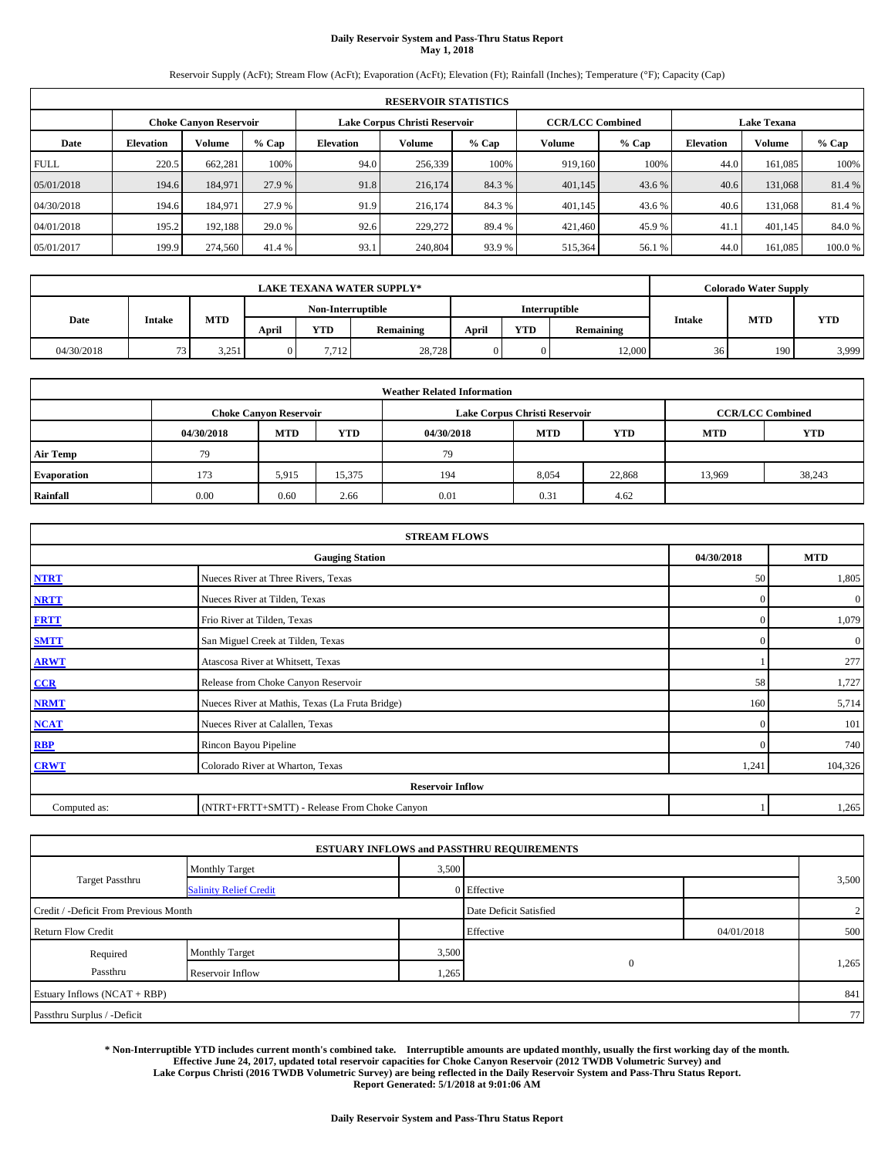#### **Daily Reservoir System and Pass-Thru Status Report May 1, 2018**

Reservoir Supply (AcFt); Stream Flow (AcFt); Evaporation (AcFt); Elevation (Ft); Rainfall (Inches); Temperature (°F); Capacity (Cap)

|             | <b>RESERVOIR STATISTICS</b> |                               |         |                  |                               |         |                         |         |                    |         |        |
|-------------|-----------------------------|-------------------------------|---------|------------------|-------------------------------|---------|-------------------------|---------|--------------------|---------|--------|
|             |                             | <b>Choke Canyon Reservoir</b> |         |                  | Lake Corpus Christi Reservoir |         | <b>CCR/LCC Combined</b> |         | <b>Lake Texana</b> |         |        |
| Date        | <b>Elevation</b>            | Volume                        | $%$ Cap | <b>Elevation</b> | Volume                        | $%$ Cap | Volume                  | $%$ Cap | <b>Elevation</b>   | Volume  | % Cap  |
| <b>FULL</b> | 220.5                       | 662,281                       | 100%    | 94.0             | 256,339                       | 100%    | 919,160                 | 100%    | 44.0               | 161.085 | 100%   |
| 05/01/2018  | 194.6                       | 184,971                       | 27.9 %  | 91.8             | 216,174                       | 84.3%   | 401,145                 | 43.6 %  | 40.6               | 131,068 | 81.4%  |
| 04/30/2018  | 194.6                       | 184,971                       | 27.9 %  | 91.9             | 216,174                       | 84.3 %  | 401,145                 | 43.6 %  | 40.6               | 131,068 | 81.4 % |
| 04/01/2018  | 195.2                       | 192.188                       | 29.0 %  | 92.6             | 229,272                       | 89.4 %  | 421,460                 | 45.9%   | 41.1               | 401,145 | 84.0%  |
| 05/01/2017  | 199.9                       | 274,560                       | 41.4 %  | 93.1             | 240,804                       | 93.9%   | 515,364                 | 56.1%   | 44.0               | 161,085 | 100.0% |

|            | <b>LAKE TEXANA WATER SUPPLY*</b> |            |       |                   |           |       |            |               |               | <b>Colorado Water Supply</b> |            |  |  |
|------------|----------------------------------|------------|-------|-------------------|-----------|-------|------------|---------------|---------------|------------------------------|------------|--|--|
|            |                                  |            |       | Non-Interruptible |           |       |            | Interruptible |               |                              |            |  |  |
| Date       | <b>Intake</b>                    | <b>MTD</b> | April | YTD               | Remaining | April | <b>YTD</b> | Remaining     | <b>Intake</b> | <b>MTD</b>                   | <b>YTD</b> |  |  |
| 04/30/2018 | $\sim$                           | 3.251      |       | 7.712             | 28.728    |       |            | 12,000        | 36            | 190                          | 3,999      |  |  |

| <b>Weather Related Information</b> |                                                                                                |                               |        |      |                               |                         |        |            |  |  |  |
|------------------------------------|------------------------------------------------------------------------------------------------|-------------------------------|--------|------|-------------------------------|-------------------------|--------|------------|--|--|--|
|                                    |                                                                                                | <b>Choke Canyon Reservoir</b> |        |      | Lake Corpus Christi Reservoir | <b>CCR/LCC Combined</b> |        |            |  |  |  |
|                                    | <b>MTD</b><br><b>YTD</b><br><b>YTD</b><br>04/30/2018<br>04/30/2018<br><b>MTD</b><br><b>MTD</b> |                               |        |      |                               |                         |        | <b>YTD</b> |  |  |  |
| <b>Air Temp</b>                    | 79                                                                                             |                               |        | 79   |                               |                         |        |            |  |  |  |
| <b>Evaporation</b>                 | 173                                                                                            | 5,915                         | 15,375 | 194  | 8,054                         | 22,868                  | 13,969 | 38,243     |  |  |  |
| Rainfall                           | 0.00                                                                                           | 0.60                          | 2.66   | 0.01 | 0.31                          | 4.62                    |        |            |  |  |  |

|              | <b>STREAM FLOWS</b>                             |            |                |  |  |  |  |  |  |
|--------------|-------------------------------------------------|------------|----------------|--|--|--|--|--|--|
|              | <b>Gauging Station</b>                          | 04/30/2018 | <b>MTD</b>     |  |  |  |  |  |  |
| <b>NTRT</b>  | Nueces River at Three Rivers, Texas             | 50         | 1,805          |  |  |  |  |  |  |
| <b>NRTT</b>  | Nueces River at Tilden, Texas                   | $\Omega$   | $\overline{0}$ |  |  |  |  |  |  |
| <b>FRTT</b>  | Frio River at Tilden, Texas                     | $\Omega$   | 1,079          |  |  |  |  |  |  |
| <b>SMTT</b>  | San Miguel Creek at Tilden, Texas               | $\Omega$   | $\overline{0}$ |  |  |  |  |  |  |
| <b>ARWT</b>  | Atascosa River at Whitsett, Texas               |            | 277            |  |  |  |  |  |  |
| CCR          | Release from Choke Canyon Reservoir             | 58         | 1,727          |  |  |  |  |  |  |
| <b>NRMT</b>  | Nueces River at Mathis, Texas (La Fruta Bridge) | 160        | 5,714          |  |  |  |  |  |  |
| <b>NCAT</b>  | Nueces River at Calallen, Texas                 | £          | 101            |  |  |  |  |  |  |
| RBP          | Rincon Bayou Pipeline                           | $\Omega$   | 740            |  |  |  |  |  |  |
| <b>CRWT</b>  | Colorado River at Wharton, Texas                | 1,241      | 104,326        |  |  |  |  |  |  |
|              | <b>Reservoir Inflow</b>                         |            |                |  |  |  |  |  |  |
| Computed as: | (NTRT+FRTT+SMTT) - Release From Choke Canyon    |            | 1,265          |  |  |  |  |  |  |

| <b>ESTUARY INFLOWS and PASSTHRU REQUIREMENTS</b> |                               |       |                        |            |                |  |  |  |  |  |
|--------------------------------------------------|-------------------------------|-------|------------------------|------------|----------------|--|--|--|--|--|
|                                                  | <b>Monthly Target</b>         | 3,500 |                        |            |                |  |  |  |  |  |
| <b>Target Passthru</b>                           | <b>Salinity Relief Credit</b> |       | 0 Effective            |            | 3,500          |  |  |  |  |  |
| Credit / -Deficit From Previous Month            |                               |       | Date Deficit Satisfied |            | $\overline{2}$ |  |  |  |  |  |
| <b>Return Flow Credit</b>                        |                               |       | Effective              | 04/01/2018 | 500            |  |  |  |  |  |
| Required                                         | <b>Monthly Target</b>         | 3,500 |                        |            |                |  |  |  |  |  |
| Passthru                                         | Reservoir Inflow              | 1,265 | $\theta$               |            | 1,265          |  |  |  |  |  |
| Estuary Inflows (NCAT + RBP)                     |                               |       |                        |            | 841            |  |  |  |  |  |
| Passthru Surplus / -Deficit                      |                               |       |                        |            | 77             |  |  |  |  |  |

**\* Non-Interruptible YTD includes current month's combined take. Interruptible amounts are updated monthly, usually the first working day of the month. Effective June 24, 2017, updated total reservoir capacities for Choke Canyon Reservoir (2012 TWDB Volumetric Survey) and Lake Corpus Christi (2016 TWDB Volumetric Survey) are being reflected in the Daily Reservoir System and Pass-Thru Status Report. Report Generated: 5/1/2018 at 9:01:06 AM**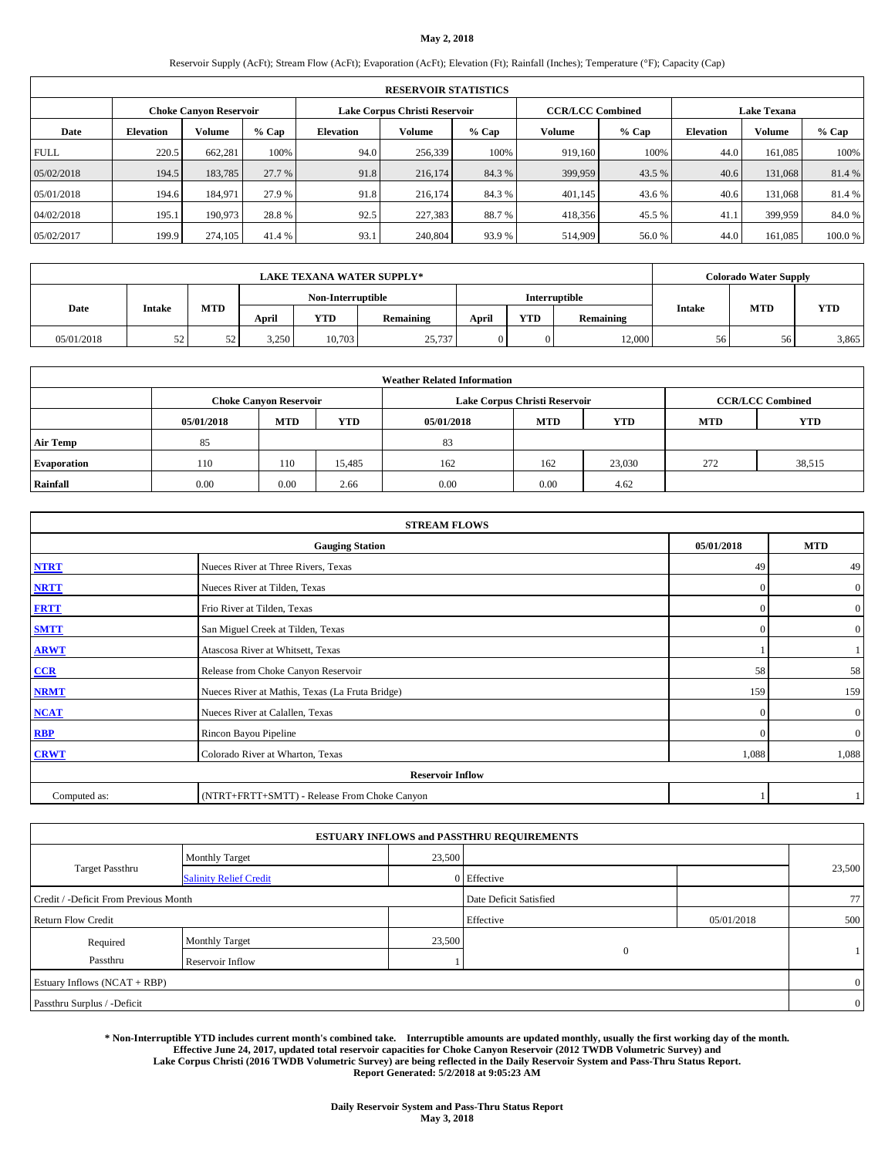## **May 2, 2018**

Reservoir Supply (AcFt); Stream Flow (AcFt); Evaporation (AcFt); Elevation (Ft); Rainfall (Inches); Temperature (°F); Capacity (Cap)

|             | <b>RESERVOIR STATISTICS</b> |                               |         |                  |                               |         |                         |         |                  |                    |        |  |
|-------------|-----------------------------|-------------------------------|---------|------------------|-------------------------------|---------|-------------------------|---------|------------------|--------------------|--------|--|
|             |                             | <b>Choke Canyon Reservoir</b> |         |                  | Lake Corpus Christi Reservoir |         | <b>CCR/LCC Combined</b> |         |                  | <b>Lake Texana</b> |        |  |
| Date        | <b>Elevation</b>            | Volume                        | $%$ Cap | <b>Elevation</b> | Volume                        | $%$ Cap | Volume                  | $%$ Cap | <b>Elevation</b> | Volume             | % Cap  |  |
| <b>FULL</b> | 220.5                       | 662,281                       | 100%    | 94.0             | 256,339                       | 100%    | 919,160                 | 100%    | 44.0             | 161,085            | 100%   |  |
| 05/02/2018  | 194.5                       | 183,785                       | 27.7 %  | 91.8             | 216,174                       | 84.3%   | 399,959                 | 43.5 %  | 40.6             | 131,068            | 81.4%  |  |
| 05/01/2018  | 194.6                       | 184,971                       | 27.9 %  | 91.8             | 216,174                       | 84.3%   | 401,145                 | 43.6 %  | 40.6             | 131,068            | 81.4 % |  |
| 04/02/2018  | 195.1                       | 190,973                       | 28.8%   | 92.5             | 227,383                       | 88.7%   | 418,356                 | 45.5 %  | 41.1             | 399,959            | 84.0%  |  |
| 05/02/2017  | 199.9                       | 274,105                       | 41.4 %  | 93.1             | 240,804                       | 93.9%   | 514,909                 | 56.0%   | 44.0             | 161.085            | 100.0% |  |

|            | <b>LAKE TEXANA WATER SUPPLY*</b> |            |       |                   |           |       |            |               |               | <b>Colorado Water Supply</b> |            |
|------------|----------------------------------|------------|-------|-------------------|-----------|-------|------------|---------------|---------------|------------------------------|------------|
|            |                                  |            |       | Non-Interruptible |           |       |            | Interruptible |               |                              |            |
| Date       | Intake                           | <b>MTD</b> | April | <b>YTD</b>        | Remaining | April | <b>YTD</b> | Remaining     | <b>Intake</b> | <b>MTD</b>                   | <b>YTD</b> |
| 05/01/2018 | 52<br>ے ر                        | 52         | 3,250 | 10,703            | 25,737    |       |            | 12,000        | 56            | 56                           | 3,865      |

|                    | <b>Weather Related Information</b> |                               |            |            |                               |                         |            |            |  |  |  |  |
|--------------------|------------------------------------|-------------------------------|------------|------------|-------------------------------|-------------------------|------------|------------|--|--|--|--|
|                    |                                    | <b>Choke Canyon Reservoir</b> |            |            | Lake Corpus Christi Reservoir | <b>CCR/LCC Combined</b> |            |            |  |  |  |  |
|                    | 05/01/2018                         | <b>MTD</b>                    | <b>YTD</b> | 05/01/2018 | <b>MTD</b>                    | <b>YTD</b>              | <b>MTD</b> | <b>YTD</b> |  |  |  |  |
| <b>Air Temp</b>    | 85                                 |                               |            | 83         |                               |                         |            |            |  |  |  |  |
| <b>Evaporation</b> | 110                                | 110                           | 15.485     | 162        | 162                           | 23,030                  | 272        | 38,515     |  |  |  |  |
| Rainfall           | 0.00                               | 0.00                          | 2.66       | 0.00       | 0.00                          | 4.62                    |            |            |  |  |  |  |

|              | <b>STREAM FLOWS</b>                             |                |                  |
|--------------|-------------------------------------------------|----------------|------------------|
|              | <b>Gauging Station</b>                          | 05/01/2018     | <b>MTD</b>       |
| <b>NTRT</b>  | Nueces River at Three Rivers, Texas             | 49             | 49               |
| <b>NRTT</b>  | Nueces River at Tilden, Texas                   | 0              | $\overline{0}$   |
| <b>FRTT</b>  | Frio River at Tilden, Texas                     | $\overline{0}$ | $\overline{0}$   |
| <b>SMTT</b>  | San Miguel Creek at Tilden, Texas               | $\mathbf{0}$   | $\boldsymbol{0}$ |
| <b>ARWT</b>  | Atascosa River at Whitsett, Texas               |                |                  |
| $CCR$        | Release from Choke Canyon Reservoir             | 58             | 58               |
| <b>NRMT</b>  | Nueces River at Mathis, Texas (La Fruta Bridge) | 159            | 159              |
| <b>NCAT</b>  | Nueces River at Calallen, Texas                 | $\theta$       | $\overline{0}$   |
| <b>RBP</b>   | Rincon Bayou Pipeline                           | $\Omega$       | $\overline{0}$   |
| <b>CRWT</b>  | Colorado River at Wharton, Texas                | 1,088          | 1,088            |
|              | <b>Reservoir Inflow</b>                         |                |                  |
| Computed as: | (NTRT+FRTT+SMTT) - Release From Choke Canyon    |                |                  |

|                                       |                               |        | <b>ESTUARY INFLOWS and PASSTHRU REQUIREMENTS</b> |              |                |  |
|---------------------------------------|-------------------------------|--------|--------------------------------------------------|--------------|----------------|--|
|                                       | <b>Monthly Target</b>         | 23,500 |                                                  |              |                |  |
| Target Passthru                       | <b>Salinity Relief Credit</b> |        | 0 Effective                                      |              | 23,500         |  |
| Credit / -Deficit From Previous Month |                               |        | Date Deficit Satisfied                           |              | 77             |  |
| <b>Return Flow Credit</b>             |                               |        | Effective                                        | 05/01/2018   | 500            |  |
| Required                              | <b>Monthly Target</b>         | 23,500 |                                                  |              |                |  |
| Passthru                              | Reservoir Inflow              |        |                                                  | $\mathbf{0}$ |                |  |
| Estuary Inflows (NCAT + RBP)          |                               |        |                                                  |              | $\overline{0}$ |  |
| Passthru Surplus / -Deficit           |                               |        |                                                  |              | $\overline{0}$ |  |

**\* Non-Interruptible YTD includes current month's combined take. Interruptible amounts are updated monthly, usually the first working day of the month. Effective June 24, 2017, updated total reservoir capacities for Choke Canyon Reservoir (2012 TWDB Volumetric Survey) and Lake Corpus Christi (2016 TWDB Volumetric Survey) are being reflected in the Daily Reservoir System and Pass-Thru Status Report. Report Generated: 5/2/2018 at 9:05:23 AM**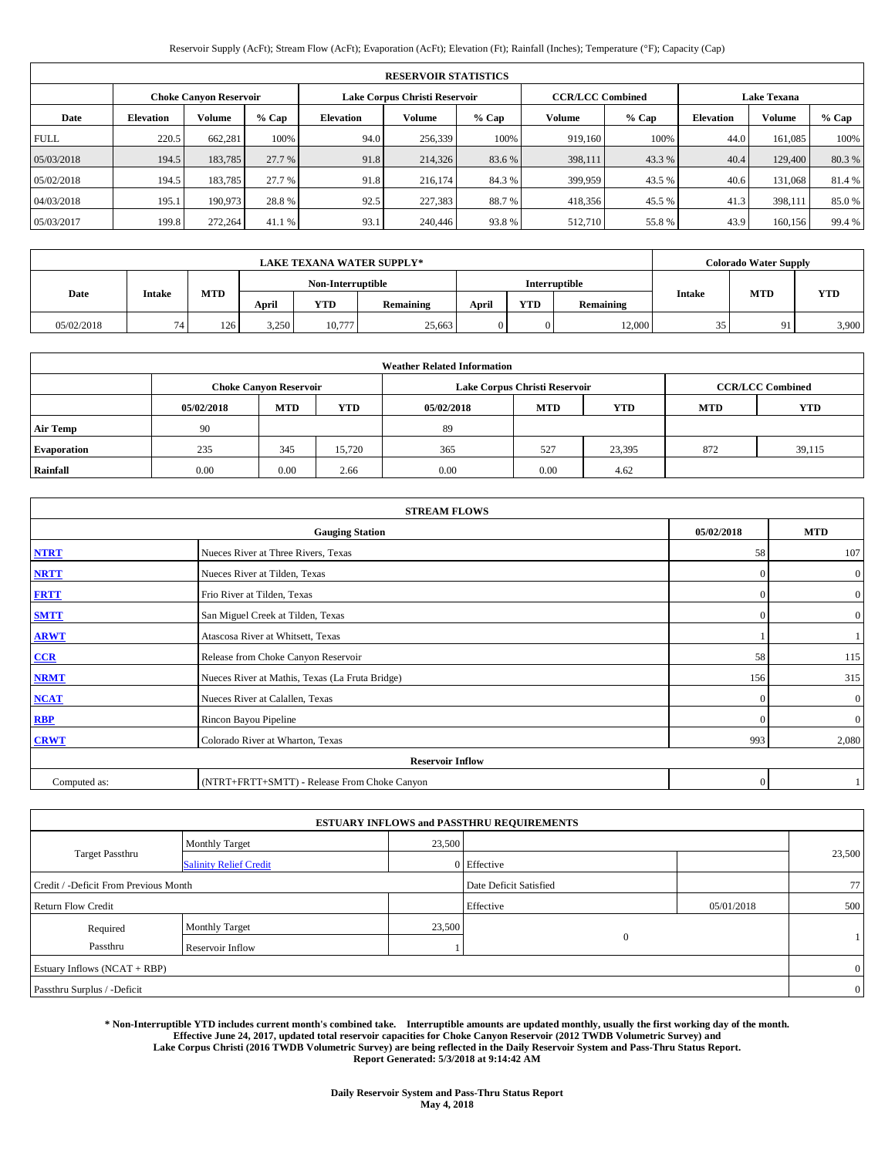# Reservoir Supply (AcFt); Stream Flow (AcFt); Evaporation (AcFt); Elevation (Ft); Rainfall (Inches); Temperature (°F); Capacity (Cap)

|             | <b>RESERVOIR STATISTICS</b> |                               |        |                  |                               |         |                                               |         |                  |               |        |  |
|-------------|-----------------------------|-------------------------------|--------|------------------|-------------------------------|---------|-----------------------------------------------|---------|------------------|---------------|--------|--|
|             |                             | <b>Choke Canyon Reservoir</b> |        |                  | Lake Corpus Christi Reservoir |         | <b>Lake Texana</b><br><b>CCR/LCC Combined</b> |         |                  |               |        |  |
| Date        | <b>Elevation</b>            | Volume                        | % Cap  | <b>Elevation</b> | Volume                        | $%$ Cap | Volume                                        | $%$ Cap | <b>Elevation</b> | <b>Volume</b> | % Cap  |  |
| <b>FULL</b> | 220.5                       | 662.281                       | 100%   | 94.0             | 256,339                       | 100%    | 919,160                                       | 100%    | 44.0             | 161,085       | 100%   |  |
| 05/03/2018  | 194.5                       | 183,785                       | 27.7 % | 91.8             | 214,326                       | 83.6%   | 398,111                                       | 43.3 %  | 40.4             | 129,400       | 80.3%  |  |
| 05/02/2018  | 194.5                       | 183.785                       | 27.7 % | 91.8             | 216.174                       | 84.3%   | 399,959                                       | 43.5 %  | 40.6             | 131,068       | 81.4 % |  |
| 04/03/2018  | 195.1                       | 190,973                       | 28.8%  | 92.5             | 227,383                       | 88.7%   | 418,356                                       | 45.5 %  | 41.3             | 398,111       | 85.0%  |  |
| 05/03/2017  | 199.8                       | 272,264                       | 41.1 % | 93.1             | 240,446                       | 93.8%   | 512,710                                       | 55.8%   | 43.9             | 160,156       | 99.4 % |  |

|            | <b>LAKE TEXANA WATER SUPPLY*</b> |            |       |                   |           |       |            |               |               |            | <b>Colorado Water Supply</b> |
|------------|----------------------------------|------------|-------|-------------------|-----------|-------|------------|---------------|---------------|------------|------------------------------|
|            |                                  |            |       | Non-Interruptible |           |       |            | Interruptible |               |            |                              |
| Date       | Intake                           | <b>MTD</b> | April | <b>YTD</b>        | Remaining | April | <b>YTD</b> | Remaining     | <b>Intake</b> | <b>MTD</b> | <b>YTD</b>                   |
| 05/02/2018 | 74                               | 126        | 3,250 | 10,777            | 25.663    |       | 0          | 12,000        | 35            | 91         | 3,900                        |

|                    |            |                               |            | <b>Weather Related Information</b> |                                        |                         |     |        |  |  |
|--------------------|------------|-------------------------------|------------|------------------------------------|----------------------------------------|-------------------------|-----|--------|--|--|
|                    |            | <b>Choke Canvon Reservoir</b> |            |                                    | Lake Corpus Christi Reservoir          | <b>CCR/LCC Combined</b> |     |        |  |  |
|                    | 05/02/2018 | <b>MTD</b>                    | <b>YTD</b> | 05/02/2018                         | <b>MTD</b><br><b>YTD</b><br><b>MTD</b> |                         |     |        |  |  |
| Air Temp           | 90         |                               |            | 89                                 |                                        |                         |     |        |  |  |
| <b>Evaporation</b> | 235        | 345                           | 15.720     | 365                                | 527                                    | 23,395                  | 872 | 39,115 |  |  |
| Rainfall           | 0.00       | 0.00                          | 2.66       | 0.00                               | 0.00                                   | 4.62                    |     |        |  |  |

| <b>STREAM FLOWS</b> |                                                 |              |                |  |  |  |  |
|---------------------|-------------------------------------------------|--------------|----------------|--|--|--|--|
|                     | <b>Gauging Station</b>                          |              |                |  |  |  |  |
| <b>NTRT</b>         | Nueces River at Three Rivers, Texas             | 58           | 107            |  |  |  |  |
| <b>NRTT</b>         | Nueces River at Tilden, Texas                   | $\mathbf{0}$ | $\overline{0}$ |  |  |  |  |
| <b>FRTT</b>         | Frio River at Tilden, Texas                     | $\mathbf{0}$ | $\overline{0}$ |  |  |  |  |
| <b>SMTT</b>         | San Miguel Creek at Tilden, Texas               | $\mathbf{0}$ | $\mathbf{0}$   |  |  |  |  |
| <b>ARWT</b>         | Atascosa River at Whitsett, Texas               |              |                |  |  |  |  |
| CCR                 | Release from Choke Canyon Reservoir             | 58           | 115            |  |  |  |  |
| <b>NRMT</b>         | Nueces River at Mathis, Texas (La Fruta Bridge) | 156          | 315            |  |  |  |  |
| <b>NCAT</b>         | Nueces River at Calallen, Texas                 | $\Omega$     | $\mathbf{0}$   |  |  |  |  |
| <b>RBP</b>          | Rincon Bayou Pipeline                           | $\Omega$     | $\overline{0}$ |  |  |  |  |
| <b>CRWT</b>         | Colorado River at Wharton, Texas                | 993          | 2,080          |  |  |  |  |
|                     | <b>Reservoir Inflow</b>                         |              |                |  |  |  |  |
| Computed as:        | (NTRT+FRTT+SMTT) - Release From Choke Canyon    | $\mathbf{0}$ |                |  |  |  |  |

|                                       |                               |        | <b>ESTUARY INFLOWS and PASSTHRU REQUIREMENTS</b> |            |                |
|---------------------------------------|-------------------------------|--------|--------------------------------------------------|------------|----------------|
|                                       | <b>Monthly Target</b>         | 23,500 |                                                  |            |                |
| Target Passthru                       | <b>Salinity Relief Credit</b> |        | 0 Effective                                      |            | 23,500         |
| Credit / -Deficit From Previous Month |                               |        | Date Deficit Satisfied                           |            | 77             |
| <b>Return Flow Credit</b>             |                               |        | Effective                                        | 05/01/2018 | 500            |
| Required                              | Monthly Target                | 23,500 |                                                  |            |                |
| Passthru                              | Reservoir Inflow              |        | $\mathbf{0}$                                     |            |                |
| Estuary Inflows (NCAT + RBP)          |                               |        |                                                  |            | $\overline{0}$ |
| Passthru Surplus / -Deficit           |                               |        |                                                  |            | $\overline{0}$ |

**\* Non-Interruptible YTD includes current month's combined take. Interruptible amounts are updated monthly, usually the first working day of the month. Effective June 24, 2017, updated total reservoir capacities for Choke Canyon Reservoir (2012 TWDB Volumetric Survey) and Lake Corpus Christi (2016 TWDB Volumetric Survey) are being reflected in the Daily Reservoir System and Pass-Thru Status Report. Report Generated: 5/3/2018 at 9:14:42 AM**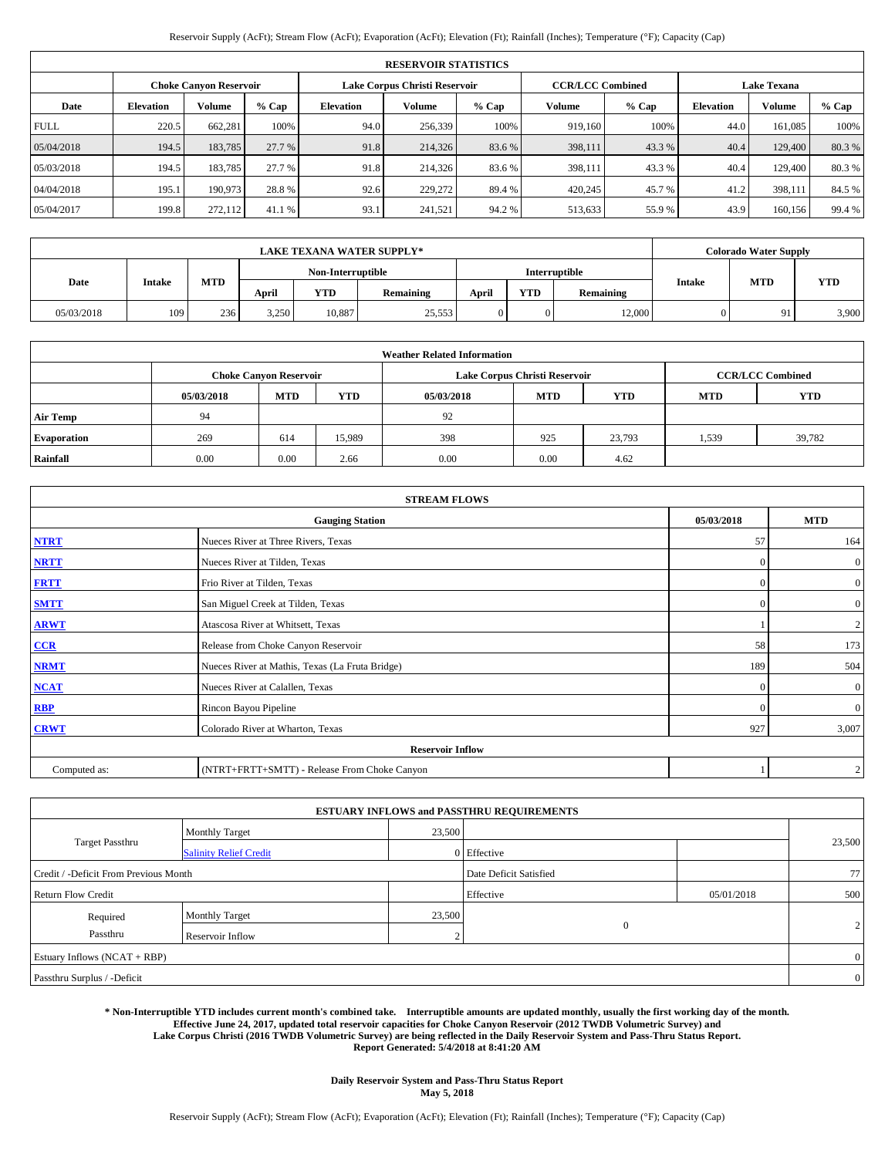| Reservoir Supply (AcFt); Stream Flow (AcFt); Evaporation (AcFt); Elevation (Ft); Rainfall (Inches); Temperature (°F); Capacity (Cap) |  |  |  |
|--------------------------------------------------------------------------------------------------------------------------------------|--|--|--|
|--------------------------------------------------------------------------------------------------------------------------------------|--|--|--|

|             | <b>RESERVOIR STATISTICS</b> |                               |         |                  |                               |         |                         |         |                    |               |        |  |  |
|-------------|-----------------------------|-------------------------------|---------|------------------|-------------------------------|---------|-------------------------|---------|--------------------|---------------|--------|--|--|
|             |                             | <b>Choke Canyon Reservoir</b> |         |                  | Lake Corpus Christi Reservoir |         | <b>CCR/LCC Combined</b> |         | <b>Lake Texana</b> |               |        |  |  |
| Date        | <b>Elevation</b>            | <b>Volume</b>                 | $%$ Cap | <b>Elevation</b> | Volume                        | $%$ Cap | Volume                  | $%$ Cap | <b>Elevation</b>   | <b>Volume</b> | % Cap  |  |  |
| <b>FULL</b> | 220.5                       | 662.281                       | 100%    | 94.0             | 256,339                       | 100%    | 919,160                 | 100%    | 44.0               | 161.085       | 100%   |  |  |
| 05/04/2018  | 194.5                       | 183,785                       | 27.7 %  | 91.8             | 214,326                       | 83.6 %  | 398,111                 | 43.3 %  | 40.4               | 129,400       | 80.3%  |  |  |
| 05/03/2018  | 194.5                       | 183,785                       | 27.7 %  | 91.8             | 214,326                       | 83.6%   | 398,111                 | 43.3 %  | 40.4               | 129,400       | 80.3%  |  |  |
| 04/04/2018  | 195.1                       | 190,973                       | 28.8%   | 92.6             | 229,272                       | 89.4%   | 420,245                 | 45.7 %  | 41.2               | 398.111       | 84.5 % |  |  |
| 05/04/2017  | 199.8                       | 272,112                       | 41.1 %  | 93.1             | 241.521                       | 94.2 %  | 513,633                 | 55.9%   | 43.9               | 160.156       | 99.4 % |  |  |

| <b>LAKE TEXANA WATER SUPPLY*</b> |        |     |       |                   |           |       |            |               |               | <b>Colorado Water Supply</b> |            |
|----------------------------------|--------|-----|-------|-------------------|-----------|-------|------------|---------------|---------------|------------------------------|------------|
|                                  |        |     |       | Non-Interruptible |           |       |            | Interruptible |               |                              |            |
| Date                             | Intake | MTD | April | YTD               | Remaining | April | <b>YTD</b> | Remaining     | <b>Intake</b> | <b>MTD</b>                   | <b>YTD</b> |
| 05/03/2018                       | 109    | 236 | 3,250 | 10,887            | 25,553    |       | 0          | 12,000        |               | 91                           | 3,900      |

|                    |            |                               |            | <b>Weather Related Information</b> |                               |                         |            |            |
|--------------------|------------|-------------------------------|------------|------------------------------------|-------------------------------|-------------------------|------------|------------|
|                    |            | <b>Choke Canyon Reservoir</b> |            |                                    | Lake Corpus Christi Reservoir | <b>CCR/LCC Combined</b> |            |            |
|                    | 05/03/2018 | <b>MTD</b>                    | <b>YTD</b> | 05/03/2018                         | <b>MTD</b>                    | <b>YTD</b>              | <b>MTD</b> | <b>YTD</b> |
| <b>Air Temp</b>    | 94         |                               |            | 92                                 |                               |                         |            |            |
| <b>Evaporation</b> | 269        | 614                           | 15,989     | 398                                | 925                           | 23,793                  | 1,539      | 39,782     |
| Rainfall           | 0.00       | 0.00                          | 2.66       | 0.00                               | 0.00                          | 4.62                    |            |            |

|              | <b>STREAM FLOWS</b>                             |            |                |  |  |  |  |  |  |
|--------------|-------------------------------------------------|------------|----------------|--|--|--|--|--|--|
|              | 05/03/2018                                      | <b>MTD</b> |                |  |  |  |  |  |  |
| <b>NTRT</b>  | Nueces River at Three Rivers, Texas             | 57         | 164            |  |  |  |  |  |  |
| <b>NRTT</b>  | Nueces River at Tilden, Texas                   | -0         | $\overline{0}$ |  |  |  |  |  |  |
| <b>FRTT</b>  | Frio River at Tilden, Texas                     | $\Omega$   | $\overline{0}$ |  |  |  |  |  |  |
| <b>SMTT</b>  | San Miguel Creek at Tilden, Texas               | $\Omega$   | $\overline{0}$ |  |  |  |  |  |  |
| <b>ARWT</b>  | Atascosa River at Whitsett, Texas               |            | $\overline{2}$ |  |  |  |  |  |  |
| CCR          | Release from Choke Canyon Reservoir             | 58         | 173            |  |  |  |  |  |  |
| <b>NRMT</b>  | Nueces River at Mathis, Texas (La Fruta Bridge) | 189        | 504            |  |  |  |  |  |  |
| <b>NCAT</b>  | Nueces River at Calallen, Texas                 | $\Omega$   | $\overline{0}$ |  |  |  |  |  |  |
| <b>RBP</b>   | Rincon Bayou Pipeline                           | $\Omega$   | $\overline{0}$ |  |  |  |  |  |  |
| <b>CRWT</b>  | Colorado River at Wharton, Texas                | 927        | 3,007          |  |  |  |  |  |  |
|              | <b>Reservoir Inflow</b>                         |            |                |  |  |  |  |  |  |
| Computed as: | (NTRT+FRTT+SMTT) - Release From Choke Canyon    |            | $\overline{2}$ |  |  |  |  |  |  |

|                                       |                               |        | <b>ESTUARY INFLOWS and PASSTHRU REQUIREMENTS</b> |            |                |
|---------------------------------------|-------------------------------|--------|--------------------------------------------------|------------|----------------|
|                                       | <b>Monthly Target</b>         | 23,500 |                                                  |            |                |
| Target Passthru                       | <b>Salinity Relief Credit</b> |        | 0 Effective                                      |            | 23,500         |
| Credit / -Deficit From Previous Month |                               |        | Date Deficit Satisfied                           |            | 77             |
| <b>Return Flow Credit</b>             |                               |        | Effective                                        | 05/01/2018 | 500            |
| Required                              | <b>Monthly Target</b>         | 23,500 |                                                  |            |                |
| Passthru                              | Reservoir Inflow              | $\sim$ | $\mathbf{0}$                                     |            | 2              |
| Estuary Inflows $(NCAT + RBP)$        |                               |        |                                                  |            | $\overline{0}$ |
| Passthru Surplus / -Deficit           |                               |        |                                                  |            | $\overline{0}$ |

**\* Non-Interruptible YTD includes current month's combined take. Interruptible amounts are updated monthly, usually the first working day of the month. Effective June 24, 2017, updated total reservoir capacities for Choke Canyon Reservoir (2012 TWDB Volumetric Survey) and Lake Corpus Christi (2016 TWDB Volumetric Survey) are being reflected in the Daily Reservoir System and Pass-Thru Status Report. Report Generated: 5/4/2018 at 8:41:20 AM**

> **Daily Reservoir System and Pass-Thru Status Report May 5, 2018**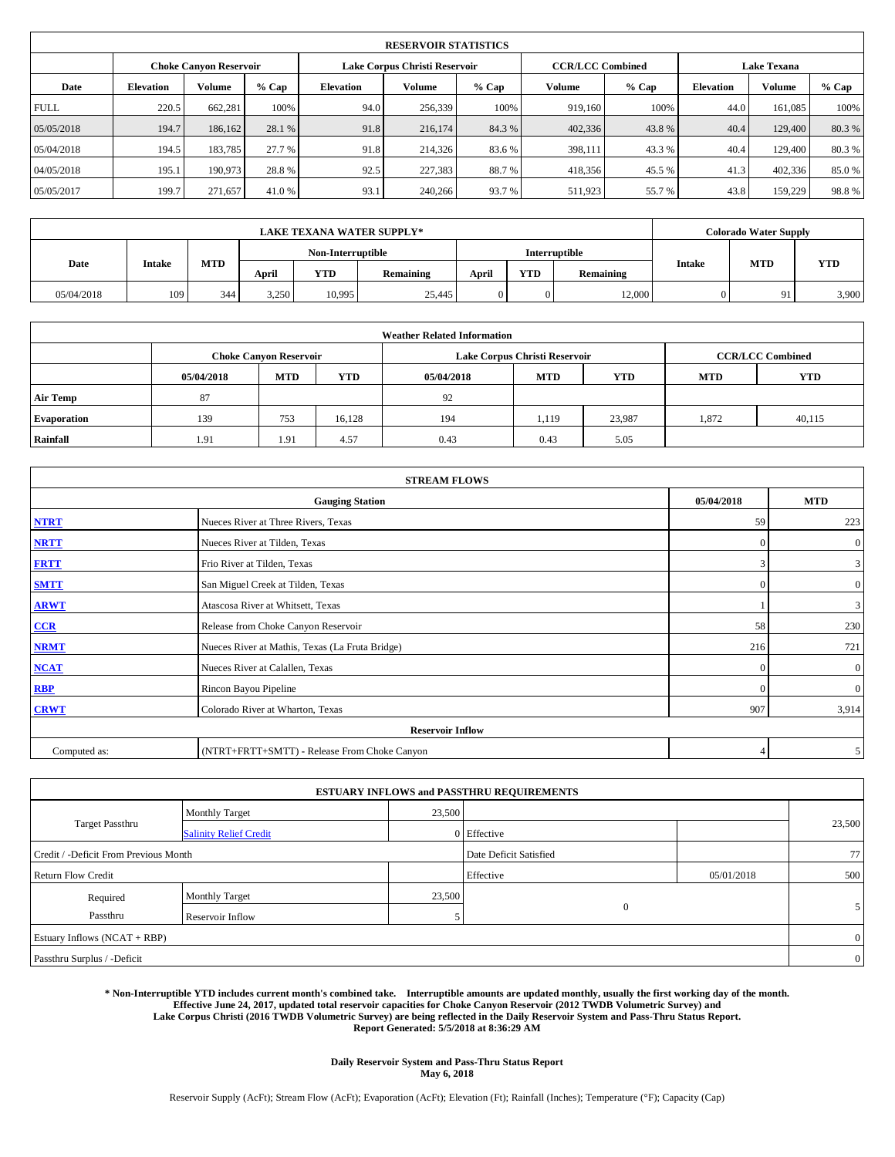|             | <b>RESERVOIR STATISTICS</b> |                               |        |                  |                               |         |                         |         |                    |               |         |  |  |
|-------------|-----------------------------|-------------------------------|--------|------------------|-------------------------------|---------|-------------------------|---------|--------------------|---------------|---------|--|--|
|             |                             | <b>Choke Canyon Reservoir</b> |        |                  | Lake Corpus Christi Reservoir |         | <b>CCR/LCC Combined</b> |         | <b>Lake Texana</b> |               |         |  |  |
| Date        | <b>Elevation</b>            | Volume                        | % Cap  | <b>Elevation</b> | Volume                        | $%$ Cap | Volume                  | $%$ Cap | <b>Elevation</b>   | <b>Volume</b> | $%$ Cap |  |  |
| <b>FULL</b> | 220.5                       | 662,281                       | 100%   | 94.0             | 256,339                       | 100%    | 919.160                 | 100%    | 44.0               | 161.085       | 100%    |  |  |
| 05/05/2018  | 194.7                       | 186,162                       | 28.1 % | 91.8             | 216,174                       | 84.3%   | 402,336                 | 43.8%   | 40.4               | 129,400       | 80.3%   |  |  |
| 05/04/2018  | 194.5                       | 183.785                       | 27.7 % | 91.8             | 214,326                       | 83.6%   | 398,111                 | 43.3 %  | 40.4               | 129,400       | 80.3%   |  |  |
| 04/05/2018  | 195.1                       | 190.973                       | 28.8%  | 92.5             | 227,383                       | 88.7%   | 418,356                 | 45.5 %  | 41.3               | 402,336       | 85.0%   |  |  |
| 05/05/2017  | 199.7                       | 271,657                       | 41.0 % | 93.1             | 240,266                       | 93.7 %  | 511,923                 | 55.7%   | 43.8               | 159,229       | 98.8%   |  |  |

| <b>LAKE TEXANA WATER SUPPLY*</b> |               |     |       |                   |           |       |            |               |  | <b>Colorado Water Supply</b> |       |
|----------------------------------|---------------|-----|-------|-------------------|-----------|-------|------------|---------------|--|------------------------------|-------|
|                                  |               |     |       | Non-Interruptible |           |       |            | Interruptible |  | <b>YTD</b>                   |       |
| Date                             | <b>Intake</b> | MTD | April | <b>YTD</b>        | Remaining | April | <b>YTD</b> | Remaining     |  | <b>MTD</b><br><b>Intake</b>  |       |
| 05/04/2018                       | 109           | 344 | 3,250 | 10,995            | 25.445    | 0     | 0          | 12.000        |  | 91                           | 3,900 |

|                    |            |                               |            | <b>Weather Related Information</b> |                               |                         |       |        |
|--------------------|------------|-------------------------------|------------|------------------------------------|-------------------------------|-------------------------|-------|--------|
|                    |            | <b>Choke Canyon Reservoir</b> |            |                                    | Lake Corpus Christi Reservoir | <b>CCR/LCC Combined</b> |       |        |
|                    | 05/04/2018 | <b>MTD</b>                    | <b>YTD</b> | 05/04/2018                         | <b>YTD</b>                    |                         |       |        |
| <b>Air Temp</b>    | 87         |                               |            | 92                                 |                               |                         |       |        |
| <b>Evaporation</b> | 139        | 753                           | 16.128     | 194                                | 1.119                         | 23.987                  | 1.872 | 40,115 |
| Rainfall           | 1.91       | 1.91                          | 4.57       | 0.43                               | 0.43                          | 5.05                    |       |        |

| <b>STREAM FLOWS</b> |                                                 |                |                  |  |  |  |  |  |  |  |
|---------------------|-------------------------------------------------|----------------|------------------|--|--|--|--|--|--|--|
|                     | <b>Gauging Station</b>                          |                |                  |  |  |  |  |  |  |  |
| <b>NTRT</b>         | Nueces River at Three Rivers, Texas             | 59             | 223              |  |  |  |  |  |  |  |
| <b>NRTT</b>         | Nueces River at Tilden, Texas                   | $\Omega$       | $\boldsymbol{0}$ |  |  |  |  |  |  |  |
| <b>FRTT</b>         | Frio River at Tilden, Texas                     | 3              | 3                |  |  |  |  |  |  |  |
| <b>SMTT</b>         | San Miguel Creek at Tilden, Texas               | $\mathbf{0}$   | $\overline{0}$   |  |  |  |  |  |  |  |
| <b>ARWT</b>         | Atascosa River at Whitsett, Texas               |                | 3                |  |  |  |  |  |  |  |
| $CCR$               | Release from Choke Canyon Reservoir             | 58             | 230              |  |  |  |  |  |  |  |
| <b>NRMT</b>         | Nueces River at Mathis, Texas (La Fruta Bridge) | 216            | 721              |  |  |  |  |  |  |  |
| <b>NCAT</b>         | Nueces River at Calallen, Texas                 | $\Omega$       | $\mathbf{0}$     |  |  |  |  |  |  |  |
| RBP                 | Rincon Bayou Pipeline                           | $\Omega$       | $\mathbf{0}$     |  |  |  |  |  |  |  |
| <b>CRWT</b>         | Colorado River at Wharton, Texas                | 907            | 3,914            |  |  |  |  |  |  |  |
|                     | <b>Reservoir Inflow</b>                         |                |                  |  |  |  |  |  |  |  |
| Computed as:        | (NTRT+FRTT+SMTT) - Release From Choke Canyon    | $\overline{4}$ | 5                |  |  |  |  |  |  |  |

|                                       |                               |                        | <b>ESTUARY INFLOWS and PASSTHRU REQUIREMENTS</b> |     |                |  |
|---------------------------------------|-------------------------------|------------------------|--------------------------------------------------|-----|----------------|--|
|                                       | <b>Monthly Target</b>         | 23,500                 |                                                  |     |                |  |
| <b>Target Passthru</b>                | <b>Salinity Relief Credit</b> |                        | 0 Effective                                      |     | 23,500         |  |
| Credit / -Deficit From Previous Month |                               | Date Deficit Satisfied |                                                  | 77  |                |  |
| <b>Return Flow Credit</b>             |                               | Effective              | 05/01/2018                                       | 500 |                |  |
| Required                              | <b>Monthly Target</b>         | 23,500                 |                                                  |     |                |  |
| Passthru                              | Reservoir Inflow              |                        | $\mathbf{0}$                                     |     |                |  |
| Estuary Inflows (NCAT + RBP)          |                               |                        |                                                  |     | $\overline{0}$ |  |
| Passthru Surplus / -Deficit           |                               |                        |                                                  |     | $\overline{0}$ |  |

**\* Non-Interruptible YTD includes current month's combined take. Interruptible amounts are updated monthly, usually the first working day of the month. Effective June 24, 2017, updated total reservoir capacities for Choke Canyon Reservoir (2012 TWDB Volumetric Survey) and Lake Corpus Christi (2016 TWDB Volumetric Survey) are being reflected in the Daily Reservoir System and Pass-Thru Status Report. Report Generated: 5/5/2018 at 8:36:29 AM**

> **Daily Reservoir System and Pass-Thru Status Report May 6, 2018**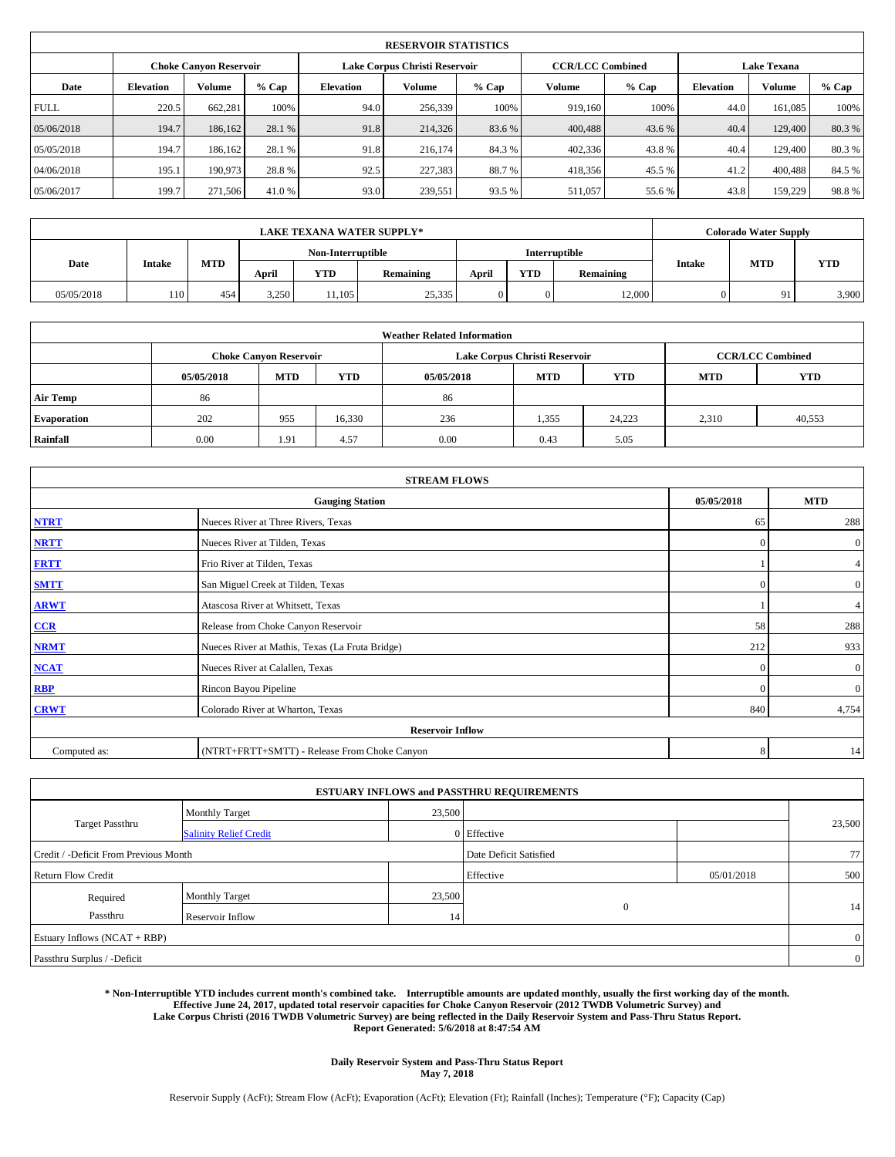|             | <b>RESERVOIR STATISTICS</b> |                               |        |                  |                               |         |                         |         |                  |                    |         |  |  |
|-------------|-----------------------------|-------------------------------|--------|------------------|-------------------------------|---------|-------------------------|---------|------------------|--------------------|---------|--|--|
|             |                             | <b>Choke Canyon Reservoir</b> |        |                  | Lake Corpus Christi Reservoir |         | <b>CCR/LCC Combined</b> |         |                  | <b>Lake Texana</b> |         |  |  |
| Date        | <b>Elevation</b>            | Volume                        | % Cap  | <b>Elevation</b> | Volume                        | $%$ Cap | Volume                  | $%$ Cap | <b>Elevation</b> | <b>Volume</b>      | $%$ Cap |  |  |
| <b>FULL</b> | 220.5                       | 662,281                       | 100%   | 94.0             | 256,339                       | 100%    | 919.160                 | 100%    | 44.0             | 161.085            | 100%    |  |  |
| 05/06/2018  | 194.7                       | 186,162                       | 28.1 % | 91.8             | 214,326                       | 83.6%   | 400,488                 | 43.6 %  | 40.4             | 129,400            | 80.3%   |  |  |
| 05/05/2018  | 194.7                       | 186.162                       | 28.1 % | 91.8             | 216,174                       | 84.3%   | 402,336                 | 43.8%   | 40.4             | 129,400            | 80.3%   |  |  |
| 04/06/2018  | 195.1                       | 190.973                       | 28.8%  | 92.5             | 227,383                       | 88.7%   | 418,356                 | 45.5 %  | 41.2             | 400,488            | 84.5 %  |  |  |
| 05/06/2017  | 199.7                       | 271,506                       | 41.0 % | 93.0             | 239,551                       | 93.5%   | 511,057                 | 55.6 %  | 43.8             | 159,229            | 98.8%   |  |  |

| <b>LAKE TEXANA WATER SUPPLY*</b> |                   |     |               |        |        |               |            |           | <b>Colorado Water Supply</b> |            |           |               |            |            |
|----------------------------------|-------------------|-----|---------------|--------|--------|---------------|------------|-----------|------------------------------|------------|-----------|---------------|------------|------------|
|                                  | Non-Interruptible |     |               |        |        | Interruptible |            |           |                              |            |           |               |            |            |
| Date                             |                   |     | <b>Intake</b> |        | MTD    | April         | <b>YTD</b> | Remaining | April                        | <b>YTD</b> | Remaining | <b>Intake</b> | <b>MTD</b> | <b>YTD</b> |
| 05/05/2018                       | 110               | 454 | 3,250         | 11,105 | 25,335 |               | 0          | 12.000    |                              | 91         | 3,900     |               |            |            |

| <b>Weather Related Information</b> |                                                                                                |                               |        |      |                               |                         |            |        |  |  |  |
|------------------------------------|------------------------------------------------------------------------------------------------|-------------------------------|--------|------|-------------------------------|-------------------------|------------|--------|--|--|--|
|                                    |                                                                                                | <b>Choke Canyon Reservoir</b> |        |      | Lake Corpus Christi Reservoir | <b>CCR/LCC Combined</b> |            |        |  |  |  |
|                                    | <b>YTD</b><br><b>MTD</b><br><b>MTD</b><br><b>MTD</b><br><b>YTD</b><br>05/05/2018<br>05/05/2018 |                               |        |      |                               |                         | <b>YTD</b> |        |  |  |  |
| <b>Air Temp</b>                    | 86                                                                                             |                               |        | 86   |                               |                         |            |        |  |  |  |
| <b>Evaporation</b>                 | 202                                                                                            | 955                           | 16,330 | 236  | 1,355                         | 24.223                  | 2.310      | 40,553 |  |  |  |
| <b>Rainfall</b>                    | 0.00                                                                                           | 1.91                          | 4.57   | 0.00 | 0.43                          | 5.05                    |            |        |  |  |  |

| <b>STREAM FLOWS</b> |                                                 |              |                  |  |  |  |  |  |  |
|---------------------|-------------------------------------------------|--------------|------------------|--|--|--|--|--|--|
|                     | <b>Gauging Station</b>                          |              |                  |  |  |  |  |  |  |
| <b>NTRT</b>         | Nueces River at Three Rivers, Texas             |              |                  |  |  |  |  |  |  |
| <b>NRTT</b>         | Nueces River at Tilden, Texas                   | $\mathbf{0}$ | $\boldsymbol{0}$ |  |  |  |  |  |  |
| <b>FRTT</b>         | Frio River at Tilden, Texas                     |              | 4                |  |  |  |  |  |  |
| <b>SMTT</b>         | San Miguel Creek at Tilden, Texas               | $\mathbf{0}$ | $\overline{0}$   |  |  |  |  |  |  |
| <b>ARWT</b>         | Atascosa River at Whitsett, Texas               |              | 4                |  |  |  |  |  |  |
| $CCR$               | Release from Choke Canyon Reservoir             | 58           | 288              |  |  |  |  |  |  |
| <b>NRMT</b>         | Nueces River at Mathis, Texas (La Fruta Bridge) | 212          | 933              |  |  |  |  |  |  |
| <b>NCAT</b>         | Nueces River at Calallen, Texas                 | $\mathbf{0}$ | $\mathbf{0}$     |  |  |  |  |  |  |
| RBP                 | Rincon Bayou Pipeline                           | $\Omega$     | $\mathbf{0}$     |  |  |  |  |  |  |
| <b>CRWT</b>         | Colorado River at Wharton, Texas                | 840          | 4,754            |  |  |  |  |  |  |
|                     | <b>Reservoir Inflow</b>                         |              |                  |  |  |  |  |  |  |
| Computed as:        | 8                                               | 14           |                  |  |  |  |  |  |  |

|                                       |                               |                        | <b>ESTUARY INFLOWS and PASSTHRU REQUIREMENTS</b> |     |                |
|---------------------------------------|-------------------------------|------------------------|--------------------------------------------------|-----|----------------|
|                                       | <b>Monthly Target</b>         | 23,500                 |                                                  |     |                |
| <b>Target Passthru</b>                | <b>Salinity Relief Credit</b> |                        | 0 Effective                                      |     | 23,500         |
| Credit / -Deficit From Previous Month |                               | Date Deficit Satisfied |                                                  | 77  |                |
| <b>Return Flow Credit</b>             |                               | Effective              | 05/01/2018                                       | 500 |                |
| Required                              | <b>Monthly Target</b>         | 23,500                 |                                                  |     |                |
| Passthru                              | Reservoir Inflow              | 14                     | $\mathbf{0}$                                     |     | 14             |
| Estuary Inflows (NCAT + RBP)          |                               |                        |                                                  |     | $\overline{0}$ |
| Passthru Surplus / -Deficit           |                               |                        |                                                  |     | $\overline{0}$ |

**\* Non-Interruptible YTD includes current month's combined take. Interruptible amounts are updated monthly, usually the first working day of the month. Effective June 24, 2017, updated total reservoir capacities for Choke Canyon Reservoir (2012 TWDB Volumetric Survey) and Lake Corpus Christi (2016 TWDB Volumetric Survey) are being reflected in the Daily Reservoir System and Pass-Thru Status Report. Report Generated: 5/6/2018 at 8:47:54 AM**

> **Daily Reservoir System and Pass-Thru Status Report May 7, 2018**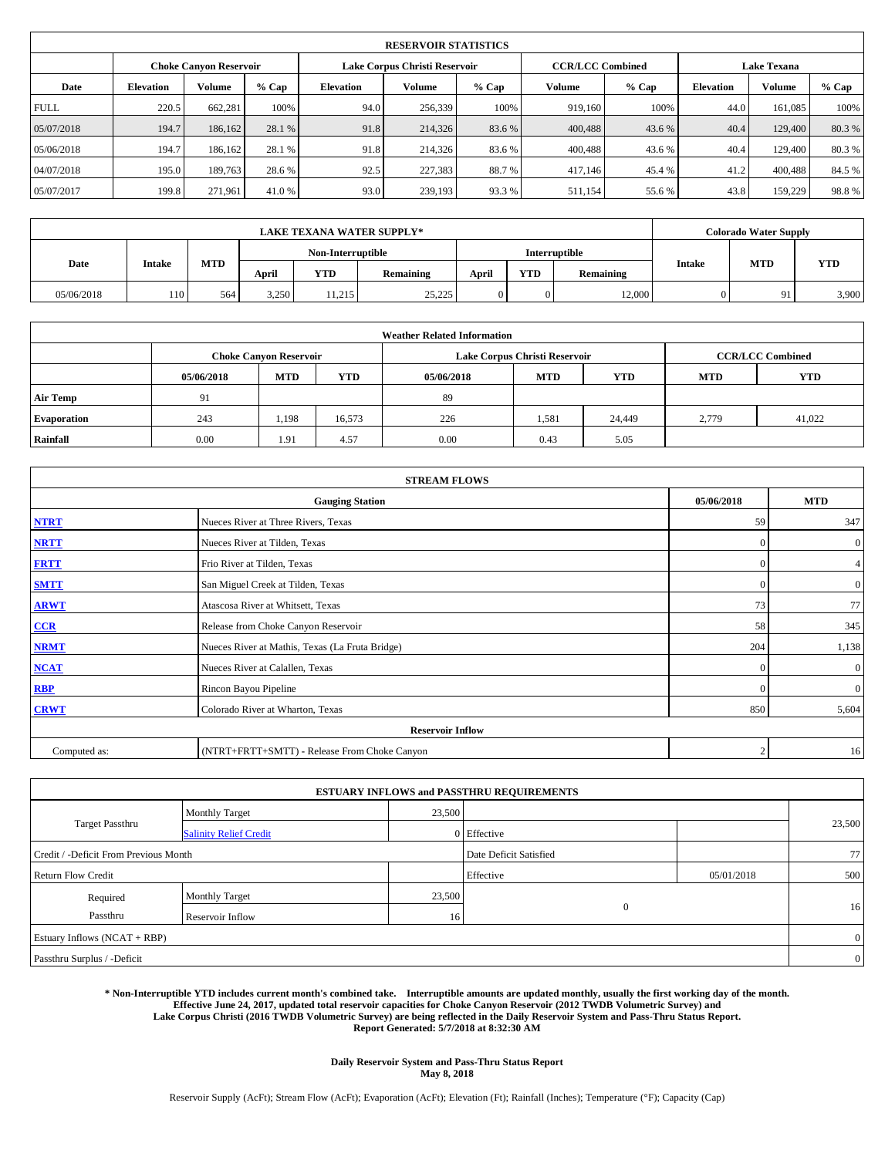|             | <b>RESERVOIR STATISTICS</b> |                               |        |                  |                               |         |                         |         |                    |               |         |  |  |
|-------------|-----------------------------|-------------------------------|--------|------------------|-------------------------------|---------|-------------------------|---------|--------------------|---------------|---------|--|--|
|             |                             | <b>Choke Canyon Reservoir</b> |        |                  | Lake Corpus Christi Reservoir |         | <b>CCR/LCC Combined</b> |         | <b>Lake Texana</b> |               |         |  |  |
| Date        | <b>Elevation</b>            | Volume                        | % Cap  | <b>Elevation</b> | Volume                        | $%$ Cap | Volume                  | $%$ Cap | <b>Elevation</b>   | <b>Volume</b> | $%$ Cap |  |  |
| <b>FULL</b> | 220.5                       | 662,281                       | 100%   | 94.0             | 256,339                       | 100%    | 919.160                 | 100%    | 44.0               | 161.085       | 100%    |  |  |
| 05/07/2018  | 194.7                       | 186,162                       | 28.1 % | 91.8             | 214,326                       | 83.6%   | 400,488                 | 43.6 %  | 40.4               | 129,400       | 80.3%   |  |  |
| 05/06/2018  | 194.7                       | 186.162                       | 28.1 % | 91.8             | 214,326                       | 83.6%   | 400,488                 | 43.6 %  | 40.4               | 129,400       | 80.3%   |  |  |
| 04/07/2018  | 195.0                       | 189,763                       | 28.6%  | 92.5             | 227,383                       | 88.7%   | 417.146                 | 45.4 %  | 41.2               | 400,488       | 84.5 %  |  |  |
| 05/07/2017  | 199.8                       | 271,961                       | 41.0 % | 93.0             | 239,193                       | 93.3%   | 511,154                 | 55.6 %  | 43.8               | 159,229       | 98.8%   |  |  |

| <b>LAKE TEXANA WATER SUPPLY*</b> |     |     |               |                   |        |               |            |           | <b>Colorado Water Supply</b> |            |           |               |            |            |
|----------------------------------|-----|-----|---------------|-------------------|--------|---------------|------------|-----------|------------------------------|------------|-----------|---------------|------------|------------|
|                                  |     |     |               | Non-Interruptible |        | Interruptible |            |           |                              |            |           |               |            |            |
| Date                             |     |     | <b>Intake</b> |                   | MTD    | April         | <b>YTD</b> | Remaining | April                        | <b>YTD</b> | Remaining | <b>Intake</b> | <b>MTD</b> | <b>YTD</b> |
| 05/06/2018                       | 110 | 564 | 3,250         | 11.215            | 25.225 |               | 0          | 12.000    |                              | 91         | 3,900     |               |            |            |

| <b>Weather Related Information</b> |            |                               |            |            |                               |                         |            |            |  |  |
|------------------------------------|------------|-------------------------------|------------|------------|-------------------------------|-------------------------|------------|------------|--|--|
|                                    |            | <b>Choke Canyon Reservoir</b> |            |            | Lake Corpus Christi Reservoir | <b>CCR/LCC Combined</b> |            |            |  |  |
|                                    | 05/06/2018 | <b>MTD</b>                    | <b>YTD</b> | 05/06/2018 | <b>MTD</b>                    | <b>YTD</b>              | <b>MTD</b> | <b>YTD</b> |  |  |
| <b>Air Temp</b>                    | 91         |                               |            | 89         |                               |                         |            |            |  |  |
| <b>Evaporation</b>                 | 243        | 1,198                         | 16,573     | 226        | 1,581                         | 24,449                  | 2,779      | 41,022     |  |  |
| Rainfall                           | 0.00       | 1.91                          | 4.57       | 0.00       | 0.43                          | 5.05                    |            |            |  |  |

| <b>STREAM FLOWS</b> |                                                 |              |                  |  |  |  |  |  |  |
|---------------------|-------------------------------------------------|--------------|------------------|--|--|--|--|--|--|
|                     | <b>Gauging Station</b>                          |              |                  |  |  |  |  |  |  |
| <b>NTRT</b>         | Nueces River at Three Rivers, Texas             |              |                  |  |  |  |  |  |  |
| <b>NRTT</b>         | Nueces River at Tilden, Texas                   | $\mathbf{0}$ | $\boldsymbol{0}$ |  |  |  |  |  |  |
| <b>FRTT</b>         | Frio River at Tilden, Texas                     | $\mathbf{0}$ | 4                |  |  |  |  |  |  |
| <b>SMTT</b>         | San Miguel Creek at Tilden, Texas               | $\mathbf{0}$ | $\boldsymbol{0}$ |  |  |  |  |  |  |
| <b>ARWT</b>         | Atascosa River at Whitsett, Texas               | 73           | 77               |  |  |  |  |  |  |
| CCR                 | Release from Choke Canyon Reservoir             | 58           | 345              |  |  |  |  |  |  |
| <b>NRMT</b>         | Nueces River at Mathis, Texas (La Fruta Bridge) | 204          | 1,138            |  |  |  |  |  |  |
| <b>NCAT</b>         | Nueces River at Calallen, Texas                 | $\mathbf{0}$ | $\mathbf{0}$     |  |  |  |  |  |  |
| RBP                 | Rincon Bayou Pipeline                           | $\Omega$     | $\overline{0}$   |  |  |  |  |  |  |
| <b>CRWT</b>         | Colorado River at Wharton, Texas                | 850          | 5,604            |  |  |  |  |  |  |
|                     | <b>Reservoir Inflow</b>                         |              |                  |  |  |  |  |  |  |
| Computed as:        | $\mathcal{D}_{\mathcal{A}}$                     | 16           |                  |  |  |  |  |  |  |

|                                       |                               |        | <b>ESTUARY INFLOWS and PASSTHRU REQUIREMENTS</b> |            |                |
|---------------------------------------|-------------------------------|--------|--------------------------------------------------|------------|----------------|
|                                       | <b>Monthly Target</b>         | 23,500 |                                                  |            |                |
| <b>Target Passthru</b>                | <b>Salinity Relief Credit</b> |        | 0 Effective                                      |            | 23,500         |
| Credit / -Deficit From Previous Month |                               |        | Date Deficit Satisfied                           |            | 77             |
| <b>Return Flow Credit</b>             |                               |        | Effective                                        | 05/01/2018 | 500            |
| Required                              | Monthly Target                | 23,500 |                                                  |            |                |
| Passthru                              | <b>Reservoir Inflow</b>       | 16     | $\mathbf{0}$                                     |            | 16             |
| Estuary Inflows (NCAT + RBP)          |                               |        |                                                  |            | $\overline{0}$ |
| Passthru Surplus / -Deficit           |                               |        |                                                  |            | $\overline{0}$ |

**\* Non-Interruptible YTD includes current month's combined take. Interruptible amounts are updated monthly, usually the first working day of the month. Effective June 24, 2017, updated total reservoir capacities for Choke Canyon Reservoir (2012 TWDB Volumetric Survey) and Lake Corpus Christi (2016 TWDB Volumetric Survey) are being reflected in the Daily Reservoir System and Pass-Thru Status Report. Report Generated: 5/7/2018 at 8:32:30 AM**

> **Daily Reservoir System and Pass-Thru Status Report May 8, 2018**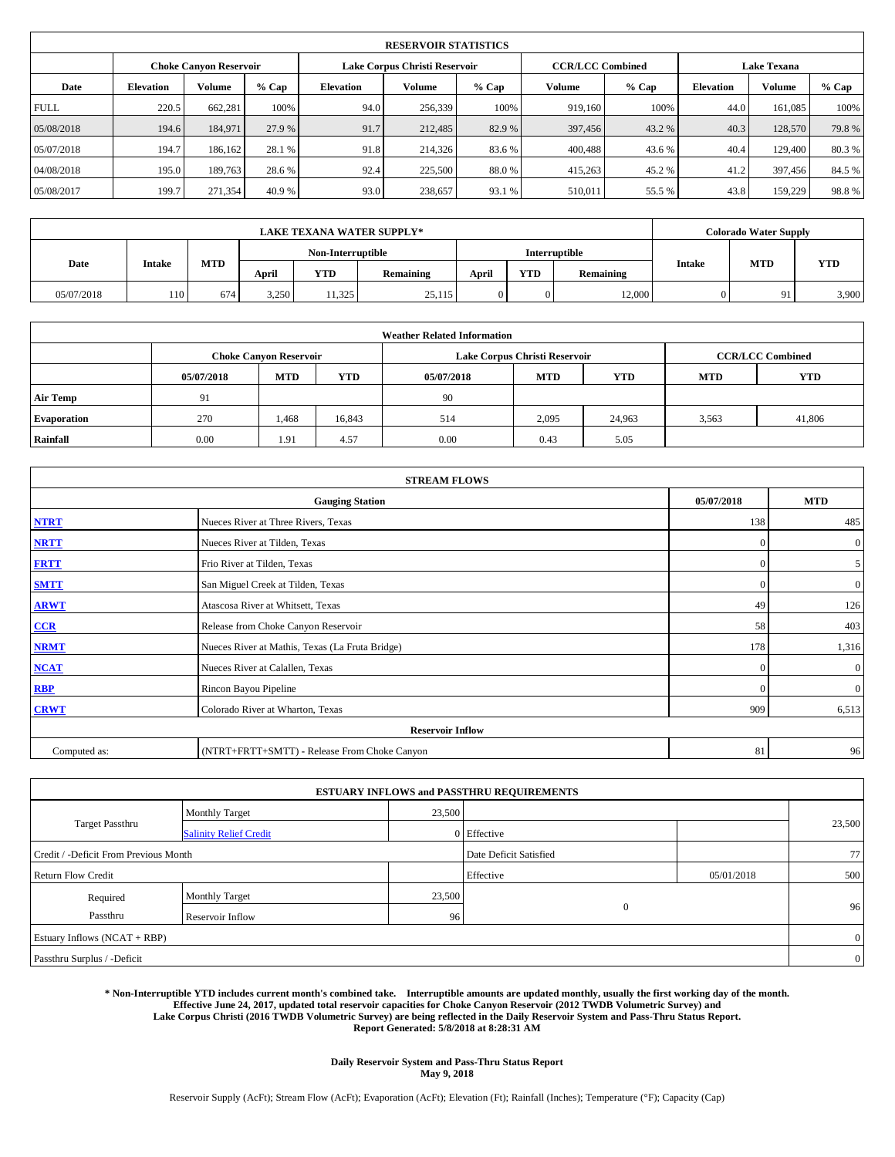|                               | <b>RESERVOIR STATISTICS</b> |         |        |                               |         |         |                         |                    |                  |               |         |  |
|-------------------------------|-----------------------------|---------|--------|-------------------------------|---------|---------|-------------------------|--------------------|------------------|---------------|---------|--|
| <b>Choke Canyon Reservoir</b> |                             |         |        | Lake Corpus Christi Reservoir |         |         | <b>CCR/LCC Combined</b> | <b>Lake Texana</b> |                  |               |         |  |
| Date                          | <b>Elevation</b>            | Volume  | % Cap  | <b>Elevation</b>              | Volume  | $%$ Cap | Volume                  | $%$ Cap            | <b>Elevation</b> | <b>Volume</b> | $%$ Cap |  |
| <b>FULL</b>                   | 220.5                       | 662,281 | 100%   | 94.0                          | 256,339 | 100%    | 919.160                 | 100%               | 44.0             | 161.085       | 100%    |  |
| 05/08/2018                    | 194.6                       | 184,971 | 27.9 % | 91.7                          | 212,485 | 82.9%   | 397,456                 | 43.2 %             | 40.3             | 128,570       | 79.8%   |  |
| 05/07/2018                    | 194.7                       | 186.162 | 28.1 % | 91.8                          | 214,326 | 83.6%   | 400,488                 | 43.6 %             | 40.4             | 129,400       | 80.3%   |  |
| 04/08/2018                    | 195.0                       | 189.763 | 28.6%  | 92.4                          | 225,500 | 88.0%   | 415,263                 | 45.2 %             | 41.2             | 397,456       | 84.5 %  |  |
| 05/08/2017                    | 199.7                       | 271,354 | 40.9%  | 93.0                          | 238,657 | 93.1 %  | 510,011                 | 55.5 %             | 43.8             | 159,229       | 98.8%   |  |

|            | <b>LAKE TEXANA WATER SUPPLY*</b> |     |       |                   |           |       |            |               |               |            | <b>Colorado Water Supply</b> |  |  |
|------------|----------------------------------|-----|-------|-------------------|-----------|-------|------------|---------------|---------------|------------|------------------------------|--|--|
|            |                                  |     |       | Non-Interruptible |           |       |            | Interruptible |               | <b>MTD</b> |                              |  |  |
| Date       | Intake                           | MTD | April | <b>YTD</b>        | Remaining | April | <b>YTD</b> | Remaining     | <b>Intake</b> |            | <b>YTD</b>                   |  |  |
| 05/07/2018 | 110                              | 674 | 3,250 | 11,325            | 25,115    |       | 0          | 12.000        |               | 91         | 3,900                        |  |  |

| <b>Weather Related Information</b> |            |                               |            |            |                               |                         |            |            |  |  |
|------------------------------------|------------|-------------------------------|------------|------------|-------------------------------|-------------------------|------------|------------|--|--|
|                                    |            | <b>Choke Canyon Reservoir</b> |            |            | Lake Corpus Christi Reservoir | <b>CCR/LCC Combined</b> |            |            |  |  |
|                                    | 05/07/2018 | <b>MTD</b>                    | <b>YTD</b> | 05/07/2018 | <b>MTD</b>                    | <b>YTD</b>              | <b>MTD</b> | <b>YTD</b> |  |  |
| <b>Air Temp</b>                    | 91         |                               |            | 90         |                               |                         |            |            |  |  |
| <b>Evaporation</b>                 | 270        | 1,468                         | 16,843     | 514        | 2,095                         | 24,963                  | 3.563      | 41,806     |  |  |
| <b>Rainfall</b>                    | 0.00       | 1.91                          | 4.57       | 0.00       | 0.43                          | 5.05                    |            |            |  |  |

| <b>STREAM FLOWS</b> |                                                 |              |                  |  |  |  |  |  |  |  |
|---------------------|-------------------------------------------------|--------------|------------------|--|--|--|--|--|--|--|
|                     | <b>Gauging Station</b>                          | 05/07/2018   | <b>MTD</b>       |  |  |  |  |  |  |  |
| <b>NTRT</b>         | Nueces River at Three Rivers, Texas             | 138          | 485              |  |  |  |  |  |  |  |
| <b>NRTT</b>         | Nueces River at Tilden, Texas                   | $\mathbf{0}$ | $\mathbf{0}$     |  |  |  |  |  |  |  |
| <b>FRTT</b>         | Frio River at Tilden, Texas                     | $\mathbf{0}$ | 5                |  |  |  |  |  |  |  |
| <b>SMTT</b>         | San Miguel Creek at Tilden, Texas               | $\mathbf{0}$ | $\overline{0}$   |  |  |  |  |  |  |  |
| <b>ARWT</b>         | Atascosa River at Whitsett, Texas               | 49           | 126              |  |  |  |  |  |  |  |
| $CCR$               | Release from Choke Canyon Reservoir             | 58           | 403              |  |  |  |  |  |  |  |
| <b>NRMT</b>         | Nueces River at Mathis, Texas (La Fruta Bridge) | 178          | 1,316            |  |  |  |  |  |  |  |
| <b>NCAT</b>         | Nueces River at Calallen, Texas                 | $\Omega$     | $\boldsymbol{0}$ |  |  |  |  |  |  |  |
| RBP                 | Rincon Bayou Pipeline                           | $\Omega$     | $\mathbf{0}$     |  |  |  |  |  |  |  |
| <b>CRWT</b>         | Colorado River at Wharton, Texas                | 909          | 6,513            |  |  |  |  |  |  |  |
|                     | <b>Reservoir Inflow</b>                         |              |                  |  |  |  |  |  |  |  |
| Computed as:        | (NTRT+FRTT+SMTT) - Release From Choke Canyon    | 81           | 96               |  |  |  |  |  |  |  |

|                                       |                               |        | <b>ESTUARY INFLOWS and PASSTHRU REQUIREMENTS</b> |            |                |  |
|---------------------------------------|-------------------------------|--------|--------------------------------------------------|------------|----------------|--|
|                                       | <b>Monthly Target</b>         | 23,500 |                                                  |            |                |  |
| <b>Target Passthru</b>                | <b>Salinity Relief Credit</b> |        | 0 Effective                                      |            | 23,500         |  |
| Credit / -Deficit From Previous Month |                               |        | Date Deficit Satisfied                           |            | 77             |  |
| <b>Return Flow Credit</b>             |                               |        | Effective                                        | 05/01/2018 | 500            |  |
| Required                              | <b>Monthly Target</b>         | 23,500 |                                                  |            |                |  |
| Passthru                              | Reservoir Inflow              | 96     | $\mathbf{0}$                                     |            | 96             |  |
| Estuary Inflows (NCAT + RBP)          |                               |        |                                                  |            | $\overline{0}$ |  |
| Passthru Surplus / -Deficit           |                               |        |                                                  |            | $\overline{0}$ |  |

**\* Non-Interruptible YTD includes current month's combined take. Interruptible amounts are updated monthly, usually the first working day of the month. Effective June 24, 2017, updated total reservoir capacities for Choke Canyon Reservoir (2012 TWDB Volumetric Survey) and Lake Corpus Christi (2016 TWDB Volumetric Survey) are being reflected in the Daily Reservoir System and Pass-Thru Status Report. Report Generated: 5/8/2018 at 8:28:31 AM**

> **Daily Reservoir System and Pass-Thru Status Report May 9, 2018**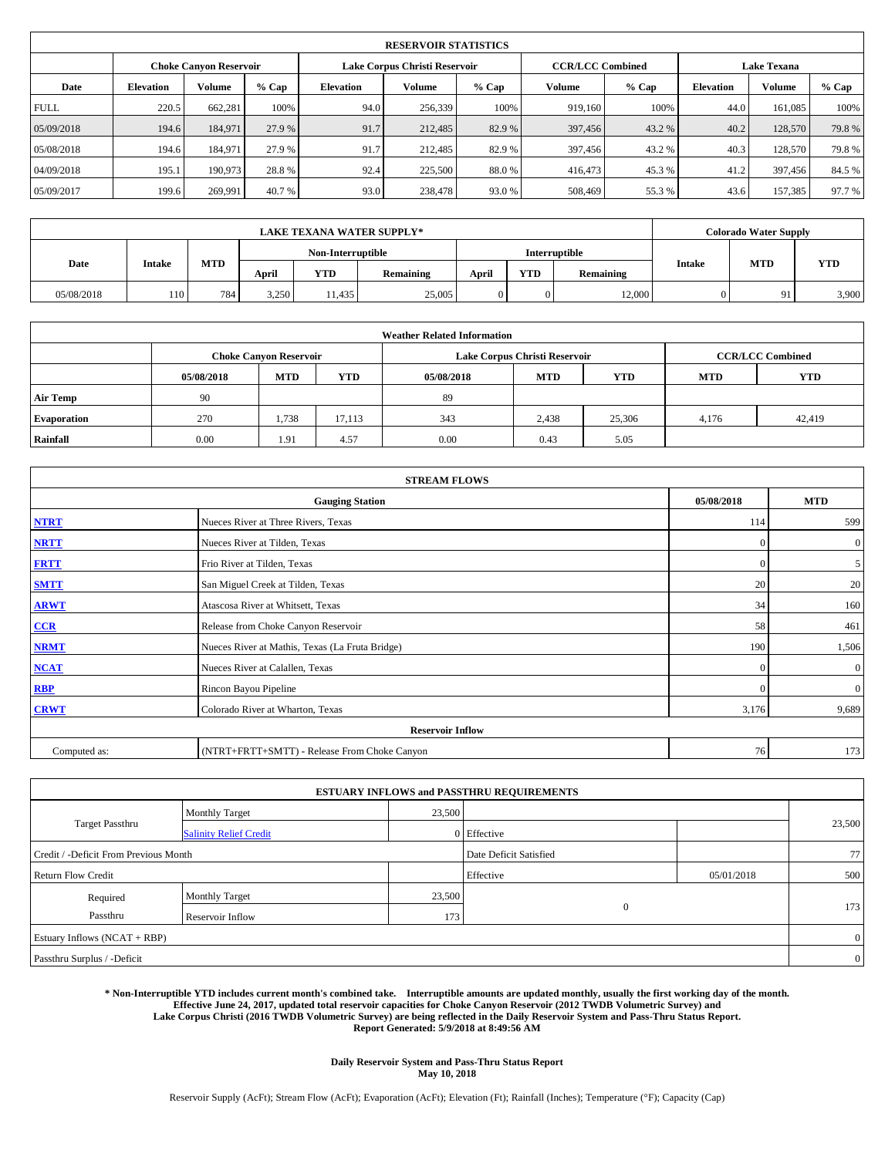|                               | <b>RESERVOIR STATISTICS</b> |         |        |                  |                               |       |                         |        |                    |               |        |  |
|-------------------------------|-----------------------------|---------|--------|------------------|-------------------------------|-------|-------------------------|--------|--------------------|---------------|--------|--|
| <b>Choke Canyon Reservoir</b> |                             |         |        |                  | Lake Corpus Christi Reservoir |       | <b>CCR/LCC Combined</b> |        | <b>Lake Texana</b> |               |        |  |
| Date                          | <b>Elevation</b>            | Volume  | % Cap  | <b>Elevation</b> | Volume                        | % Cap | Volume                  | % Cap  | <b>Elevation</b>   | <b>Volume</b> | % Cap  |  |
| <b>FULL</b>                   | 220.5                       | 662,281 | 100%   | 94.0             | 256,339                       | 100%  | 919.160                 | 100%   | 44.0               | 161.085       | 100%   |  |
| 05/09/2018                    | 194.6                       | 184,971 | 27.9 % | 91.7             | 212,485                       | 82.9% | 397,456                 | 43.2 % | 40.2               | 128,570       | 79.8%  |  |
| 05/08/2018                    | 194.6                       | 184.971 | 27.9 % | 91.7             | 212,485                       | 82.9% | 397,456                 | 43.2 % | 40.3               | 128,570       | 79.8%  |  |
| 04/09/2018                    | 195.1                       | 190.973 | 28.8%  | 92.4             | 225,500                       | 88.0% | 416,473                 | 45.3 % | 41.2               | 397,456       | 84.5 % |  |
| 05/09/2017                    | 199.6                       | 269.991 | 40.7 % | 93.0             | 238,478                       | 93.0% | 508,469                 | 55.3%  | 43.6               | 157.385       | 97.7 % |  |

|            | <b>LAKE TEXANA WATER SUPPLY*</b> |     |       |                   |           |       |            |               |               |     | <b>Colorado Water Supply</b> |  |  |
|------------|----------------------------------|-----|-------|-------------------|-----------|-------|------------|---------------|---------------|-----|------------------------------|--|--|
|            |                                  |     |       | Non-Interruptible |           |       |            | Interruptible |               | MTD |                              |  |  |
| Date       | <b>Intake</b>                    | MTD | April | <b>YTD</b>        | Remaining | April | <b>YTD</b> | Remaining     | <b>Intake</b> |     | <b>YTD</b>                   |  |  |
| 05/08/2018 | 110                              | 784 | 3,250 | 11,435            | 25,005    | 0     | 0          | 12.000        |               | 91  | 3,900                        |  |  |

|                    | <b>Weather Related Information</b> |                               |            |            |                               |                         |            |            |  |  |  |
|--------------------|------------------------------------|-------------------------------|------------|------------|-------------------------------|-------------------------|------------|------------|--|--|--|
|                    |                                    | <b>Choke Canyon Reservoir</b> |            |            | Lake Corpus Christi Reservoir | <b>CCR/LCC Combined</b> |            |            |  |  |  |
|                    | 05/08/2018                         | <b>MTD</b>                    | <b>YTD</b> | 05/08/2018 | <b>MTD</b>                    | <b>YTD</b>              | <b>MTD</b> | <b>YTD</b> |  |  |  |
| <b>Air Temp</b>    | 90                                 |                               |            | 89         |                               |                         |            |            |  |  |  |
| <b>Evaporation</b> | 270                                | 1,738                         | 17,113     | 343        | 2,438                         | 25,306                  | 4,176      | 42,419     |  |  |  |
| Rainfall           | 0.00                               | 1.91                          | 4.57       | 0.00       | 0.43                          | 5.05                    |            |            |  |  |  |

| <b>STREAM FLOWS</b> |                                                 |              |                  |  |  |  |  |  |  |  |
|---------------------|-------------------------------------------------|--------------|------------------|--|--|--|--|--|--|--|
|                     | <b>Gauging Station</b>                          | 05/08/2018   | <b>MTD</b>       |  |  |  |  |  |  |  |
| <b>NTRT</b>         | Nueces River at Three Rivers, Texas             | 114          | 599              |  |  |  |  |  |  |  |
| <b>NRTT</b>         | Nueces River at Tilden, Texas                   | $\mathbf{0}$ | $\mathbf{0}$     |  |  |  |  |  |  |  |
| <b>FRTT</b>         | Frio River at Tilden, Texas                     | $\mathbf{0}$ | 5                |  |  |  |  |  |  |  |
| <b>SMTT</b>         | San Miguel Creek at Tilden, Texas               | 20           | 20               |  |  |  |  |  |  |  |
| <b>ARWT</b>         | Atascosa River at Whitsett, Texas               | 34           | 160              |  |  |  |  |  |  |  |
| $CCR$               | Release from Choke Canyon Reservoir             | 58           | 461              |  |  |  |  |  |  |  |
| <b>NRMT</b>         | Nueces River at Mathis, Texas (La Fruta Bridge) | 190          | 1,506            |  |  |  |  |  |  |  |
| <b>NCAT</b>         | Nueces River at Calallen, Texas                 | $\Omega$     | $\boldsymbol{0}$ |  |  |  |  |  |  |  |
| RBP                 | Rincon Bayou Pipeline                           | $\Omega$     | $\mathbf{0}$     |  |  |  |  |  |  |  |
| <b>CRWT</b>         | Colorado River at Wharton, Texas                | 3,176        | 9,689            |  |  |  |  |  |  |  |
|                     | <b>Reservoir Inflow</b>                         |              |                  |  |  |  |  |  |  |  |
| Computed as:        | (NTRT+FRTT+SMTT) - Release From Choke Canyon    | 76           | 173              |  |  |  |  |  |  |  |

|                                       |                               |                        | <b>ESTUARY INFLOWS and PASSTHRU REQUIREMENTS</b> |            |                |
|---------------------------------------|-------------------------------|------------------------|--------------------------------------------------|------------|----------------|
|                                       | <b>Monthly Target</b>         | 23,500                 |                                                  |            |                |
| <b>Target Passthru</b>                | <b>Salinity Relief Credit</b> |                        | 0 Effective                                      |            | 23,500         |
| Credit / -Deficit From Previous Month |                               | Date Deficit Satisfied |                                                  | 77         |                |
| <b>Return Flow Credit</b>             |                               |                        | Effective                                        | 05/01/2018 | 500            |
| Required                              | Monthly Target                | 23,500                 |                                                  |            |                |
| Passthru                              | <b>Reservoir Inflow</b>       | 173                    | $\mathbf{0}$                                     |            | 173            |
| Estuary Inflows (NCAT + RBP)          |                               |                        |                                                  |            | $\overline{0}$ |
| Passthru Surplus / -Deficit           |                               |                        |                                                  |            | $\overline{0}$ |

**\* Non-Interruptible YTD includes current month's combined take. Interruptible amounts are updated monthly, usually the first working day of the month. Effective June 24, 2017, updated total reservoir capacities for Choke Canyon Reservoir (2012 TWDB Volumetric Survey) and Lake Corpus Christi (2016 TWDB Volumetric Survey) are being reflected in the Daily Reservoir System and Pass-Thru Status Report. Report Generated: 5/9/2018 at 8:49:56 AM**

> **Daily Reservoir System and Pass-Thru Status Report May 10, 2018**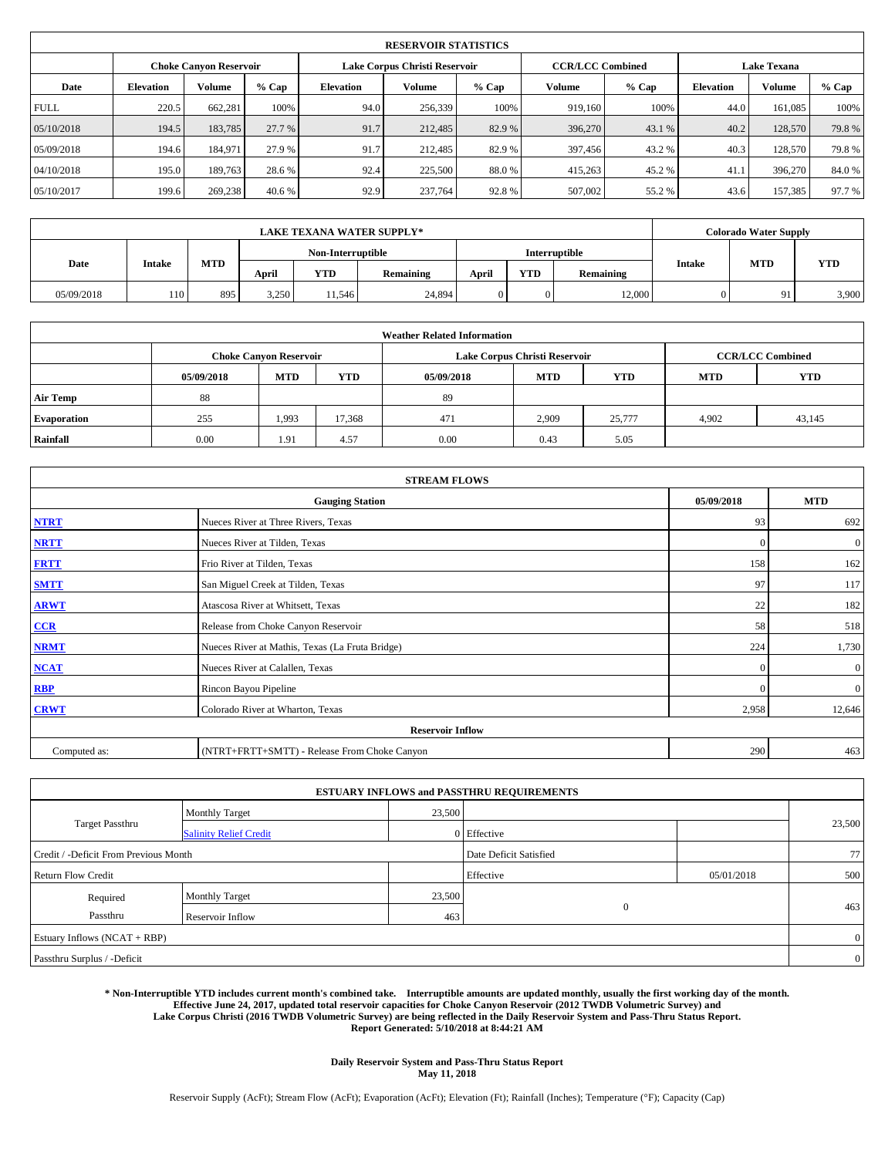|                               | <b>RESERVOIR STATISTICS</b> |         |        |                               |         |         |                         |         |                    |               |         |  |
|-------------------------------|-----------------------------|---------|--------|-------------------------------|---------|---------|-------------------------|---------|--------------------|---------------|---------|--|
| <b>Choke Canyon Reservoir</b> |                             |         |        | Lake Corpus Christi Reservoir |         |         | <b>CCR/LCC Combined</b> |         | <b>Lake Texana</b> |               |         |  |
| Date                          | <b>Elevation</b>            | Volume  | % Cap  | <b>Elevation</b>              | Volume  | $%$ Cap | Volume                  | $%$ Cap | <b>Elevation</b>   | <b>Volume</b> | $%$ Cap |  |
| <b>FULL</b>                   | 220.5                       | 662,281 | 100%   | 94.0                          | 256,339 | 100%    | 919.160                 | 100%    | 44.0               | 161.085       | 100%    |  |
| 05/10/2018                    | 194.5                       | 183,785 | 27.7 % | 91.7                          | 212,485 | 82.9%   | 396,270                 | 43.1 %  | 40.2               | 128,570       | 79.8%   |  |
| 05/09/2018                    | 194.6                       | 184.971 | 27.9 % | 91.7                          | 212,485 | 82.9%   | 397,456                 | 43.2 %  | 40.3               | 128,570       | 79.8%   |  |
| 04/10/2018                    | 195.0                       | 189.763 | 28.6%  | 92.4                          | 225,500 | 88.0%   | 415,263                 | 45.2 %  | 41.1               | 396,270       | 84.0%   |  |
| 05/10/2017                    | 199.6                       | 269,238 | 40.6%  | 92.9                          | 237,764 | 92.8%   | 507,002                 | 55.2 %  | 43.6               | 157,385       | 97.7 %  |  |

|            | <b>LAKE TEXANA WATER SUPPLY*</b> |     |       |                   |           |       |            |               |               |     | <b>Colorado Water Supply</b> |  |  |
|------------|----------------------------------|-----|-------|-------------------|-----------|-------|------------|---------------|---------------|-----|------------------------------|--|--|
|            |                                  |     |       | Non-Interruptible |           |       |            | Interruptible |               | MTD |                              |  |  |
| Date       | <b>Intake</b>                    | MTD | April | <b>YTD</b>        | Remaining | April | <b>YTD</b> | Remaining     | <b>Intake</b> |     | <b>YTD</b>                   |  |  |
| 05/09/2018 | 110                              | 895 | 3,250 | 11,546            | 24.894    | 0     | 0          | 12.000        |               | 91  | 3,900                        |  |  |

| <b>Weather Related Information</b> |            |                               |        |            |                                        |                         |       |        |  |  |
|------------------------------------|------------|-------------------------------|--------|------------|----------------------------------------|-------------------------|-------|--------|--|--|
|                                    |            | <b>Choke Canyon Reservoir</b> |        |            | Lake Corpus Christi Reservoir          | <b>CCR/LCC Combined</b> |       |        |  |  |
|                                    | 05/09/2018 | <b>MTD</b>                    | YTD    | 05/09/2018 | <b>YTD</b><br><b>MTD</b><br><b>MTD</b> |                         |       |        |  |  |
| <b>Air Temp</b>                    | 88         |                               |        | 89         |                                        |                         |       |        |  |  |
| <b>Evaporation</b>                 | 255        | 1,993                         | 17,368 | 471        | 2,909                                  | 25,777                  | 4,902 | 43,145 |  |  |
| <b>Rainfall</b>                    | 0.00       | 1.91                          | 4.57   | 0.00       | 0.43                                   | 5.05                    |       |        |  |  |

| <b>STREAM FLOWS</b>     |                                                 |              |              |  |  |  |  |  |
|-------------------------|-------------------------------------------------|--------------|--------------|--|--|--|--|--|
|                         | 05/09/2018                                      | <b>MTD</b>   |              |  |  |  |  |  |
| <b>NTRT</b>             | Nueces River at Three Rivers, Texas             | 93           | 692          |  |  |  |  |  |
| <b>NRTT</b>             | Nueces River at Tilden, Texas                   | $\mathbf{0}$ | $\mathbf{0}$ |  |  |  |  |  |
| <b>FRTT</b>             | Frio River at Tilden, Texas                     | 158          | 162          |  |  |  |  |  |
| <b>SMTT</b>             | San Miguel Creek at Tilden, Texas               | 97           | 117          |  |  |  |  |  |
| <b>ARWT</b>             | Atascosa River at Whitsett, Texas               | 22           | 182          |  |  |  |  |  |
| $CCR$                   | Release from Choke Canyon Reservoir             | 58           | 518          |  |  |  |  |  |
| <b>NRMT</b>             | Nueces River at Mathis, Texas (La Fruta Bridge) | 224          | 1,730        |  |  |  |  |  |
| <b>NCAT</b>             | Nueces River at Calallen, Texas                 | $\Omega$     | $\mathbf{0}$ |  |  |  |  |  |
| RBP                     | Rincon Bayou Pipeline                           | $\Omega$     | $\mathbf{0}$ |  |  |  |  |  |
| <b>CRWT</b>             | Colorado River at Wharton, Texas                | 2,958        | 12,646       |  |  |  |  |  |
| <b>Reservoir Inflow</b> |                                                 |              |              |  |  |  |  |  |
| Computed as:            | (NTRT+FRTT+SMTT) - Release From Choke Canyon    | 290          | 463          |  |  |  |  |  |

|                                       |                               |        | <b>ESTUARY INFLOWS and PASSTHRU REQUIREMENTS</b> |            |                |  |
|---------------------------------------|-------------------------------|--------|--------------------------------------------------|------------|----------------|--|
|                                       | <b>Monthly Target</b>         | 23,500 |                                                  |            |                |  |
| Target Passthru                       | <b>Salinity Relief Credit</b> |        | 0 Effective                                      |            | 23,500         |  |
| Credit / -Deficit From Previous Month |                               |        | Date Deficit Satisfied                           |            | 77             |  |
| <b>Return Flow Credit</b>             |                               |        | Effective                                        | 05/01/2018 | 500            |  |
| Required                              | <b>Monthly Target</b>         | 23,500 |                                                  |            |                |  |
| Passthru                              | Reservoir Inflow              | 463    | $\mathbf{0}$                                     |            | 463            |  |
| Estuary Inflows (NCAT + RBP)          |                               |        |                                                  |            | $\overline{0}$ |  |
| Passthru Surplus / -Deficit           |                               |        |                                                  |            | $\overline{0}$ |  |

**\* Non-Interruptible YTD includes current month's combined take. Interruptible amounts are updated monthly, usually the first working day of the month. Effective June 24, 2017, updated total reservoir capacities for Choke Canyon Reservoir (2012 TWDB Volumetric Survey) and Lake Corpus Christi (2016 TWDB Volumetric Survey) are being reflected in the Daily Reservoir System and Pass-Thru Status Report. Report Generated: 5/10/2018 at 8:44:21 AM**

> **Daily Reservoir System and Pass-Thru Status Report May 11, 2018**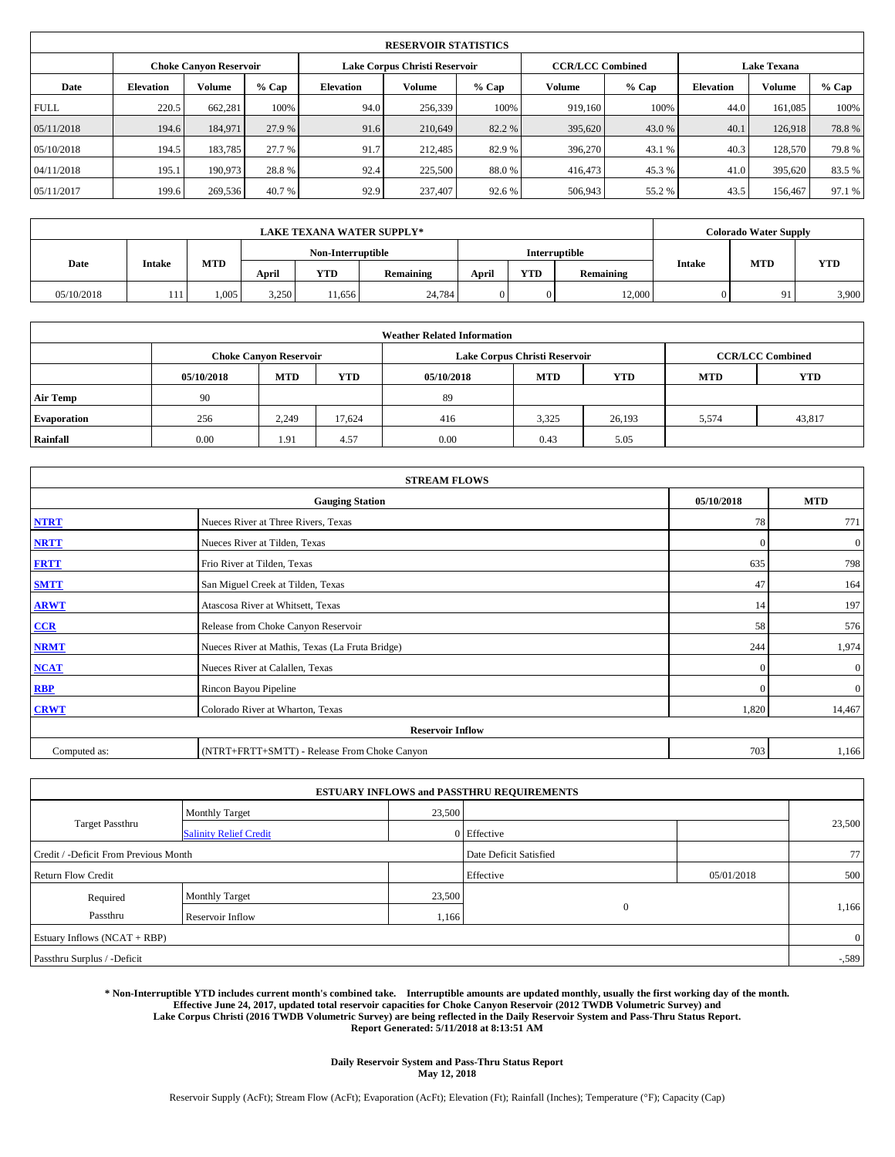|             | <b>RESERVOIR STATISTICS</b> |                               |         |           |                               |         |                         |        |                    |               |        |  |
|-------------|-----------------------------|-------------------------------|---------|-----------|-------------------------------|---------|-------------------------|--------|--------------------|---------------|--------|--|
|             |                             | <b>Choke Canyon Reservoir</b> |         |           | Lake Corpus Christi Reservoir |         | <b>CCR/LCC Combined</b> |        | <b>Lake Texana</b> |               |        |  |
| Date        | <b>Elevation</b>            | Volume                        | $%$ Cap | Elevation | Volume                        | $%$ Cap | Volume                  | % Cap  | <b>Elevation</b>   | <b>Volume</b> | % Cap  |  |
| <b>FULL</b> | 220.5                       | 662,281                       | 100%    | 94.0      | 256,339                       | 100%    | 919.160                 | 100%   | 44.0               | 161.085       | 100%   |  |
| 05/11/2018  | 194.6                       | 184,971                       | 27.9 %  | 91.6      | 210.649                       | 82.2 %  | 395,620                 | 43.0 % | 40.1               | 126.918       | 78.8%  |  |
| 05/10/2018  | 194.5                       | 183,785                       | 27.7 %  | 91.7      | 212,485                       | 82.9 %  | 396,270                 | 43.1 % | 40.3               | 128,570       | 79.8%  |  |
| 04/11/2018  | 195.1                       | 190,973                       | 28.8%   | 92.4      | 225,500                       | 88.0%   | 416,473                 | 45.3 % | 41.0               | 395,620       | 83.5%  |  |
| 05/11/2017  | 199.6                       | 269,536                       | 40.7 %  | 92.9      | 237,407                       | 92.6%   | 506,943                 | 55.2%  | 43.5               | 156,467       | 97.1 % |  |

| <b>LAKE TEXANA WATER SUPPLY*</b> |        |            |       |                   |           |       |            |               |               | <b>Colorado Water Supply</b> |            |
|----------------------------------|--------|------------|-------|-------------------|-----------|-------|------------|---------------|---------------|------------------------------|------------|
|                                  |        |            |       | Non-Interruptible |           |       |            | Interruptible |               |                              |            |
| Date                             | Intake | <b>MTD</b> | April | YTD               | Remaining | April | <b>YTD</b> | Remaining     | <b>Intake</b> | <b>MTD</b>                   | <b>YTD</b> |
| 05/10/2018                       | 111    | 1,005      | 3,250 | 11,656            | 24.784    | 0     |            | 12,000        |               | 91                           | 3,900      |

| <b>Weather Related Information</b> |            |                               |            |            |                               |                         |            |            |  |
|------------------------------------|------------|-------------------------------|------------|------------|-------------------------------|-------------------------|------------|------------|--|
|                                    |            | <b>Choke Canyon Reservoir</b> |            |            | Lake Corpus Christi Reservoir | <b>CCR/LCC Combined</b> |            |            |  |
|                                    | 05/10/2018 | <b>MTD</b>                    | <b>YTD</b> | 05/10/2018 | <b>MTD</b>                    | <b>YTD</b>              | <b>MTD</b> | <b>YTD</b> |  |
| <b>Air Temp</b>                    | 90         |                               |            | 89         |                               |                         |            |            |  |
| <b>Evaporation</b>                 | 256        | 2,249                         | 17.624     | 416        | 3,325                         | 26,193                  | 5,574      | 43,817     |  |
| Rainfall                           | 0.00       | 1.91                          | 4.57       | 0.00       | 0.43                          | 5.05                    |            |            |  |

| <b>STREAM FLOWS</b> |                                                 |              |                |  |  |  |  |  |
|---------------------|-------------------------------------------------|--------------|----------------|--|--|--|--|--|
|                     | 05/10/2018                                      | <b>MTD</b>   |                |  |  |  |  |  |
| <b>NTRT</b>         | Nueces River at Three Rivers, Texas             | 78           | 771            |  |  |  |  |  |
| <b>NRTT</b>         | Nueces River at Tilden, Texas                   | $\mathbf{0}$ | $\mathbf{0}$   |  |  |  |  |  |
| <b>FRTT</b>         | Frio River at Tilden, Texas                     | 635          | 798            |  |  |  |  |  |
| <b>SMTT</b>         | San Miguel Creek at Tilden, Texas               | 47           | 164            |  |  |  |  |  |
| <b>ARWT</b>         | Atascosa River at Whitsett, Texas               | 14           | 197            |  |  |  |  |  |
| $CCR$               | Release from Choke Canyon Reservoir             | 58           | 576            |  |  |  |  |  |
| <b>NRMT</b>         | Nueces River at Mathis, Texas (La Fruta Bridge) | 244          | 1,974          |  |  |  |  |  |
| <b>NCAT</b>         | Nueces River at Calallen, Texas                 | $\mathbf{0}$ | $\mathbf{0}$   |  |  |  |  |  |
| RBP                 | Rincon Bayou Pipeline                           | $\Omega$     | $\overline{0}$ |  |  |  |  |  |
| <b>CRWT</b>         | Colorado River at Wharton, Texas                | 1,820        | 14,467         |  |  |  |  |  |
|                     | <b>Reservoir Inflow</b>                         |              |                |  |  |  |  |  |
| Computed as:        | (NTRT+FRTT+SMTT) - Release From Choke Canyon    | 703          | 1,166          |  |  |  |  |  |

|                                       |                               |        | <b>ESTUARY INFLOWS and PASSTHRU REQUIREMENTS</b> |            |                |
|---------------------------------------|-------------------------------|--------|--------------------------------------------------|------------|----------------|
|                                       | <b>Monthly Target</b>         | 23,500 |                                                  |            |                |
| <b>Target Passthru</b>                | <b>Salinity Relief Credit</b> |        | 0 Effective                                      |            | 23,500         |
| Credit / -Deficit From Previous Month |                               |        | Date Deficit Satisfied                           |            | 77             |
| <b>Return Flow Credit</b>             |                               |        | Effective                                        | 05/01/2018 | 500            |
| Required                              | Monthly Target                | 23,500 |                                                  |            |                |
| Passthru                              | <b>Reservoir Inflow</b>       | 1,166  | $\mathbf{0}$                                     |            | 1,166          |
| Estuary Inflows (NCAT + RBP)          |                               |        |                                                  |            | $\overline{0}$ |
| Passthru Surplus / -Deficit           |                               |        |                                                  |            | $-.589$        |

**\* Non-Interruptible YTD includes current month's combined take. Interruptible amounts are updated monthly, usually the first working day of the month. Effective June 24, 2017, updated total reservoir capacities for Choke Canyon Reservoir (2012 TWDB Volumetric Survey) and Lake Corpus Christi (2016 TWDB Volumetric Survey) are being reflected in the Daily Reservoir System and Pass-Thru Status Report. Report Generated: 5/11/2018 at 8:13:51 AM**

> **Daily Reservoir System and Pass-Thru Status Report May 12, 2018**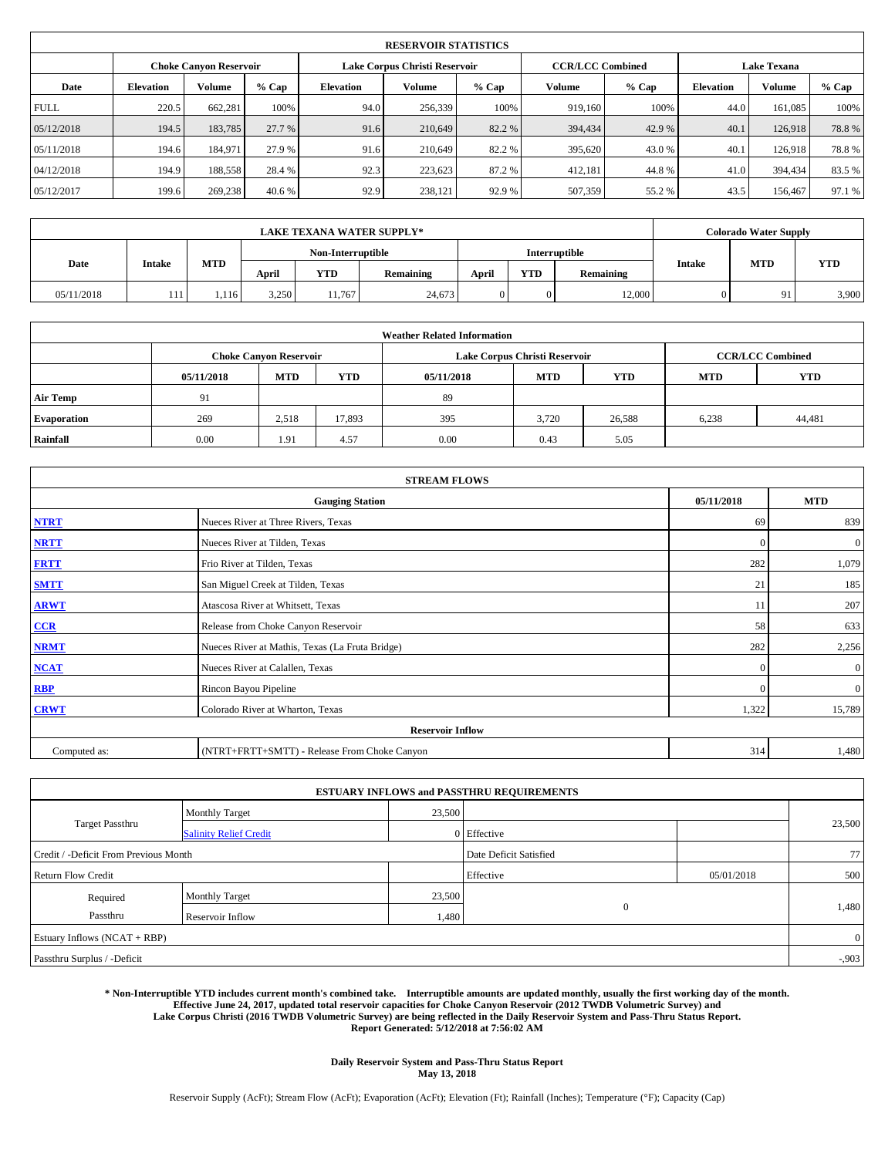|             | <b>RESERVOIR STATISTICS</b> |                               |         |           |                               |         |                         |         |                    |               |        |  |
|-------------|-----------------------------|-------------------------------|---------|-----------|-------------------------------|---------|-------------------------|---------|--------------------|---------------|--------|--|
|             |                             | <b>Choke Canyon Reservoir</b> |         |           | Lake Corpus Christi Reservoir |         | <b>CCR/LCC Combined</b> |         | <b>Lake Texana</b> |               |        |  |
| Date        | <b>Elevation</b>            | Volume                        | $%$ Cap | Elevation | Volume                        | $%$ Cap | Volume                  | $%$ Cap | <b>Elevation</b>   | <b>Volume</b> | % Cap  |  |
| <b>FULL</b> | 220.5                       | 662,281                       | 100%    | 94.0      | 256,339                       | 100%    | 919.160                 | 100%    | 44.0               | 161.085       | 100%   |  |
| 05/12/2018  | 194.5                       | 183,785                       | 27.7 %  | 91.6      | 210.649                       | 82.2 %  | 394,434                 | 42.9 %  | 40.1               | 126,918       | 78.8%  |  |
| 05/11/2018  | 194.6                       | 184.971                       | 27.9 %  | 91.6      | 210.649                       | 82.2%   | 395,620                 | 43.0 %  | 40.1               | 126.918       | 78.8%  |  |
| 04/12/2018  | 194.9                       | 188,558                       | 28.4%   | 92.3      | 223,623                       | 87.2%   | 412,181                 | 44.8%   | 41.0               | 394,434       | 83.5%  |  |
| 05/12/2017  | 199.6                       | 269,238                       | 40.6 %  | 92.9      | 238,121                       | 92.9%   | 507,359                 | 55.2%   | 43.5               | 156,467       | 97.1 % |  |

| <b>LAKE TEXANA WATER SUPPLY*</b> |        |            |       |                   |           |       |            |               |               | <b>Colorado Water Supply</b> |            |
|----------------------------------|--------|------------|-------|-------------------|-----------|-------|------------|---------------|---------------|------------------------------|------------|
|                                  |        |            |       | Non-Interruptible |           |       |            | Interruptible |               |                              |            |
| Date                             | Intake | <b>MTD</b> | April | YTD               | Remaining | April | <b>YTD</b> | Remaining     | <b>Intake</b> | <b>MTD</b>                   | <b>YTD</b> |
| 05/11/2018                       | 111    | 1,116      | 3,250 | 11.767            | 24,673    | 0     |            | 12,000        |               | 91                           | 3,900      |

| <b>Weather Related Information</b> |            |                               |            |            |                               |                         |            |            |  |
|------------------------------------|------------|-------------------------------|------------|------------|-------------------------------|-------------------------|------------|------------|--|
|                                    |            | <b>Choke Canvon Reservoir</b> |            |            | Lake Corpus Christi Reservoir | <b>CCR/LCC Combined</b> |            |            |  |
|                                    | 05/11/2018 | <b>MTD</b>                    | <b>YTD</b> | 05/11/2018 | <b>MTD</b>                    | <b>YTD</b>              | <b>MTD</b> | <b>YTD</b> |  |
| Air Temp                           | 91         |                               |            | 89         |                               |                         |            |            |  |
| <b>Evaporation</b>                 | 269        | 2,518                         | 17,893     | 395        | 3,720                         | 26,588                  | 6,238      | 44,481     |  |
| Rainfall                           | 0.00       | 1.91                          | 4.57       | 0.00       | 0.43                          | 5.05                    |            |            |  |

| <b>STREAM FLOWS</b> |                                                 |              |              |  |  |  |  |  |
|---------------------|-------------------------------------------------|--------------|--------------|--|--|--|--|--|
|                     | 05/11/2018                                      | <b>MTD</b>   |              |  |  |  |  |  |
| <b>NTRT</b>         | Nueces River at Three Rivers, Texas             | 69           | 839          |  |  |  |  |  |
| <b>NRTT</b>         | Nueces River at Tilden, Texas                   | $\mathbf{0}$ | $\mathbf{0}$ |  |  |  |  |  |
| <b>FRTT</b>         | Frio River at Tilden, Texas                     | 282          | 1,079        |  |  |  |  |  |
| <b>SMTT</b>         | San Miguel Creek at Tilden, Texas               | 21           | 185          |  |  |  |  |  |
| <b>ARWT</b>         | Atascosa River at Whitsett, Texas               | 11           | 207          |  |  |  |  |  |
| $CCR$               | Release from Choke Canyon Reservoir             | 58           | 633          |  |  |  |  |  |
| <b>NRMT</b>         | Nueces River at Mathis, Texas (La Fruta Bridge) | 282          | 2,256        |  |  |  |  |  |
| <b>NCAT</b>         | Nueces River at Calallen, Texas                 | $\mathbf{0}$ | $\mathbf{0}$ |  |  |  |  |  |
| RBP                 | Rincon Bayou Pipeline                           | $\Omega$     | $\mathbf{0}$ |  |  |  |  |  |
| <b>CRWT</b>         | Colorado River at Wharton, Texas                | 1,322        | 15,789       |  |  |  |  |  |
|                     | <b>Reservoir Inflow</b>                         |              |              |  |  |  |  |  |
| Computed as:        | (NTRT+FRTT+SMTT) - Release From Choke Canyon    | 314          | 1,480        |  |  |  |  |  |

|                                       |                               |        | <b>ESTUARY INFLOWS and PASSTHRU REQUIREMENTS</b> |            |                |
|---------------------------------------|-------------------------------|--------|--------------------------------------------------|------------|----------------|
|                                       | <b>Monthly Target</b>         | 23,500 |                                                  |            |                |
| <b>Target Passthru</b>                | <b>Salinity Relief Credit</b> |        | 0 Effective                                      |            | 23,500         |
| Credit / -Deficit From Previous Month |                               |        | Date Deficit Satisfied                           |            | 77             |
| <b>Return Flow Credit</b>             |                               |        | Effective                                        | 05/01/2018 | 500            |
| Required                              | Monthly Target                | 23,500 |                                                  |            |                |
| Passthru                              | <b>Reservoir Inflow</b>       | 1,480  | $\mathbf{0}$                                     |            | 1,480          |
| Estuary Inflows (NCAT + RBP)          |                               |        |                                                  |            | $\overline{0}$ |
| Passthru Surplus / -Deficit           |                               |        |                                                  |            | $-0.903$       |

**\* Non-Interruptible YTD includes current month's combined take. Interruptible amounts are updated monthly, usually the first working day of the month. Effective June 24, 2017, updated total reservoir capacities for Choke Canyon Reservoir (2012 TWDB Volumetric Survey) and Lake Corpus Christi (2016 TWDB Volumetric Survey) are being reflected in the Daily Reservoir System and Pass-Thru Status Report. Report Generated: 5/12/2018 at 7:56:02 AM**

> **Daily Reservoir System and Pass-Thru Status Report May 13, 2018**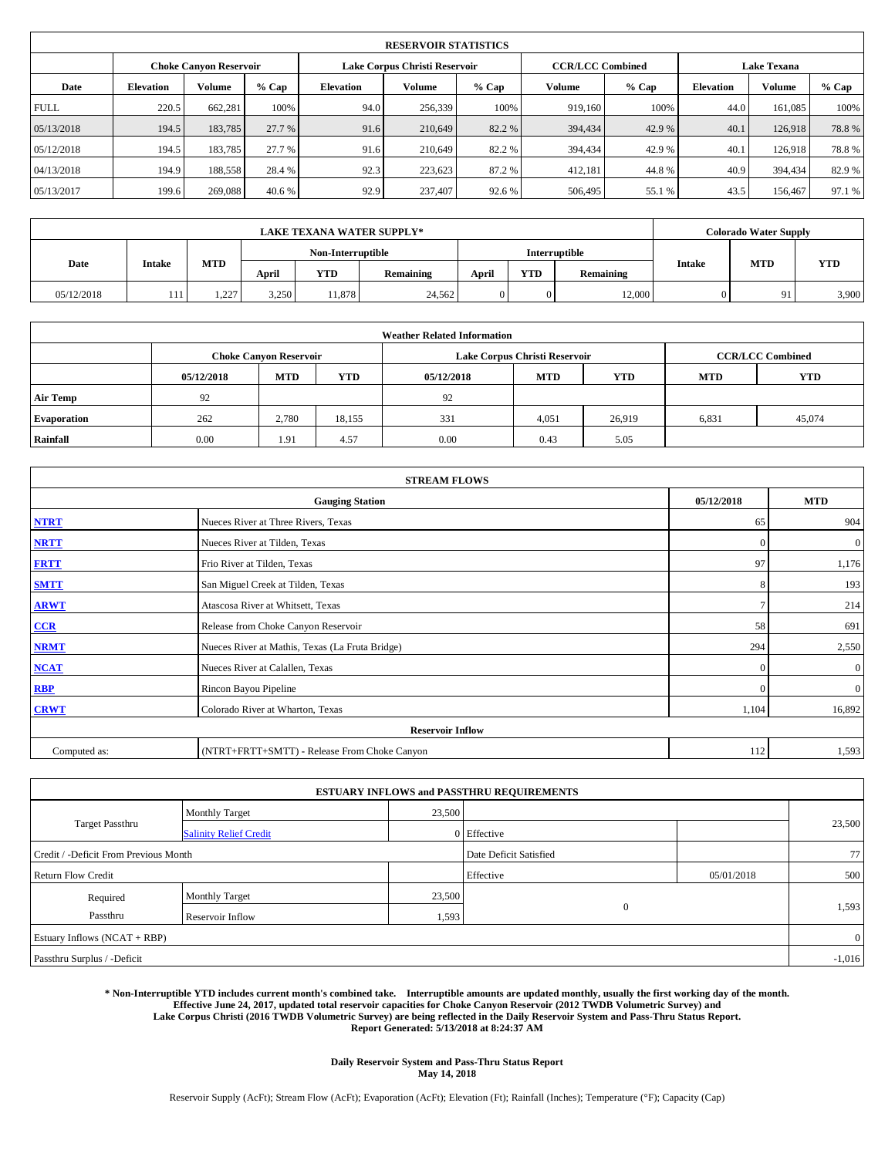|             | <b>RESERVOIR STATISTICS</b>   |         |         |           |                               |         |         |                         |                    |         |               |  |       |  |
|-------------|-------------------------------|---------|---------|-----------|-------------------------------|---------|---------|-------------------------|--------------------|---------|---------------|--|-------|--|
|             | <b>Choke Canyon Reservoir</b> |         |         |           | Lake Corpus Christi Reservoir |         |         | <b>CCR/LCC Combined</b> | <b>Lake Texana</b> |         |               |  |       |  |
| Date        | <b>Elevation</b>              | Volume  | $%$ Cap | Elevation | Volume                        | $%$ Cap | Volume  | $%$ Cap                 | <b>Elevation</b>   |         | <b>Volume</b> |  | % Cap |  |
| <b>FULL</b> | 220.5                         | 662,281 | 100%    | 94.0      | 256,339                       | 100%    | 919.160 | 100%                    | 44.0               | 161.085 | 100%          |  |       |  |
| 05/13/2018  | 194.5                         | 183,785 | 27.7 %  | 91.6      | 210.649                       | 82.2 %  | 394,434 | 42.9 %                  | 40.1               | 126,918 | 78.8%         |  |       |  |
| 05/12/2018  | 194.5                         | 183.785 | 27.7 %  | 91.6      | 210.649                       | 82.2%   | 394,434 | 42.9 %                  | 40.1               | 126.918 | 78.8%         |  |       |  |
| 04/13/2018  | 194.9                         | 188,558 | 28.4%   | 92.3      | 223,623                       | 87.2%   | 412,181 | 44.8%                   | 40.9               | 394,434 | 82.9%         |  |       |  |
| 05/13/2017  | 199.6                         | 269,088 | 40.6 %  | 92.9      | 237,407                       | 92.6 %  | 506,495 | 55.1 %                  | 43.5               | 156,467 | 97.1 %        |  |       |  |

|            | <b>LAKE TEXANA WATER SUPPLY*</b> |                   |       |        |           |       |               |           |               | <b>Colorado Water Supply</b> |            |  |  |
|------------|----------------------------------|-------------------|-------|--------|-----------|-------|---------------|-----------|---------------|------------------------------|------------|--|--|
|            |                                  | Non-Interruptible |       |        |           |       | Interruptible |           |               |                              |            |  |  |
| Date       | Intake                           | <b>MTD</b>        | April | YTD    | Remaining | April | <b>YTD</b>    | Remaining | <b>Intake</b> | <b>MTD</b>                   | <b>YTD</b> |  |  |
| 05/12/2018 | 111                              | 227<br>1.221      | 3,250 | 11,878 | 24,562    | 0     |               | 12,000    |               | 91                           | 3,900      |  |  |

|                    | <b>Weather Related Information</b> |                               |            |            |                               |                         |       |        |  |  |  |  |  |
|--------------------|------------------------------------|-------------------------------|------------|------------|-------------------------------|-------------------------|-------|--------|--|--|--|--|--|
|                    |                                    | <b>Choke Canyon Reservoir</b> |            |            | Lake Corpus Christi Reservoir | <b>CCR/LCC Combined</b> |       |        |  |  |  |  |  |
|                    | 05/12/2018                         | <b>MTD</b>                    | <b>MTD</b> | <b>YTD</b> |                               |                         |       |        |  |  |  |  |  |
| <b>Air Temp</b>    | 92                                 |                               |            | 92         |                               |                         |       |        |  |  |  |  |  |
| <b>Evaporation</b> | 262                                | 2,780                         | 18,155     | 331        | 4,051                         | 26,919                  | 6,831 | 45,074 |  |  |  |  |  |
| Rainfall           | 0.00                               | 1.91                          | 4.57       | 0.00       | 0.43                          | 5.05                    |       |        |  |  |  |  |  |

| <b>STREAM FLOWS</b> |                                                 |               |              |  |  |  |  |  |  |  |
|---------------------|-------------------------------------------------|---------------|--------------|--|--|--|--|--|--|--|
|                     | <b>Gauging Station</b>                          | 05/12/2018    | <b>MTD</b>   |  |  |  |  |  |  |  |
| <b>NTRT</b>         | Nueces River at Three Rivers, Texas             | 65            | 904          |  |  |  |  |  |  |  |
| <b>NRTT</b>         | Nueces River at Tilden, Texas                   | $\mathbf{0}$  | $\mathbf{0}$ |  |  |  |  |  |  |  |
| <b>FRTT</b>         | Frio River at Tilden, Texas                     | 97            | 1,176        |  |  |  |  |  |  |  |
| <b>SMTT</b>         | San Miguel Creek at Tilden, Texas               | 8             | 193          |  |  |  |  |  |  |  |
| <b>ARWT</b>         | Atascosa River at Whitsett, Texas               | $\mathcal{I}$ | 214          |  |  |  |  |  |  |  |
| $CCR$               | Release from Choke Canyon Reservoir             | 58            | 691          |  |  |  |  |  |  |  |
| <b>NRMT</b>         | Nueces River at Mathis, Texas (La Fruta Bridge) | 294           | 2,550        |  |  |  |  |  |  |  |
| <b>NCAT</b>         | Nueces River at Calallen, Texas                 | $\mathbf{0}$  | $\mathbf{0}$ |  |  |  |  |  |  |  |
| RBP                 | Rincon Bayou Pipeline                           | $\Omega$      | $\mathbf{0}$ |  |  |  |  |  |  |  |
| <b>CRWT</b>         | Colorado River at Wharton, Texas                | 1,104         | 16,892       |  |  |  |  |  |  |  |
|                     | <b>Reservoir Inflow</b>                         |               |              |  |  |  |  |  |  |  |
| Computed as:        | (NTRT+FRTT+SMTT) - Release From Choke Canyon    | 112           | 1,593        |  |  |  |  |  |  |  |

|                                       |                               |        | <b>ESTUARY INFLOWS and PASSTHRU REQUIREMENTS</b> |            |                |  |  |  |
|---------------------------------------|-------------------------------|--------|--------------------------------------------------|------------|----------------|--|--|--|
|                                       | <b>Monthly Target</b>         | 23,500 |                                                  |            |                |  |  |  |
| <b>Target Passthru</b>                | <b>Salinity Relief Credit</b> |        | 0 Effective                                      |            | 23,500         |  |  |  |
| Credit / -Deficit From Previous Month |                               |        | Date Deficit Satisfied                           |            | 77             |  |  |  |
| <b>Return Flow Credit</b>             |                               |        | Effective                                        | 05/01/2018 | 500            |  |  |  |
| Required                              | <b>Monthly Target</b>         | 23,500 |                                                  |            |                |  |  |  |
| Passthru                              | Reservoir Inflow              | 1,593  | $\mathbf{0}$                                     |            | 1,593          |  |  |  |
| Estuary Inflows (NCAT + RBP)          |                               |        |                                                  |            | $\overline{0}$ |  |  |  |
| Passthru Surplus / -Deficit           |                               |        |                                                  |            |                |  |  |  |

**\* Non-Interruptible YTD includes current month's combined take. Interruptible amounts are updated monthly, usually the first working day of the month. Effective June 24, 2017, updated total reservoir capacities for Choke Canyon Reservoir (2012 TWDB Volumetric Survey) and Lake Corpus Christi (2016 TWDB Volumetric Survey) are being reflected in the Daily Reservoir System and Pass-Thru Status Report. Report Generated: 5/13/2018 at 8:24:37 AM**

> **Daily Reservoir System and Pass-Thru Status Report May 14, 2018**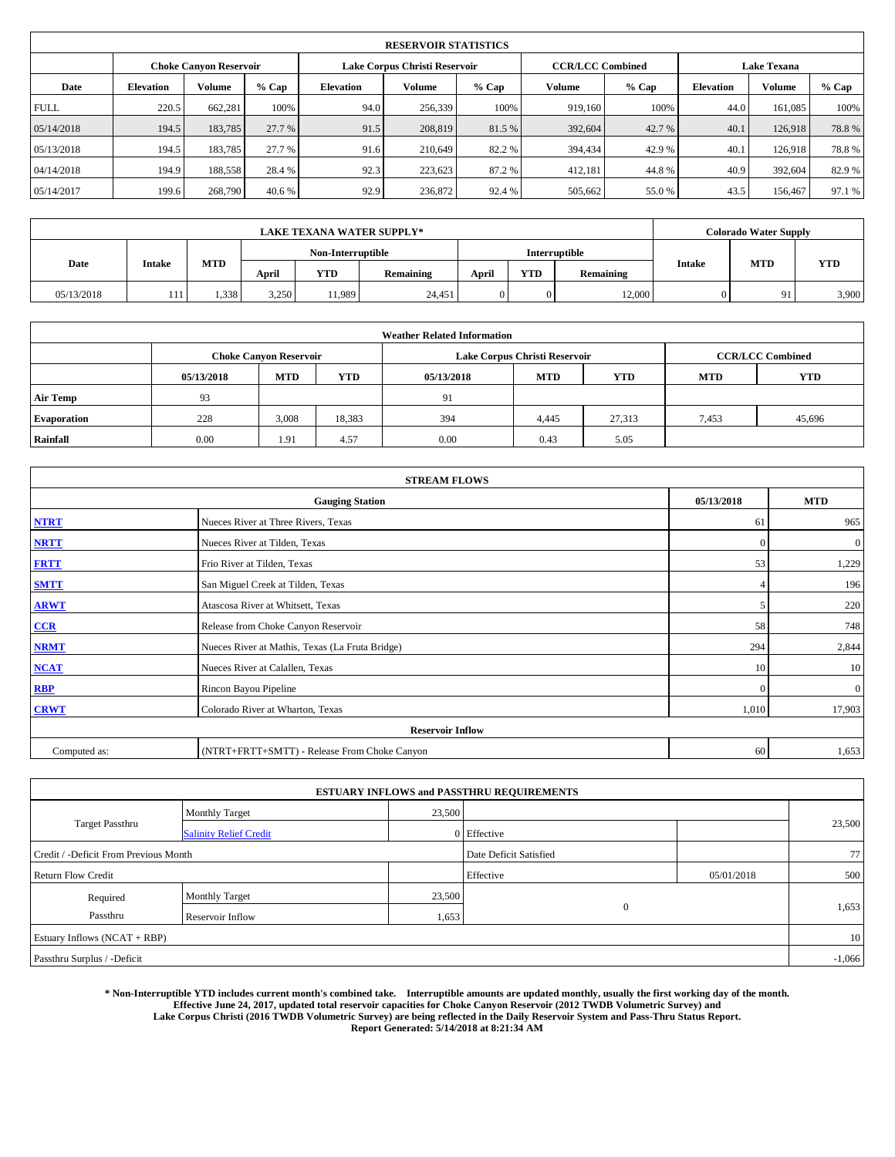|                               | <b>RESERVOIR STATISTICS</b> |         |         |                               |         |         |                         |        |                    |               |        |  |  |  |
|-------------------------------|-----------------------------|---------|---------|-------------------------------|---------|---------|-------------------------|--------|--------------------|---------------|--------|--|--|--|
| <b>Choke Canyon Reservoir</b> |                             |         |         | Lake Corpus Christi Reservoir |         |         | <b>CCR/LCC Combined</b> |        | <b>Lake Texana</b> |               |        |  |  |  |
| Date                          | <b>Elevation</b>            | Volume  | $%$ Cap | Elevation                     | Volume  | $%$ Cap | Volume                  | % Cap  | <b>Elevation</b>   | <b>Volume</b> | % Cap  |  |  |  |
| <b>FULL</b>                   | 220.5                       | 662,281 | 100%    | 94.0                          | 256,339 | 100%    | 919.160                 | 100%   | 44.0               | 161.085       | 100%   |  |  |  |
| 05/14/2018                    | 194.5                       | 183,785 | 27.7 %  | 91.5                          | 208,819 | 81.5 %  | 392,604                 | 42.7 % | 40.1               | 126.918       | 78.8%  |  |  |  |
| 05/13/2018                    | 194.5                       | 183,785 | 27.7 %  | 91.6                          | 210.649 | 82.2%   | 394,434                 | 42.9 % | 40.1               | 126.918       | 78.8%  |  |  |  |
| 04/14/2018                    | 194.9                       | 188,558 | 28.4%   | 92.3                          | 223,623 | 87.2%   | 412,181                 | 44.8%  | 40.9               | 392,604       | 82.9 % |  |  |  |
| 05/14/2017                    | 199.6                       | 268,790 | 40.6 %  | 92.9                          | 236,872 | 92.4 %  | 505,662                 | 55.0%  | 43.5               | 156,467       | 97.1 % |  |  |  |

| <b>LAKE TEXANA WATER SUPPLY*</b> |                    |       |                   |            |           |       |            |                      | <b>Colorado Water Supply</b> |            |            |  |
|----------------------------------|--------------------|-------|-------------------|------------|-----------|-------|------------|----------------------|------------------------------|------------|------------|--|
|                                  |                    |       | Non-Interruptible |            |           |       |            | <b>Interruptible</b> |                              |            |            |  |
| Date                             | <b>Intake</b>      | MTD   | April             | <b>YTD</b> | Remaining | April | <b>YTD</b> | Remaining            | <b>Intake</b>                | <b>MTD</b> | <b>YTD</b> |  |
| 05/13/2018                       | $\blacksquare$<br> | 1,338 | 3,250             | 11.989     | 24.451    |       | $\Omega$   | 12,000               |                              | $Q_1$      | 3,900      |  |

|                    | <b>Weather Related Information</b> |                               |            |            |                               |                          |       |        |  |  |  |  |  |
|--------------------|------------------------------------|-------------------------------|------------|------------|-------------------------------|--------------------------|-------|--------|--|--|--|--|--|
|                    |                                    | <b>Choke Canvon Reservoir</b> |            |            | Lake Corpus Christi Reservoir | <b>CCR/LCC Combined</b>  |       |        |  |  |  |  |  |
|                    | 05/13/2018                         | <b>MTD</b>                    | <b>YTD</b> | 05/13/2018 | <b>YTD</b>                    | <b>YTD</b><br><b>MTD</b> |       |        |  |  |  |  |  |
| Air Temp           | 93                                 |                               |            | 91         |                               |                          |       |        |  |  |  |  |  |
| <b>Evaporation</b> | 228                                | 3,008                         | 18,383     | 394        | 4,445                         | 27,313                   | 7,453 | 45,696 |  |  |  |  |  |
| Rainfall           | 0.00                               | 1.91                          | 4.57       | 0.00       | 0.43                          | 5.05                     |       |        |  |  |  |  |  |

| <b>STREAM FLOWS</b> |                                                 |              |              |  |  |  |  |  |  |  |
|---------------------|-------------------------------------------------|--------------|--------------|--|--|--|--|--|--|--|
|                     | <b>Gauging Station</b>                          | 05/13/2018   | <b>MTD</b>   |  |  |  |  |  |  |  |
| <b>NTRT</b>         | Nueces River at Three Rivers, Texas             | 61           | 965          |  |  |  |  |  |  |  |
| <b>NRTT</b>         | Nueces River at Tilden, Texas                   | $\mathbf{0}$ | $\mathbf{0}$ |  |  |  |  |  |  |  |
| <b>FRTT</b>         | Frio River at Tilden, Texas                     | 53           | 1,229        |  |  |  |  |  |  |  |
| <b>SMTT</b>         | San Miguel Creek at Tilden, Texas               |              | 196          |  |  |  |  |  |  |  |
| <b>ARWT</b>         | Atascosa River at Whitsett, Texas               | 5            | 220          |  |  |  |  |  |  |  |
| CCR                 | Release from Choke Canyon Reservoir             | 58           | 748          |  |  |  |  |  |  |  |
| <b>NRMT</b>         | Nueces River at Mathis, Texas (La Fruta Bridge) | 294          | 2,844        |  |  |  |  |  |  |  |
| <b>NCAT</b>         | Nueces River at Calallen, Texas                 | 10           | 10           |  |  |  |  |  |  |  |
| <b>RBP</b>          | Rincon Bayou Pipeline                           | $\mathbf{0}$ | $\mathbf{0}$ |  |  |  |  |  |  |  |
| <b>CRWT</b>         | Colorado River at Wharton, Texas                | 1,010        | 17,903       |  |  |  |  |  |  |  |
|                     | <b>Reservoir Inflow</b>                         |              |              |  |  |  |  |  |  |  |
| Computed as:        | (NTRT+FRTT+SMTT) - Release From Choke Canyon    | 60           | 1,653        |  |  |  |  |  |  |  |

|                                       |                               |        | <b>ESTUARY INFLOWS and PASSTHRU REQUIREMENTS</b> |            |        |  |  |  |  |
|---------------------------------------|-------------------------------|--------|--------------------------------------------------|------------|--------|--|--|--|--|
|                                       | <b>Monthly Target</b>         | 23,500 |                                                  |            |        |  |  |  |  |
| <b>Target Passthru</b>                | <b>Salinity Relief Credit</b> |        | 0 Effective                                      |            | 23,500 |  |  |  |  |
| Credit / -Deficit From Previous Month |                               |        | Date Deficit Satisfied                           |            | 77     |  |  |  |  |
| <b>Return Flow Credit</b>             |                               |        | Effective                                        | 05/01/2018 | 500    |  |  |  |  |
| Required                              | <b>Monthly Target</b>         | 23,500 |                                                  |            |        |  |  |  |  |
| Passthru                              | <b>Reservoir Inflow</b>       | 1,653  | $\mathbf{0}$                                     |            | 1,653  |  |  |  |  |
| Estuary Inflows (NCAT + RBP)          |                               |        |                                                  |            | 10     |  |  |  |  |
| Passthru Surplus / -Deficit           |                               |        |                                                  |            |        |  |  |  |  |

**\* Non-Interruptible YTD includes current month's combined take. Interruptible amounts are updated monthly, usually the first working day of the month. Effective June 24, 2017, updated total reservoir capacities for Choke Canyon Reservoir (2012 TWDB Volumetric Survey) and Lake Corpus Christi (2016 TWDB Volumetric Survey) are being reflected in the Daily Reservoir System and Pass-Thru Status Report. Report Generated: 5/14/2018 at 8:21:34 AM**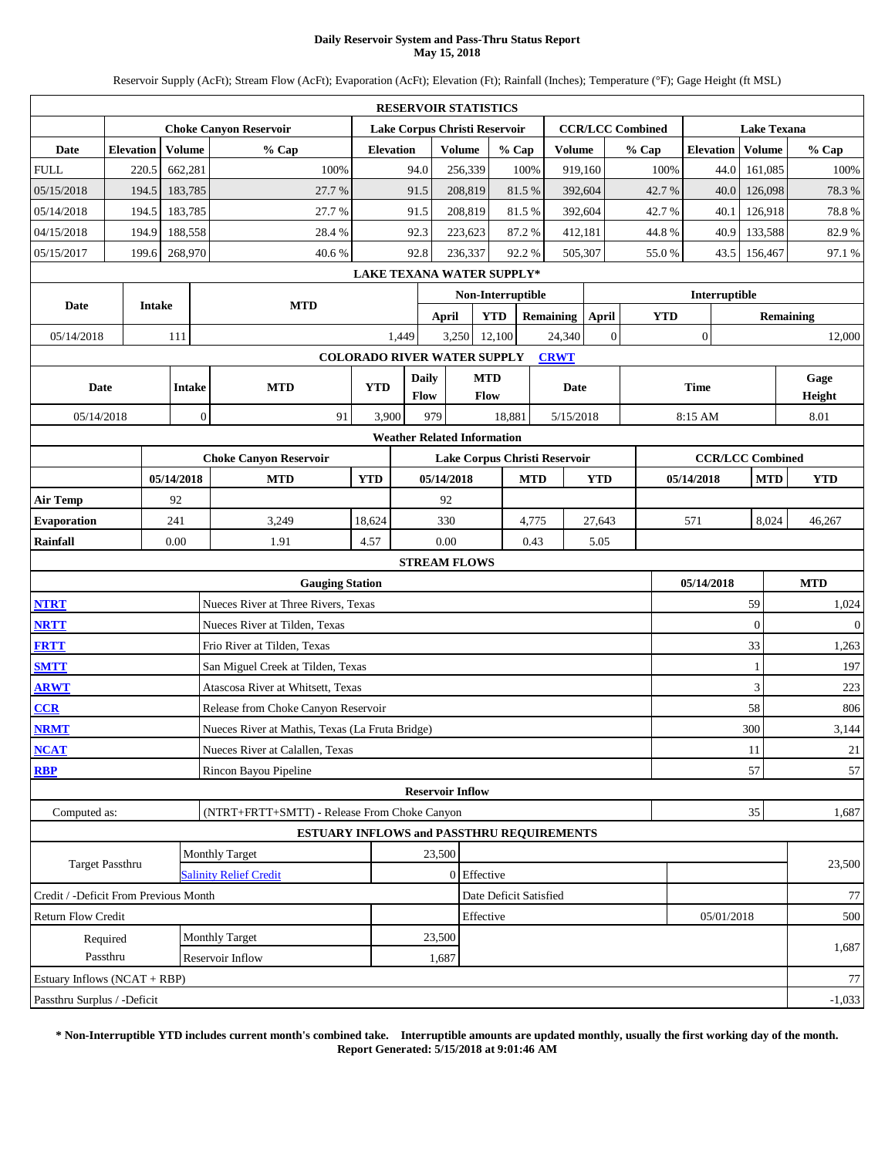### **Daily Reservoir System and Pass-Thru Status Report May 15, 2018**

Reservoir Supply (AcFt); Stream Flow (AcFt); Evaporation (AcFt); Elevation (Ft); Rainfall (Inches); Temperature (°F); Gage Height (ft MSL)

|                                       |                  |               |                |                                                 |                  | <b>RESERVOIR STATISTICS</b>        |               |                               |            |                  |              |                         |                  |                 |                         |                  |              |
|---------------------------------------|------------------|---------------|----------------|-------------------------------------------------|------------------|------------------------------------|---------------|-------------------------------|------------|------------------|--------------|-------------------------|------------------|-----------------|-------------------------|------------------|--------------|
|                                       |                  |               |                | <b>Choke Canyon Reservoir</b>                   |                  | Lake Corpus Christi Reservoir      |               |                               |            |                  |              | <b>CCR/LCC Combined</b> |                  |                 | <b>Lake Texana</b>      |                  |              |
| Date                                  | <b>Elevation</b> |               | Volume         | % Cap                                           | <b>Elevation</b> |                                    | <b>Volume</b> | % Cap                         |            | <b>Volume</b>    |              | % Cap                   | <b>Elevation</b> |                 | Volume                  |                  | % Cap        |
| <b>FULL</b>                           |                  | 220.5         | 662,281        | 100%                                            |                  | 94.0                               | 256,339       |                               | 100%       | 919,160          |              | 100%                    |                  | 44.0            | 161,085                 |                  | 100%         |
| 05/15/2018                            |                  | 194.5         | 183,785        | 27.7%                                           |                  | 91.5                               | 208,819       |                               | 81.5%      | 392,604          |              | 42.7%                   |                  | 40.0            | 126,098                 |                  | 78.3%        |
| 05/14/2018                            |                  | 194.5         | 183,785        | 27.7 %                                          |                  | 91.5                               | 208,819       |                               | 81.5%      | 392,604          |              | 42.7%                   |                  | 40.1            | 126,918                 |                  | 78.8%        |
| 04/15/2018                            |                  | 194.9         | 188,558        | 28.4%                                           |                  | 92.3                               | 223,623       |                               | 87.2%      | 412,181          |              | 44.8%                   |                  | 40.9            | 133,588                 |                  | 82.9%        |
| 05/15/2017                            |                  | 199.6         | 268,970        | 40.6%                                           |                  | 92.8                               | 236,337       |                               | 92.2%      | 505,307          |              | 55.0%                   |                  | 156,467<br>43.5 |                         |                  | 97.1 %       |
|                                       |                  |               |                |                                                 |                  | LAKE TEXANA WATER SUPPLY*          |               |                               |            |                  |              |                         |                  |                 |                         |                  |              |
| Date                                  |                  | <b>Intake</b> |                | <b>MTD</b>                                      |                  |                                    |               | Non-Interruptible             |            |                  |              |                         | Interruptible    |                 |                         |                  |              |
|                                       |                  |               |                |                                                 |                  | <b>April</b>                       |               | <b>YTD</b>                    |            | <b>Remaining</b> | April        | <b>YTD</b>              |                  |                 |                         | <b>Remaining</b> |              |
| 05/14/2018                            |                  |               | 111            |                                                 |                  | 1,449                              | 3,250         | 12,100                        |            | 24,340           | $\mathbf{0}$ |                         | $\boldsymbol{0}$ |                 |                         |                  | 12,000       |
|                                       |                  |               |                |                                                 |                  | <b>COLORADO RIVER WATER SUPPLY</b> |               |                               |            | <b>CRWT</b>      |              |                         |                  |                 |                         |                  |              |
| Date                                  |                  |               | <b>Intake</b>  | <b>MTD</b>                                      | <b>YTD</b>       | <b>Daily</b>                       |               | <b>MTD</b>                    |            | Date             |              |                         | <b>Time</b>      |                 |                         |                  | Gage         |
|                                       |                  |               | $\overline{0}$ |                                                 | 3,900            | <b>Flow</b><br>979                 |               | <b>Flow</b>                   |            |                  |              |                         |                  |                 |                         |                  | Height       |
| 05/14/2018                            |                  |               |                | 91                                              |                  | <b>Weather Related Information</b> |               | 18,881                        |            | 5/15/2018        |              |                         | 8:15 AM          |                 |                         |                  | 8.01         |
|                                       |                  |               |                | <b>Choke Canyon Reservoir</b>                   |                  |                                    |               | Lake Corpus Christi Reservoir |            |                  |              |                         |                  |                 | <b>CCR/LCC Combined</b> |                  |              |
|                                       |                  |               | 05/14/2018     | <b>MTD</b>                                      | <b>YTD</b>       | 05/14/2018                         |               |                               | <b>MTD</b> |                  | <b>YTD</b>   |                         | 05/14/2018       |                 | <b>MTD</b>              |                  | <b>YTD</b>   |
| <b>Air Temp</b>                       |                  |               | 92             |                                                 |                  | 92                                 |               |                               |            |                  |              |                         |                  |                 |                         |                  |              |
| <b>Evaporation</b>                    |                  |               | 241            | 3,249                                           | 18,624           |                                    | 330           |                               | 4,775      |                  | 27,643       |                         | 571<br>8,024     |                 |                         | 46,267           |              |
| <b>Rainfall</b>                       |                  |               | 0.00           | 1.91                                            | 4.57             | 0.00                               |               |                               | 0.43       |                  | 5.05         |                         |                  |                 |                         |                  |              |
|                                       |                  |               |                |                                                 |                  | <b>STREAM FLOWS</b>                |               |                               |            |                  |              |                         |                  |                 |                         |                  |              |
|                                       |                  |               |                | <b>Gauging Station</b>                          |                  |                                    |               |                               |            |                  |              |                         | 05/14/2018       |                 |                         |                  | <b>MTD</b>   |
| <b>NTRT</b>                           |                  |               |                | Nueces River at Three Rivers, Texas             |                  |                                    |               |                               |            |                  |              |                         |                  |                 | 59                      |                  | 1,024        |
| <b>NRTT</b>                           |                  |               |                | Nueces River at Tilden, Texas                   |                  |                                    |               |                               |            |                  |              |                         |                  |                 | $\overline{0}$          |                  | $\mathbf{0}$ |
| <b>FRTT</b>                           |                  |               |                | Frio River at Tilden, Texas                     |                  |                                    |               |                               |            |                  |              |                         |                  |                 | 33                      |                  | 1,263        |
| <b>SMTT</b>                           |                  |               |                | San Miguel Creek at Tilden, Texas               |                  |                                    |               |                               |            |                  |              |                         |                  |                 | $\mathbf{1}$            |                  | 197          |
| <b>ARWT</b>                           |                  |               |                | Atascosa River at Whitsett, Texas               |                  |                                    |               |                               |            |                  |              |                         |                  |                 | 3                       |                  | 223          |
| CCR                                   |                  |               |                | Release from Choke Canyon Reservoir             |                  |                                    |               |                               |            |                  |              |                         |                  |                 | 58                      |                  | 806          |
| <b>NRMT</b>                           |                  |               |                | Nueces River at Mathis, Texas (La Fruta Bridge) |                  |                                    |               |                               |            |                  |              |                         |                  |                 | 300                     |                  | 3,144        |
| <b>NCAT</b>                           |                  |               |                | Nueces River at Calallen, Texas                 |                  |                                    |               |                               |            |                  |              |                         |                  |                 | 11                      |                  | 21           |
| <b>RBP</b>                            |                  |               |                | Rincon Bayou Pipeline                           |                  |                                    |               |                               |            |                  |              |                         |                  |                 | 57                      |                  | 57           |
|                                       |                  |               |                |                                                 |                  | <b>Reservoir Inflow</b>            |               |                               |            |                  |              |                         |                  |                 |                         |                  |              |
| Computed as:                          |                  |               |                | (NTRT+FRTT+SMTT) - Release From Choke Canyon    |                  |                                    |               |                               |            |                  |              |                         |                  |                 | 35                      |                  | 1,687        |
|                                       |                  |               |                | ESTUARY INFLOWS and PASSTHRU REQUIREMENTS       |                  |                                    |               |                               |            |                  |              |                         |                  |                 |                         |                  |              |
| Target Passthru                       |                  |               |                | Monthly Target                                  |                  | 23,500                             |               |                               |            |                  |              |                         |                  |                 |                         |                  | 23,500       |
|                                       |                  |               |                | <b>Salinity Relief Credit</b>                   |                  |                                    |               | 0 Effective                   |            |                  |              |                         |                  |                 |                         |                  |              |
| Credit / -Deficit From Previous Month |                  |               |                |                                                 |                  |                                    |               | Date Deficit Satisfied        |            |                  |              |                         |                  |                 |                         |                  | 77           |
| <b>Return Flow Credit</b>             |                  |               |                |                                                 |                  |                                    |               | Effective                     |            |                  |              |                         |                  | 05/01/2018      |                         |                  | 500          |
|                                       | Required         |               |                | Monthly Target                                  |                  | 23,500                             |               |                               |            |                  |              |                         |                  |                 |                         |                  | 1,687        |
|                                       | Passthru         |               |                | Reservoir Inflow                                |                  | 1,687                              |               |                               |            |                  |              |                         |                  |                 |                         |                  |              |
| Estuary Inflows (NCAT + RBP)          |                  |               |                |                                                 |                  |                                    |               |                               |            |                  |              |                         |                  |                 |                         |                  | 77           |
| Passthru Surplus / -Deficit           |                  |               |                |                                                 |                  |                                    |               |                               |            |                  |              |                         |                  |                 |                         |                  | $-1,033$     |

**\* Non-Interruptible YTD includes current month's combined take. Interruptible amounts are updated monthly, usually the first working day of the month. Report Generated: 5/15/2018 at 9:01:46 AM**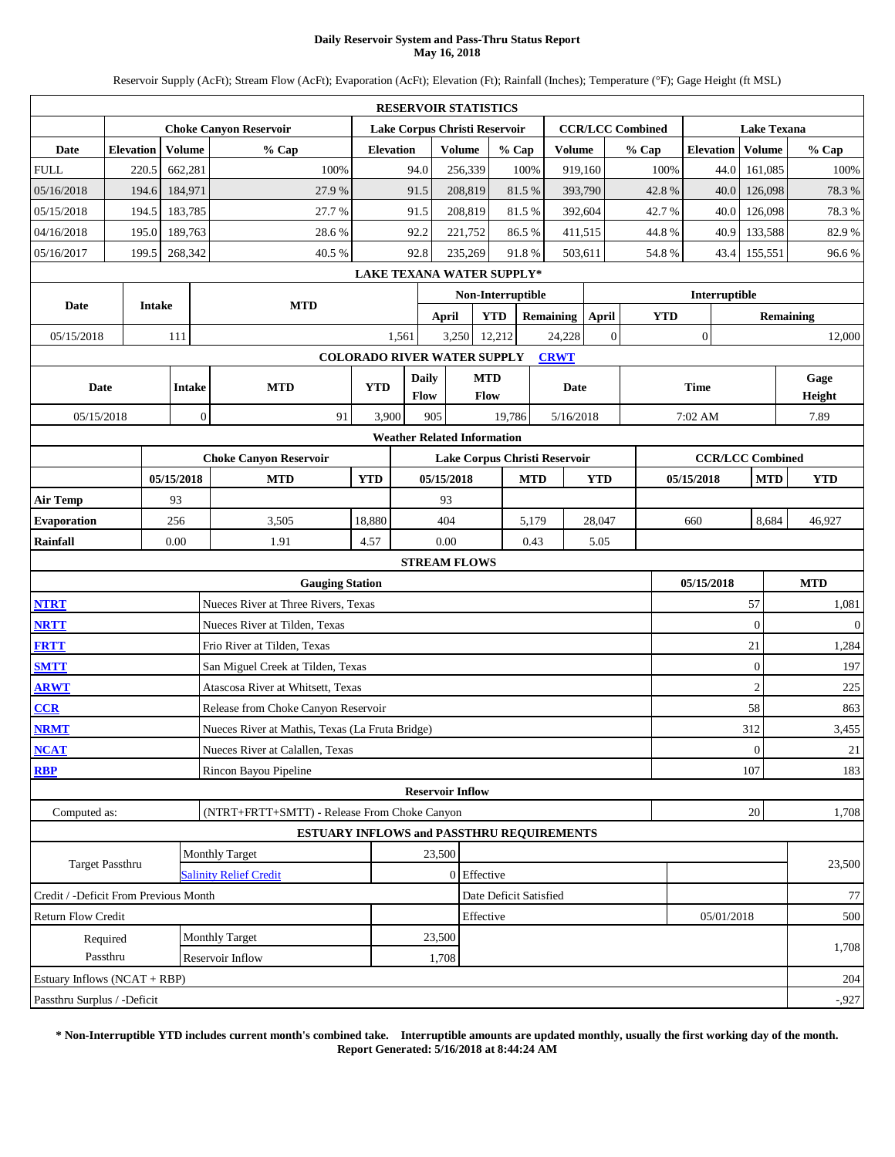### **Daily Reservoir System and Pass-Thru Status Report May 16, 2018**

Reservoir Supply (AcFt); Stream Flow (AcFt); Evaporation (AcFt); Elevation (Ft); Rainfall (Inches); Temperature (°F); Gage Height (ft MSL)

|                                                                                                                                                                      |                  |               |                |                                                 |                  | <b>RESERVOIR STATISTICS</b>        |               |                        |       |                  |              |                         |                  |            |                    |                  |              |
|----------------------------------------------------------------------------------------------------------------------------------------------------------------------|------------------|---------------|----------------|-------------------------------------------------|------------------|------------------------------------|---------------|------------------------|-------|------------------|--------------|-------------------------|------------------|------------|--------------------|------------------|--------------|
|                                                                                                                                                                      |                  |               |                | <b>Choke Canyon Reservoir</b>                   |                  | Lake Corpus Christi Reservoir      |               |                        |       |                  |              | <b>CCR/LCC Combined</b> |                  |            | <b>Lake Texana</b> |                  |              |
| Date                                                                                                                                                                 | <b>Elevation</b> |               | Volume         | % Cap                                           | <b>Elevation</b> |                                    | <b>Volume</b> | % Cap                  |       | <b>Volume</b>    |              | % Cap                   | <b>Elevation</b> |            | Volume             |                  | % Cap        |
| <b>FULL</b>                                                                                                                                                          |                  | 220.5         | 662,281        | 100%                                            |                  | 94.0                               | 256,339       |                        | 100%  | 919,160          |              | 100%                    |                  | 44.0       | 161,085            |                  | 100%         |
| 05/16/2018                                                                                                                                                           |                  | 194.6         | 184,971        | 27.9%                                           |                  | 91.5                               | 208,819       |                        | 81.5% | 393,790          |              | 42.8%                   |                  | 40.0       | 126,098            |                  | 78.3%        |
| 05/15/2018                                                                                                                                                           |                  | 194.5         | 183,785        | 27.7 %                                          |                  | 91.5                               | 208,819       |                        | 81.5% | 392,604          |              | 42.7%                   |                  | 40.0       | 126,098            |                  | 78.3%        |
| 04/16/2018                                                                                                                                                           |                  | 195.0         | 189,763        | 28.6%                                           |                  | 92.2                               | 221,752       |                        | 86.5% | 411,515          |              | 44.8%                   |                  | 40.9       | 133,588            |                  | 82.9%        |
| 05/16/2017                                                                                                                                                           |                  | 199.5         | 268,342        | 40.5%                                           |                  | 92.8                               | 235,269       |                        | 91.8% | 503.611          |              | 54.8%                   |                  | 43.4       | 155,551            |                  | 96.6%        |
|                                                                                                                                                                      |                  |               |                |                                                 |                  | <b>LAKE TEXANA WATER SUPPLY*</b>   |               |                        |       |                  |              |                         |                  |            |                    |                  |              |
| Date                                                                                                                                                                 |                  | <b>Intake</b> |                | <b>MTD</b>                                      |                  |                                    |               | Non-Interruptible      |       |                  |              |                         | Interruptible    |            |                    |                  |              |
|                                                                                                                                                                      |                  |               |                |                                                 |                  | <b>April</b>                       |               | <b>YTD</b>             |       | <b>Remaining</b> | April        | <b>YTD</b>              |                  |            |                    | <b>Remaining</b> |              |
| 05/15/2018                                                                                                                                                           |                  |               | 111            |                                                 |                  | 1,561                              | 3,250         | 12,212                 |       | 24,228           | $\mathbf{0}$ |                         | $\boldsymbol{0}$ |            |                    |                  | 12,000       |
|                                                                                                                                                                      |                  |               |                |                                                 |                  | <b>COLORADO RIVER WATER SUPPLY</b> |               |                        |       | <b>CRWT</b>      |              |                         |                  |            |                    |                  |              |
| Date                                                                                                                                                                 |                  |               | <b>Intake</b>  | <b>MTD</b>                                      | <b>YTD</b>       | <b>Daily</b>                       |               | <b>MTD</b>             |       | Date             |              |                         | <b>Time</b>      |            |                    |                  | Gage         |
|                                                                                                                                                                      |                  |               | $\overline{0}$ |                                                 |                  | <b>Flow</b>                        |               | Flow                   |       |                  |              |                         |                  |            |                    |                  | Height       |
| 3,900<br>19,786<br>05/15/2018<br>91<br>905<br>5/16/2018<br>7:02 AM<br><b>Weather Related Information</b><br><b>Choke Canyon Reservoir</b><br><b>CCR/LCC Combined</b> |                  |               |                |                                                 |                  |                                    |               |                        |       |                  |              |                         |                  | 7.89       |                    |                  |              |
| Lake Corpus Christi Reservoir                                                                                                                                        |                  |               |                |                                                 |                  |                                    |               |                        |       |                  |              |                         |                  |            |                    |                  |              |
| 05/15/2018<br><b>MTD</b><br><b>YTD</b><br>05/15/2018<br><b>MTD</b><br><b>YTD</b><br>05/15/2018<br><b>MTD</b>                                                         |                  |               |                |                                                 |                  |                                    |               |                        |       |                  |              |                         |                  |            | <b>YTD</b>         |                  |              |
| 93<br>93<br><b>Air Temp</b>                                                                                                                                          |                  |               |                |                                                 |                  |                                    |               |                        |       |                  |              |                         |                  |            |                    |                  |              |
| <b>Evaporation</b>                                                                                                                                                   |                  |               | 256            | 3,505                                           | 18,880           |                                    | 404           |                        | 5,179 |                  | 28,047       |                         | 660              |            | 8,684              |                  | 46,927       |
| <b>Rainfall</b>                                                                                                                                                      |                  |               | 0.00           | 1.91                                            | 4.57             | 0.00                               |               |                        | 0.43  |                  | 5.05         |                         |                  |            |                    |                  |              |
|                                                                                                                                                                      |                  |               |                |                                                 |                  | <b>STREAM FLOWS</b>                |               |                        |       |                  |              |                         |                  |            |                    |                  |              |
|                                                                                                                                                                      |                  |               |                | <b>Gauging Station</b>                          |                  |                                    |               |                        |       |                  |              |                         | 05/15/2018       |            |                    |                  | <b>MTD</b>   |
| <b>NTRT</b>                                                                                                                                                          |                  |               |                | Nueces River at Three Rivers, Texas             |                  |                                    |               |                        |       |                  |              |                         |                  |            | 57                 |                  | 1,081        |
| <b>NRTT</b>                                                                                                                                                          |                  |               |                | Nueces River at Tilden, Texas                   |                  |                                    |               |                        |       |                  |              |                         |                  |            | $\overline{0}$     |                  | $\mathbf{0}$ |
| <b>FRTT</b>                                                                                                                                                          |                  |               |                | Frio River at Tilden, Texas                     |                  |                                    |               |                        |       |                  |              |                         |                  |            | 21                 |                  | 1,284        |
| <b>SMTT</b>                                                                                                                                                          |                  |               |                | San Miguel Creek at Tilden, Texas               |                  |                                    |               |                        |       |                  |              |                         |                  |            | $\boldsymbol{0}$   |                  | 197          |
| <b>ARWT</b>                                                                                                                                                          |                  |               |                | Atascosa River at Whitsett, Texas               |                  |                                    |               |                        |       |                  |              |                         |                  |            | $\overline{2}$     |                  | 225          |
| CCR                                                                                                                                                                  |                  |               |                | Release from Choke Canyon Reservoir             |                  |                                    |               |                        |       |                  |              |                         |                  |            | 58                 |                  | 863          |
| <b>NRMT</b>                                                                                                                                                          |                  |               |                | Nueces River at Mathis, Texas (La Fruta Bridge) |                  |                                    |               |                        |       |                  |              |                         |                  |            | 312                |                  | 3,455        |
| <b>NCAT</b>                                                                                                                                                          |                  |               |                | Nueces River at Calallen, Texas                 |                  |                                    |               |                        |       |                  |              |                         |                  |            | $\boldsymbol{0}$   |                  | 21           |
| <b>RBP</b>                                                                                                                                                           |                  |               |                | Rincon Bayou Pipeline                           |                  |                                    |               |                        |       |                  |              |                         |                  |            | 107                |                  | 183          |
|                                                                                                                                                                      |                  |               |                |                                                 |                  | <b>Reservoir Inflow</b>            |               |                        |       |                  |              |                         |                  |            |                    |                  |              |
| Computed as:                                                                                                                                                         |                  |               |                | (NTRT+FRTT+SMTT) - Release From Choke Canyon    |                  |                                    |               |                        |       |                  |              |                         |                  |            | 20                 |                  | 1,708        |
|                                                                                                                                                                      |                  |               |                | ESTUARY INFLOWS and PASSTHRU REQUIREMENTS       |                  |                                    |               |                        |       |                  |              |                         |                  |            |                    |                  |              |
| Target Passthru                                                                                                                                                      |                  |               |                | Monthly Target                                  |                  | 23,500                             |               |                        |       |                  |              |                         |                  |            |                    |                  | 23,500       |
|                                                                                                                                                                      |                  |               |                | <b>Salinity Relief Credit</b>                   |                  |                                    |               | 0 Effective            |       |                  |              |                         |                  |            |                    |                  |              |
| Credit / -Deficit From Previous Month                                                                                                                                |                  |               |                |                                                 |                  |                                    |               | Date Deficit Satisfied |       |                  |              |                         |                  |            |                    |                  | 77           |
| <b>Return Flow Credit</b>                                                                                                                                            |                  |               |                |                                                 |                  |                                    |               | Effective              |       |                  |              |                         |                  | 05/01/2018 |                    |                  | 500          |
|                                                                                                                                                                      | Required         |               |                | Monthly Target                                  |                  | 23,500                             |               |                        |       |                  |              |                         |                  |            |                    |                  | 1,708        |
|                                                                                                                                                                      | Passthru         |               |                | Reservoir Inflow                                |                  | 1,708                              |               |                        |       |                  |              |                         |                  |            |                    |                  |              |
| Estuary Inflows (NCAT + RBP)                                                                                                                                         |                  |               |                |                                                 |                  |                                    |               |                        |       |                  |              |                         |                  |            |                    |                  | 204          |
| Passthru Surplus / -Deficit                                                                                                                                          |                  |               |                |                                                 |                  |                                    |               |                        |       |                  |              |                         |                  |            |                    |                  | $-0.927$     |

**\* Non-Interruptible YTD includes current month's combined take. Interruptible amounts are updated monthly, usually the first working day of the month. Report Generated: 5/16/2018 at 8:44:24 AM**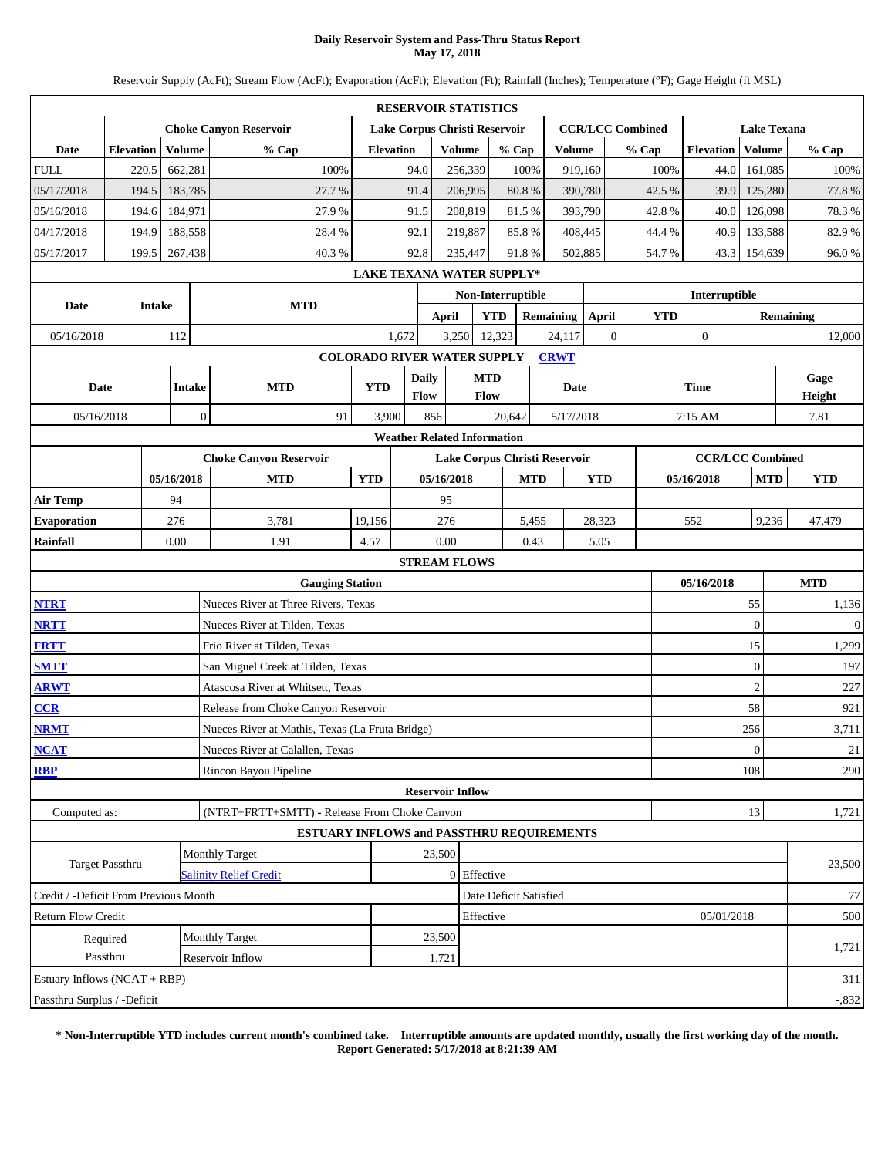### **Daily Reservoir System and Pass-Thru Status Report May 17, 2018**

Reservoir Supply (AcFt); Stream Flow (AcFt); Evaporation (AcFt); Elevation (Ft); Rainfall (Inches); Temperature (°F); Gage Height (ft MSL)

|                                                                                                                                 |                      |               |                |                                                 |                  | <b>RESERVOIR STATISTICS</b>        |                 |                    |                   |                        |              |                         |                  |            |                    |                |
|---------------------------------------------------------------------------------------------------------------------------------|----------------------|---------------|----------------|-------------------------------------------------|------------------|------------------------------------|-----------------|--------------------|-------------------|------------------------|--------------|-------------------------|------------------|------------|--------------------|----------------|
|                                                                                                                                 |                      |               |                | <b>Choke Canyon Reservoir</b>                   |                  | Lake Corpus Christi Reservoir      |                 |                    |                   |                        |              | <b>CCR/LCC Combined</b> |                  |            | <b>Lake Texana</b> |                |
| <b>Date</b>                                                                                                                     | <b>Elevation</b>     |               | Volume         | % Cap                                           | <b>Elevation</b> |                                    | <b>Volume</b>   |                    | % Cap             | <b>Volume</b>          |              | % Cap                   | <b>Elevation</b> |            | Volume             | % Cap          |
| <b>FULL</b>                                                                                                                     |                      | 220.5         | 662,281        | 100%                                            |                  | 94.0                               |                 | 256,339            | 100%              |                        | 919,160      | 100%                    |                  | 44.0       | 161,085            | 100%           |
| 05/17/2018                                                                                                                      |                      | 194.5         | 183,785        | 27.7%                                           |                  | 91.4                               |                 | 206,995            | $80.8~\%$         |                        | 390,780      | 42.5 %                  |                  | 39.9       | 125,280            | 77.8%          |
| 05/16/2018                                                                                                                      |                      | 194.6         | 184,971        | 27.9%                                           |                  | 91.5                               |                 | 208,819            | 81.5%             |                        | 393,790      | 42.8%                   |                  | 40.0       | 126,098            | 78.3%          |
| 04/17/2018                                                                                                                      |                      | 194.9         | 188,558        | 28.4%                                           |                  | 92.1                               |                 | 219,887            | 85.8%             |                        | 408,445      | 44.4 %                  |                  | 40.9       | 133,588            | 82.9%          |
| 05/17/2017                                                                                                                      |                      | 199.5         | 267,438        | 40.3%                                           |                  | 92.8                               |                 | 235,447            | 91.8%             |                        | 502,885      | 54.7%                   |                  | 43.3       | 154,639            | 96.0%          |
|                                                                                                                                 |                      |               |                |                                                 |                  | <b>LAKE TEXANA WATER SUPPLY*</b>   |                 |                    |                   |                        |              |                         |                  |            |                    |                |
| Date                                                                                                                            |                      | <b>Intake</b> |                | <b>MTD</b>                                      |                  |                                    |                 |                    | Non-Interruptible |                        |              |                         | Interruptible    |            |                    |                |
|                                                                                                                                 |                      |               |                |                                                 |                  |                                    | <b>April</b>    | <b>YTD</b>         |                   | <b>Remaining</b>       | April        | <b>YTD</b>              |                  |            |                    | Remaining      |
| 05/16/2018                                                                                                                      |                      |               | 112            |                                                 |                  | 1,672                              | 3,250           |                    | 12,323            | 24,117                 | $\mathbf{0}$ |                         | $\boldsymbol{0}$ |            |                    | 12,000         |
|                                                                                                                                 |                      |               |                |                                                 |                  | <b>COLORADO RIVER WATER SUPPLY</b> |                 |                    |                   | <b>CRWT</b>            |              |                         |                  |            |                    |                |
| Date                                                                                                                            |                      |               | <b>Intake</b>  | <b>MTD</b>                                      | <b>YTD</b>       | <b>Daily</b><br>Flow               |                 | <b>MTD</b><br>Flow |                   | Date                   |              |                         | <b>Time</b>      |            |                    | Gage<br>Height |
| 05/16/2018                                                                                                                      |                      |               | $\overline{0}$ | 91                                              | 3,900            | 856                                |                 |                    | 20,642            | 5/17/2018              |              |                         | 7:15 AM          |            |                    | 7.81           |
| <b>Weather Related Information</b><br><b>Choke Canyon Reservoir</b><br><b>CCR/LCC Combined</b><br>Lake Corpus Christi Reservoir |                      |               |                |                                                 |                  |                                    |                 |                    |                   |                        |              |                         |                  |            |                    |                |
| 05/16/2018<br>05/16/2018<br><b>MTD</b><br><b>YTD</b><br><b>MTD</b><br><b>YTD</b><br>05/16/2018<br><b>MTD</b>                    |                      |               |                |                                                 |                  |                                    |                 |                    |                   |                        |              |                         |                  |            |                    |                |
|                                                                                                                                 |                      |               |                |                                                 |                  |                                    |                 |                    |                   |                        |              |                         |                  | <b>YTD</b> |                    |                |
| 94<br>95<br><b>Air Temp</b>                                                                                                     |                      |               |                |                                                 |                  |                                    |                 |                    |                   |                        |              |                         |                  |            |                    |                |
| <b>Evaporation</b>                                                                                                              |                      |               | 276            | 3,781                                           | 19,156           |                                    | 276             |                    |                   | 5,455                  | 28,323       |                         | 552              |            | 9,236              | 47,479         |
| <b>Rainfall</b>                                                                                                                 |                      |               | 0.00           | 1.91                                            | 4.57             |                                    | 0.00            |                    |                   | 0.43                   | 5.05         |                         |                  |            |                    |                |
|                                                                                                                                 |                      |               |                |                                                 |                  | <b>STREAM FLOWS</b>                |                 |                    |                   |                        |              |                         |                  |            |                    |                |
|                                                                                                                                 |                      |               |                | <b>Gauging Station</b>                          |                  |                                    |                 |                    |                   |                        |              |                         | 05/16/2018       |            |                    | <b>MTD</b>     |
| <b>NTRT</b>                                                                                                                     |                      |               |                | Nueces River at Three Rivers, Texas             |                  |                                    |                 |                    |                   |                        |              |                         |                  |            | 55                 | 1,136          |
| <b>NRTT</b>                                                                                                                     |                      |               |                | Nueces River at Tilden, Texas                   |                  |                                    |                 |                    |                   |                        |              |                         |                  |            | $\mathbf{0}$       | $\mathbf{0}$   |
| <b>FRTT</b>                                                                                                                     |                      |               |                | Frio River at Tilden, Texas                     |                  |                                    |                 |                    |                   |                        |              |                         |                  |            | 15                 | 1,299          |
| <b>SMTT</b>                                                                                                                     |                      |               |                | San Miguel Creek at Tilden, Texas               |                  |                                    |                 |                    |                   |                        |              |                         |                  |            | $\mathbf{0}$       | 197            |
| <b>ARWT</b>                                                                                                                     |                      |               |                | Atascosa River at Whitsett, Texas               |                  |                                    |                 |                    |                   |                        |              |                         |                  |            | $\overline{2}$     | 227            |
| CCR                                                                                                                             |                      |               |                | Release from Choke Canyon Reservoir             |                  |                                    |                 |                    |                   |                        |              |                         |                  |            | 58                 | 921            |
| <b>NRMT</b>                                                                                                                     |                      |               |                | Nueces River at Mathis, Texas (La Fruta Bridge) |                  |                                    |                 |                    |                   |                        |              |                         |                  |            | 256                | 3,711          |
| <b>NCAT</b>                                                                                                                     |                      |               |                | Nueces River at Calallen, Texas                 |                  |                                    |                 |                    |                   |                        |              |                         |                  |            | $\theta$           | $21\,$         |
| <b>RBP</b>                                                                                                                      |                      |               |                | Rincon Bayou Pipeline                           |                  |                                    |                 |                    |                   |                        |              |                         |                  |            | 108                | 290            |
|                                                                                                                                 |                      |               |                |                                                 |                  | <b>Reservoir Inflow</b>            |                 |                    |                   |                        |              |                         |                  |            |                    |                |
| Computed as:                                                                                                                    |                      |               |                | (NTRT+FRTT+SMTT) - Release From Choke Canyon    |                  |                                    |                 |                    |                   |                        |              |                         |                  |            | 13                 | 1,721          |
|                                                                                                                                 |                      |               |                | ESTUARY INFLOWS and PASSTHRU REQUIREMENTS       |                  |                                    |                 |                    |                   |                        |              |                         |                  |            |                    |                |
| Target Passthru                                                                                                                 |                      |               |                | Monthly Target                                  |                  |                                    | 23,500          |                    |                   |                        |              |                         |                  |            |                    | 23,500         |
|                                                                                                                                 |                      |               |                | <b>Salinity Relief Credit</b>                   |                  |                                    |                 | 0 Effective        |                   |                        |              |                         |                  |            |                    |                |
| Credit / -Deficit From Previous Month                                                                                           |                      |               |                |                                                 |                  |                                    |                 |                    |                   | Date Deficit Satisfied |              |                         |                  |            |                    | 77             |
| Return Flow Credit                                                                                                              |                      |               |                |                                                 |                  |                                    |                 | Effective          |                   |                        |              |                         |                  | 05/01/2018 |                    | 500            |
|                                                                                                                                 | Required<br>Passthru |               |                | Monthly Target<br>Reservoir Inflow              |                  |                                    | 23,500<br>1,721 |                    |                   |                        |              |                         |                  |            |                    | 1,721          |
| Estuary Inflows (NCAT + RBP)                                                                                                    |                      |               |                |                                                 |                  |                                    |                 |                    |                   |                        |              |                         |                  |            |                    | 311            |
| Passthru Surplus / -Deficit                                                                                                     |                      |               |                |                                                 |                  |                                    |                 |                    |                   |                        |              |                         |                  |            |                    | $-0.832$       |
|                                                                                                                                 |                      |               |                |                                                 |                  |                                    |                 |                    |                   |                        |              |                         |                  |            |                    |                |

**\* Non-Interruptible YTD includes current month's combined take. Interruptible amounts are updated monthly, usually the first working day of the month. Report Generated: 5/17/2018 at 8:21:39 AM**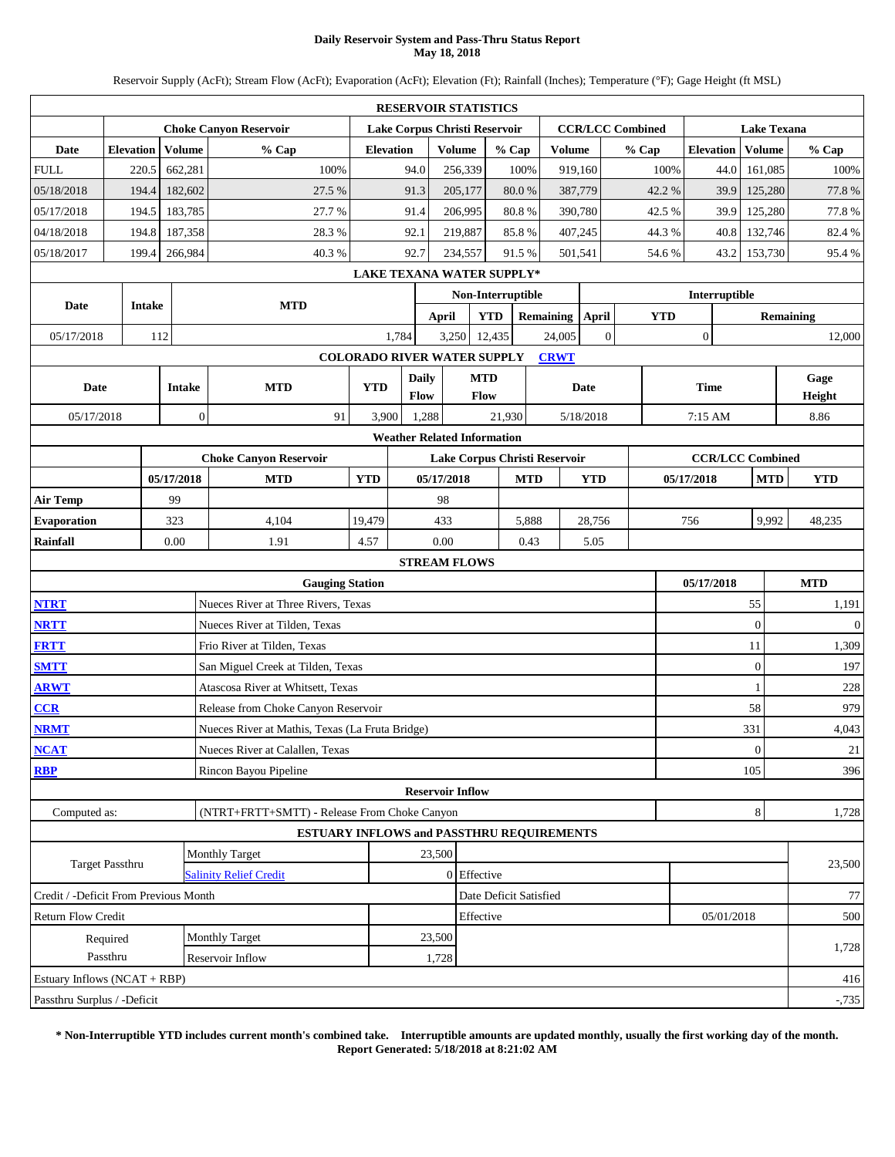### **Daily Reservoir System and Pass-Thru Status Report May 18, 2018**

Reservoir Supply (AcFt); Stream Flow (AcFt); Evaporation (AcFt); Elevation (Ft); Rainfall (Inches); Temperature (°F); Gage Height (ft MSL)

|                                       |                  |               |                |                                                 |                  |              |                         | <b>RESERVOIR STATISTICS</b>                  |            |                  |                |                         |            |                         |            |                    |                  |
|---------------------------------------|------------------|---------------|----------------|-------------------------------------------------|------------------|--------------|-------------------------|----------------------------------------------|------------|------------------|----------------|-------------------------|------------|-------------------------|------------|--------------------|------------------|
|                                       |                  |               |                | <b>Choke Canyon Reservoir</b>                   |                  |              |                         | Lake Corpus Christi Reservoir                |            |                  |                | <b>CCR/LCC Combined</b> |            |                         |            | <b>Lake Texana</b> |                  |
| <b>Date</b>                           | <b>Elevation</b> |               | Volume         | % Cap                                           | <b>Elevation</b> |              | <b>Volume</b>           | % Cap                                        |            | <b>Volume</b>    |                | % Cap                   |            | <b>Elevation</b>        |            | Volume             | % Cap            |
| <b>FULL</b>                           |                  | 220.5         | 662,281        | 100%                                            |                  | 94.0         | 256,339                 |                                              | 100%       | 919,160          |                |                         | 100%       |                         | 44.0       | 161,085            | 100%             |
| 05/18/2018                            |                  | 194.4         | 182,602        | 27.5 %                                          |                  | 91.3         | 205,177                 |                                              | 80.0%      | 387,779          |                |                         | 42.2%      |                         | 39.9       | 125,280            | 77.8%            |
| 05/17/2018                            |                  | 194.5         | 183,785        | 27.7%                                           |                  | 91.4         | 206,995                 |                                              | 80.8%      | 390,780          |                |                         | 42.5 %     |                         | 39.9       | 125,280            | 77.8%            |
| 04/18/2018                            |                  | 194.8         | 187,358        | 28.3%                                           |                  | 92.1         | 219,887                 |                                              | 85.8%      | 407,245          |                |                         | 44.3%      |                         | 40.8       | 132,746            | 82.4%            |
| 05/18/2017                            |                  | 199.4         | 266,984        | 40.3%                                           |                  | 92.7         | 234,557                 |                                              | 91.5%      | 501,541          |                |                         | 54.6%      |                         | 43.2       | 153,730            | 95.4%            |
|                                       |                  |               |                |                                                 |                  |              |                         | <b>LAKE TEXANA WATER SUPPLY*</b>             |            |                  |                |                         |            |                         |            |                    |                  |
| <b>Date</b>                           |                  | <b>Intake</b> |                | <b>MTD</b>                                      |                  |              |                         | Non-Interruptible                            |            |                  |                |                         |            | Interruptible           |            |                    |                  |
|                                       |                  |               |                |                                                 |                  |              | <b>April</b>            | <b>YTD</b>                                   |            | <b>Remaining</b> | April          |                         | <b>YTD</b> |                         |            |                    | Remaining        |
| 05/17/2018                            |                  | 112           |                |                                                 |                  | 1,784        | 3,250                   | 12,435                                       |            | 24,005           | $\overline{0}$ |                         |            | $\boldsymbol{0}$        |            |                    | 12,000           |
|                                       |                  |               |                |                                                 |                  |              |                         | <b>COLORADO RIVER WATER SUPPLY</b>           |            | <b>CRWT</b>      |                |                         |            |                         |            |                    |                  |
| <b>Date</b>                           |                  |               | <b>Intake</b>  | <b>MTD</b>                                      | <b>YTD</b>       | <b>Daily</b> |                         | <b>MTD</b>                                   |            |                  | Date           |                         |            | <b>Time</b>             |            |                    | Gage             |
|                                       |                  |               | $\overline{0}$ | 91                                              |                  | <b>Flow</b>  |                         | Flow                                         |            |                  |                |                         |            |                         |            |                    | Height           |
| 05/17/2018                            |                  |               |                |                                                 | 3,900            | 1,288        |                         | 21,930<br><b>Weather Related Information</b> |            |                  | 5/18/2018      |                         |            | 7:15 AM                 |            |                    | 8.86             |
|                                       |                  |               |                | <b>Choke Canyon Reservoir</b>                   |                  |              |                         | Lake Corpus Christi Reservoir                |            |                  |                |                         |            | <b>CCR/LCC Combined</b> |            |                    |                  |
|                                       |                  |               | 05/17/2018     | <b>MTD</b>                                      | <b>YTD</b>       |              | 05/17/2018              |                                              | <b>MTD</b> |                  | <b>YTD</b>     |                         |            | 05/17/2018              |            | <b>MTD</b>         | <b>YTD</b>       |
| <b>Air Temp</b>                       |                  |               | 99             |                                                 |                  |              | 98                      |                                              |            |                  |                |                         |            |                         |            |                    |                  |
| <b>Evaporation</b>                    |                  |               | 323            | 4,104                                           | 19,479           |              | 433                     |                                              | 5,888      |                  | 28,756         |                         |            | 756                     |            | 9,992              | 48,235           |
| Rainfall                              |                  |               | 0.00           | 1.91                                            | 4.57             |              | 0.00                    |                                              | 0.43       |                  | 5.05           |                         |            |                         |            |                    |                  |
|                                       |                  |               |                |                                                 |                  |              | <b>STREAM FLOWS</b>     |                                              |            |                  |                |                         |            |                         |            |                    |                  |
|                                       |                  |               |                | <b>Gauging Station</b>                          |                  |              |                         |                                              |            |                  |                |                         |            | 05/17/2018              |            |                    | <b>MTD</b>       |
| <b>NTRT</b>                           |                  |               |                | Nueces River at Three Rivers, Texas             |                  |              |                         |                                              |            |                  |                |                         |            |                         |            | 55                 | 1,191            |
| <b>NRTT</b>                           |                  |               |                | Nueces River at Tilden, Texas                   |                  |              |                         |                                              |            |                  |                |                         |            |                         |            | $\mathbf{0}$       | $\boldsymbol{0}$ |
| <b>FRTT</b>                           |                  |               |                | Frio River at Tilden, Texas                     |                  |              |                         |                                              |            |                  |                |                         |            |                         |            | 11                 | 1,309            |
| <b>SMTT</b>                           |                  |               |                | San Miguel Creek at Tilden, Texas               |                  |              |                         |                                              |            |                  |                |                         |            |                         |            | $\boldsymbol{0}$   | 197              |
| <b>ARWT</b>                           |                  |               |                | Atascosa River at Whitsett, Texas               |                  |              |                         |                                              |            |                  |                |                         |            |                         |            | 1                  | 228              |
| CCR                                   |                  |               |                | Release from Choke Canyon Reservoir             |                  |              |                         |                                              |            |                  |                |                         |            |                         | 58         |                    | 979              |
| <b>NRMT</b>                           |                  |               |                | Nueces River at Mathis, Texas (La Fruta Bridge) |                  |              |                         |                                              |            |                  |                |                         |            |                         | 331        |                    | 4,043            |
| <b>NCAT</b>                           |                  |               |                | Nueces River at Calallen, Texas                 |                  |              |                         |                                              |            |                  |                |                         |            |                         |            | $\mathbf{0}$       | 21               |
| <b>RBP</b>                            |                  |               |                | Rincon Bayou Pipeline                           |                  |              |                         |                                              |            |                  |                |                         |            |                         | 105        |                    | 396              |
|                                       |                  |               |                |                                                 |                  |              | <b>Reservoir Inflow</b> |                                              |            |                  |                |                         |            |                         |            |                    |                  |
| Computed as:                          |                  |               |                | (NTRT+FRTT+SMTT) - Release From Choke Canyon    |                  |              |                         |                                              |            |                  |                |                         |            |                         |            | $\,8\,$            | 1,728            |
|                                       |                  |               |                | ESTUARY INFLOWS and PASSTHRU REQUIREMENTS       |                  |              |                         |                                              |            |                  |                |                         |            |                         |            |                    |                  |
| Target Passthru                       |                  |               |                | <b>Monthly Target</b>                           |                  |              | 23,500                  |                                              |            |                  |                |                         |            |                         |            |                    | 23,500           |
|                                       |                  |               |                | <b>Salinity Relief Credit</b>                   |                  |              |                         | $0$ Effective                                |            |                  |                |                         |            |                         |            |                    |                  |
| Credit / -Deficit From Previous Month |                  |               |                |                                                 |                  |              |                         | Date Deficit Satisfied                       |            |                  |                |                         |            |                         |            |                    | 77               |
| Return Flow Credit                    |                  |               |                |                                                 |                  |              |                         | Effective                                    |            |                  |                |                         |            |                         | 05/01/2018 |                    | 500              |
|                                       | Required         |               |                | <b>Monthly Target</b>                           |                  |              | 23,500                  |                                              |            |                  |                |                         |            |                         |            |                    | 1,728            |
|                                       | Passthru         |               |                | Reservoir Inflow                                |                  |              | 1,728                   |                                              |            |                  |                |                         |            |                         |            |                    |                  |
| Estuary Inflows (NCAT + RBP)          |                  |               |                |                                                 |                  |              |                         |                                              |            |                  |                |                         |            |                         |            |                    | 416              |
| Passthru Surplus / -Deficit           |                  |               |                |                                                 |                  |              |                         |                                              |            |                  |                |                         |            |                         |            |                    | $-735$           |

**\* Non-Interruptible YTD includes current month's combined take. Interruptible amounts are updated monthly, usually the first working day of the month. Report Generated: 5/18/2018 at 8:21:02 AM**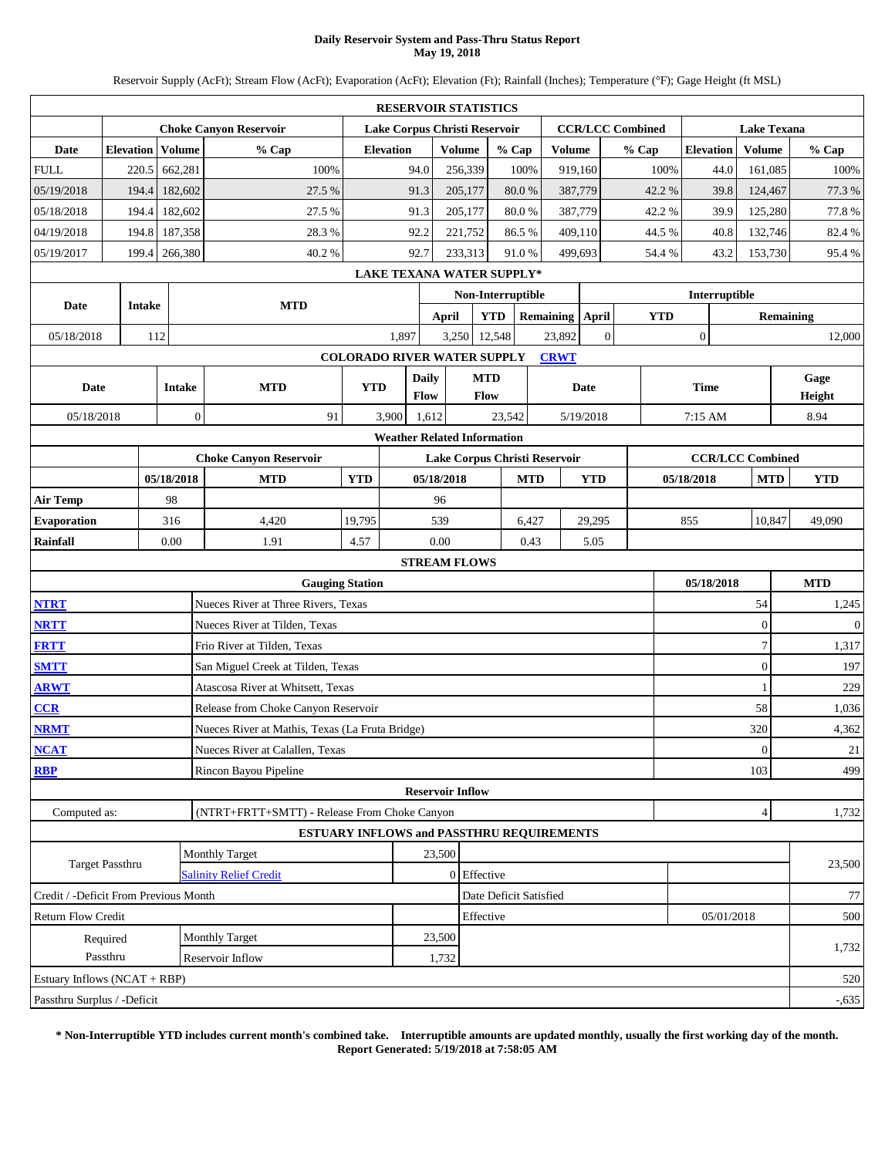### **Daily Reservoir System and Pass-Thru Status Report May 19, 2018**

Reservoir Supply (AcFt); Stream Flow (AcFt); Evaporation (AcFt); Elevation (Ft); Rainfall (Inches); Temperature (°F); Gage Height (ft MSL)

|                                                                                                                                 |                  |        |                  |                                                  |                                    | <b>RESERVOIR STATISTICS</b>      |                         |                    |                        |      |                 |                |                         |      |                  |                    |                  |                  |
|---------------------------------------------------------------------------------------------------------------------------------|------------------|--------|------------------|--------------------------------------------------|------------------------------------|----------------------------------|-------------------------|--------------------|------------------------|------|-----------------|----------------|-------------------------|------|------------------|--------------------|------------------|------------------|
|                                                                                                                                 |                  |        |                  | <b>Choke Canyon Reservoir</b>                    |                                    | Lake Corpus Christi Reservoir    |                         |                    |                        |      |                 |                | <b>CCR/LCC Combined</b> |      |                  | <b>Lake Texana</b> |                  |                  |
| Date                                                                                                                            | <b>Elevation</b> |        | Volume           | % Cap                                            |                                    | <b>Elevation</b>                 |                         | <b>Volume</b>      | % Cap                  |      | <b>Volume</b>   |                | % Cap                   |      | <b>Elevation</b> | Volume             |                  | % Cap            |
| <b>FULL</b>                                                                                                                     | 220.5            |        | 662,281          | 100%                                             |                                    | 94.0                             |                         | 256,339            |                        | 100% | 919,160         |                |                         | 100% | 44.0             | 161,085            |                  | 100%             |
| 05/19/2018                                                                                                                      |                  | 194.4  | 182,602          | 27.5 %                                           |                                    | 91.3                             |                         | 205,177            | $80.0\ \%$             |      | 387,779         |                | 42.2%                   |      | 39.8             | 124,467            |                  | 77.3 %           |
| 05/18/2018                                                                                                                      |                  | 194.4  | 182,602          | 27.5 %                                           |                                    | 91.3                             |                         | 205,177            | 80.0%                  |      | 387,779         |                | 42.2%                   |      | 39.9             | 125,280            |                  | 77.8%            |
| 04/19/2018                                                                                                                      | 194.8            |        | 187,358          | 28.3 %                                           |                                    | 92.2                             |                         | 221,752            | 86.5%                  |      | 409,110         |                | 44.5 %                  |      | 40.8             | 132,746            |                  | 82.4%            |
| 05/19/2017                                                                                                                      |                  |        | 199.4 266,380    | 40.2%                                            |                                    | 92.7                             |                         | 233,313            | 91.0%                  |      | 499,693         |                | 54.4 %                  |      | 43.2             | 153,730            |                  | 95.4%            |
|                                                                                                                                 |                  |        |                  |                                                  |                                    | <b>LAKE TEXANA WATER SUPPLY*</b> |                         |                    |                        |      |                 |                |                         |      |                  |                    |                  |                  |
| Date                                                                                                                            |                  | Intake |                  | <b>MTD</b>                                       |                                    |                                  |                         |                    | Non-Interruptible      |      |                 |                |                         |      | Interruptible    |                    |                  |                  |
|                                                                                                                                 |                  |        |                  |                                                  |                                    |                                  | <b>April</b>            |                    | <b>YTD</b>             |      | Remaining April |                | <b>YTD</b>              |      |                  |                    | <b>Remaining</b> |                  |
| 05/18/2018                                                                                                                      |                  | 112    |                  |                                                  |                                    | 1,897                            |                         | 3,250              | 12,548                 |      | 23,892          | $\overline{0}$ |                         |      | $\boldsymbol{0}$ |                    |                  | 12,000           |
|                                                                                                                                 |                  |        |                  |                                                  | <b>COLORADO RIVER WATER SUPPLY</b> |                                  |                         |                    |                        |      | <b>CRWT</b>     |                |                         |      |                  |                    |                  |                  |
| Date                                                                                                                            |                  |        | <b>Intake</b>    | <b>MTD</b>                                       | <b>YTD</b>                         |                                  | <b>Daily</b><br>Flow    | <b>MTD</b><br>Flow |                        |      |                 | Date           |                         |      | <b>Time</b>      |                    |                  | Gage<br>Height   |
| 05/18/2018                                                                                                                      |                  |        | $\boldsymbol{0}$ | 91                                               |                                    | 3,900                            | 1,612                   |                    | 23,542                 |      |                 | 5/19/2018      |                         |      | 7:15 AM          |                    |                  | 8.94             |
| <b>Weather Related Information</b><br><b>CCR/LCC Combined</b><br><b>Choke Canyon Reservoir</b><br>Lake Corpus Christi Reservoir |                  |        |                  |                                                  |                                    |                                  |                         |                    |                        |      |                 |                |                         |      |                  |                    |                  |                  |
| 05/18/2018<br><b>MTD</b><br><b>YTD</b><br>05/18/2018<br><b>MTD</b><br><b>YTD</b><br>05/18/2018<br><b>MTD</b>                    |                  |        |                  |                                                  |                                    |                                  |                         |                    |                        |      |                 |                |                         |      |                  |                    |                  |                  |
|                                                                                                                                 |                  |        |                  |                                                  |                                    |                                  |                         |                    |                        |      |                 |                |                         |      | <b>YTD</b>       |                    |                  |                  |
| 98<br>96                                                                                                                        |                  |        |                  |                                                  |                                    |                                  |                         |                    |                        |      |                 |                |                         |      |                  |                    |                  |                  |
| <b>Air Temp</b><br>316<br>19,795<br>539<br><b>Evaporation</b><br>4,420<br>6,427<br>29,295<br>855                                |                  |        |                  |                                                  |                                    |                                  |                         |                    |                        |      |                 |                |                         |      | 10,847           | 49,090             |                  |                  |
| <b>Rainfall</b>                                                                                                                 |                  |        | 0.00             | 1.91                                             | 4.57                               |                                  | 0.00                    |                    |                        | 0.43 |                 | 5.05           |                         |      |                  |                    |                  |                  |
|                                                                                                                                 |                  |        |                  |                                                  |                                    |                                  | <b>STREAM FLOWS</b>     |                    |                        |      |                 |                |                         |      |                  |                    |                  |                  |
|                                                                                                                                 |                  |        |                  | <b>Gauging Station</b>                           |                                    |                                  |                         |                    |                        |      |                 |                |                         |      | 05/18/2018       |                    |                  | <b>MTD</b>       |
| <b>NTRT</b>                                                                                                                     |                  |        |                  | Nueces River at Three Rivers, Texas              |                                    |                                  |                         |                    |                        |      |                 |                |                         |      |                  | 54                 |                  | 1,245            |
| <b>NRTT</b>                                                                                                                     |                  |        |                  | Nueces River at Tilden, Texas                    |                                    |                                  |                         |                    |                        |      |                 |                |                         |      |                  | $\mathbf{0}$       |                  | $\boldsymbol{0}$ |
| <b>FRTT</b>                                                                                                                     |                  |        |                  | Frio River at Tilden, Texas                      |                                    |                                  |                         |                    |                        |      |                 |                |                         |      |                  | $\tau$             |                  | 1,317            |
| <b>SMTT</b>                                                                                                                     |                  |        |                  | San Miguel Creek at Tilden, Texas                |                                    |                                  |                         |                    |                        |      |                 |                |                         |      |                  | $\boldsymbol{0}$   |                  | 197              |
| <b>ARWT</b>                                                                                                                     |                  |        |                  | Atascosa River at Whitsett, Texas                |                                    |                                  |                         |                    |                        |      |                 |                |                         |      |                  | 1                  |                  | 229              |
| CCR                                                                                                                             |                  |        |                  | Release from Choke Canyon Reservoir              |                                    |                                  |                         |                    |                        |      |                 |                |                         |      |                  | 58                 |                  | 1,036            |
| <b>NRMT</b>                                                                                                                     |                  |        |                  | Nueces River at Mathis, Texas (La Fruta Bridge)  |                                    |                                  |                         |                    |                        |      |                 |                |                         |      |                  | 320                |                  | 4,362            |
| <b>NCAT</b>                                                                                                                     |                  |        |                  | Nueces River at Calallen, Texas                  |                                    |                                  |                         |                    |                        |      |                 |                |                         |      |                  | $\vert 0 \vert$    |                  | 21               |
| <b>RBP</b>                                                                                                                      |                  |        |                  | Rincon Bayou Pipeline                            |                                    |                                  |                         |                    |                        |      |                 |                |                         |      |                  | 103                |                  | 499              |
|                                                                                                                                 |                  |        |                  |                                                  |                                    |                                  | <b>Reservoir Inflow</b> |                    |                        |      |                 |                |                         |      |                  |                    |                  |                  |
| Computed as:                                                                                                                    |                  |        |                  | (NTRT+FRTT+SMTT) - Release From Choke Canyon     |                                    |                                  |                         |                    |                        |      |                 |                |                         |      |                  | $\overline{4}$     |                  | 1,732            |
|                                                                                                                                 |                  |        |                  | <b>ESTUARY INFLOWS and PASSTHRU REQUIREMENTS</b> |                                    |                                  |                         |                    |                        |      |                 |                |                         |      |                  |                    |                  |                  |
|                                                                                                                                 | Target Passthru  |        |                  | <b>Monthly Target</b>                            |                                    |                                  | 23,500                  |                    |                        |      |                 |                |                         |      |                  |                    |                  | 23,500           |
|                                                                                                                                 |                  |        |                  | <b>Salinity Relief Credit</b>                    |                                    |                                  |                         | 0 Effective        |                        |      |                 |                |                         |      |                  |                    |                  |                  |
| Credit / -Deficit From Previous Month                                                                                           |                  |        |                  |                                                  |                                    |                                  |                         |                    | Date Deficit Satisfied |      |                 |                |                         |      |                  |                    |                  | 77               |
| <b>Return Flow Credit</b>                                                                                                       |                  |        |                  |                                                  |                                    |                                  |                         | Effective          |                        |      |                 |                |                         |      | 05/01/2018       |                    |                  | 500              |
|                                                                                                                                 | Required         |        |                  | <b>Monthly Target</b>                            |                                    |                                  | 23,500                  |                    |                        |      |                 |                |                         |      |                  |                    |                  | 1,732            |
|                                                                                                                                 | Passthru         |        |                  | Reservoir Inflow                                 |                                    |                                  | 1,732                   |                    |                        |      |                 |                |                         |      |                  |                    |                  |                  |
| Estuary Inflows (NCAT + RBP)                                                                                                    |                  |        |                  |                                                  |                                    |                                  |                         |                    |                        |      |                 |                |                         |      |                  |                    |                  | 520              |
| Passthru Surplus / -Deficit                                                                                                     |                  |        |                  |                                                  |                                    |                                  |                         |                    |                        |      |                 |                |                         |      |                  |                    |                  | $-0.635$         |

**\* Non-Interruptible YTD includes current month's combined take. Interruptible amounts are updated monthly, usually the first working day of the month. Report Generated: 5/19/2018 at 7:58:05 AM**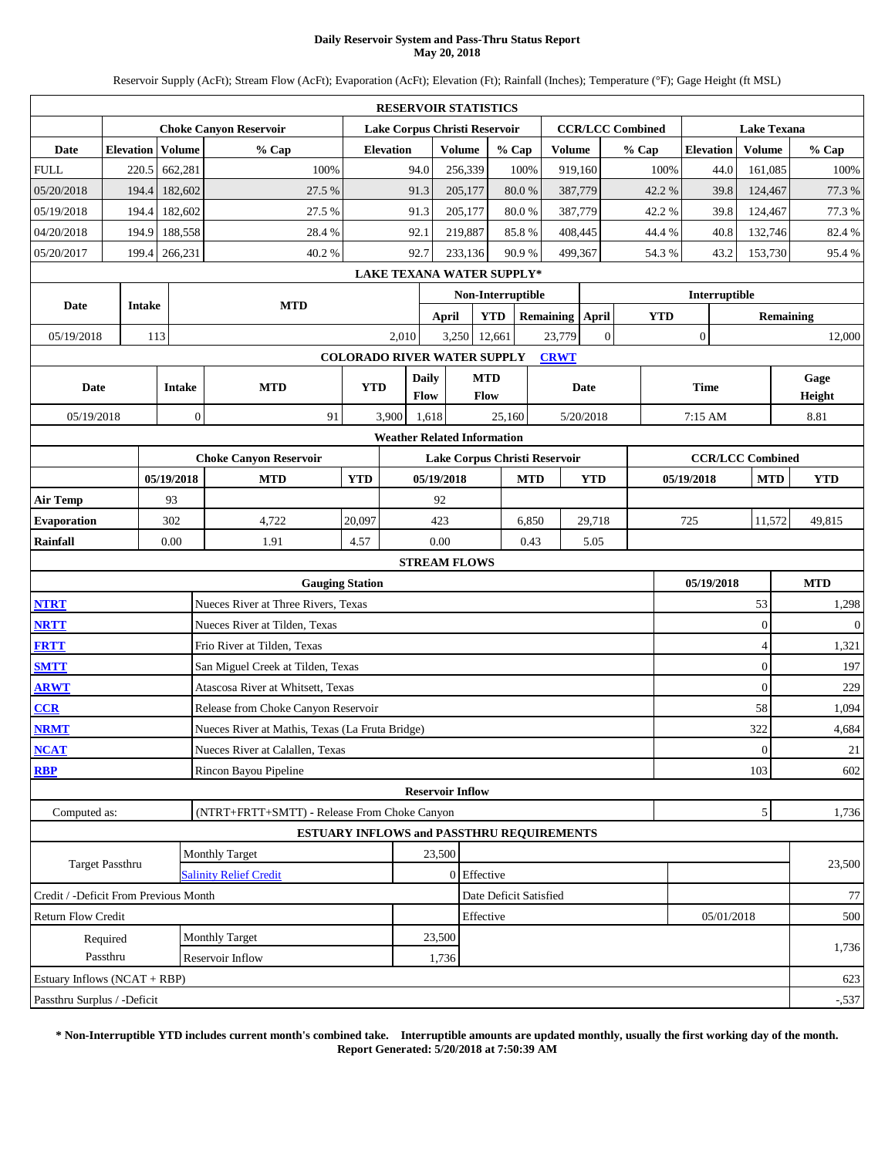### **Daily Reservoir System and Pass-Thru Status Report May 20, 2018**

Reservoir Supply (AcFt); Stream Flow (AcFt); Evaporation (AcFt); Elevation (Ft); Rainfall (Inches); Temperature (°F); Gage Height (ft MSL)

|                                                                                                                                                                                                                                                 |                      |               |                  |                                                  |                                    | <b>RESERVOIR STATISTICS</b>      |                         |                    |                        |       |                 |                |                         |            |                  |               |                    |                  |                |
|-------------------------------------------------------------------------------------------------------------------------------------------------------------------------------------------------------------------------------------------------|----------------------|---------------|------------------|--------------------------------------------------|------------------------------------|----------------------------------|-------------------------|--------------------|------------------------|-------|-----------------|----------------|-------------------------|------------|------------------|---------------|--------------------|------------------|----------------|
|                                                                                                                                                                                                                                                 |                      |               |                  | <b>Choke Canyon Reservoir</b>                    |                                    | Lake Corpus Christi Reservoir    |                         |                    |                        |       |                 |                | <b>CCR/LCC Combined</b> |            |                  |               | <b>Lake Texana</b> |                  |                |
| Date                                                                                                                                                                                                                                            | <b>Elevation</b>     |               | Volume           | % Cap                                            |                                    | <b>Elevation</b>                 |                         | <b>Volume</b>      | % Cap                  |       | <b>Volume</b>   |                | % Cap                   |            | <b>Elevation</b> |               | Volume             |                  | % Cap          |
| <b>FULL</b>                                                                                                                                                                                                                                     | 220.5                |               | 662,281          | 100%                                             |                                    | 94.0                             |                         | 256,339            | 100%                   |       | 919,160         |                |                         | 100%       |                  | 44.0          | 161,085            |                  | 100%           |
| 05/20/2018                                                                                                                                                                                                                                      | 194.4                |               | 182,602          | 27.5 %                                           |                                    | 91.3                             |                         | 205,177            | 80.0%                  |       | 387,779         |                |                         | 42.2%      |                  | 39.8          | 124,467            |                  | 77.3 %         |
| 05/19/2018                                                                                                                                                                                                                                      | 194.4                |               | 182,602          | 27.5 %                                           |                                    | 91.3                             |                         | 205,177            | 80.0%                  |       | 387,779         |                |                         | 42.2%      |                  | 39.8          | 124,467            |                  | 77.3%          |
| 04/20/2018                                                                                                                                                                                                                                      | 194.9                |               | 188,558          | 28.4%                                            |                                    | 92.1                             |                         | 219,887            | 85.8%                  |       | 408,445         |                |                         | 44.4 %     |                  | 40.8          | 132,746            |                  | 82.4 %         |
| 05/20/2017                                                                                                                                                                                                                                      | 199.4                |               | 266,231          | 40.2%                                            |                                    | 92.7                             |                         | 233,136            | 90.9%                  |       | 499,367         |                |                         | 54.3%      |                  | 43.2          | 153,730            |                  | 95.4%          |
|                                                                                                                                                                                                                                                 |                      |               |                  |                                                  |                                    | <b>LAKE TEXANA WATER SUPPLY*</b> |                         |                    |                        |       |                 |                |                         |            |                  |               |                    |                  |                |
| Date                                                                                                                                                                                                                                            |                      | <b>Intake</b> |                  | <b>MTD</b>                                       |                                    |                                  |                         |                    | Non-Interruptible      |       |                 |                |                         |            |                  | Interruptible |                    |                  |                |
|                                                                                                                                                                                                                                                 |                      |               |                  |                                                  |                                    |                                  | <b>April</b>            |                    | <b>YTD</b>             |       | Remaining April |                |                         | <b>YTD</b> |                  |               |                    | <b>Remaining</b> |                |
| 05/19/2018                                                                                                                                                                                                                                      |                      | 113           |                  |                                                  |                                    | 2,010                            | 3,250                   |                    | 12,661                 |       | 23,779          | $\overline{0}$ |                         |            | $\boldsymbol{0}$ |               |                    |                  | 12,000         |
|                                                                                                                                                                                                                                                 |                      |               |                  |                                                  | <b>COLORADO RIVER WATER SUPPLY</b> |                                  |                         |                    |                        |       | <b>CRWT</b>     |                |                         |            |                  |               |                    |                  |                |
| Date                                                                                                                                                                                                                                            |                      |               | <b>Intake</b>    | <b>MTD</b>                                       | <b>YTD</b>                         |                                  | <b>Daily</b><br>Flow    | <b>MTD</b><br>Flow |                        |       |                 | Date           |                         |            | <b>Time</b>      |               |                    |                  | Gage<br>Height |
| 05/19/2018                                                                                                                                                                                                                                      |                      |               | $\boldsymbol{0}$ | 91                                               |                                    | 3,900                            | 1,618                   |                    | 25,160                 |       |                 | 5/20/2018      |                         |            | 7:15 AM          |               |                    |                  | 8.81           |
|                                                                                                                                                                                                                                                 |                      |               |                  |                                                  |                                    |                                  |                         |                    |                        |       |                 |                |                         |            |                  |               |                    |                  |                |
| <b>Weather Related Information</b><br><b>CCR/LCC Combined</b><br><b>Choke Canyon Reservoir</b><br>Lake Corpus Christi Reservoir<br>05/19/2018<br><b>MTD</b><br><b>YTD</b><br>05/19/2018<br><b>MTD</b><br><b>YTD</b><br>05/19/2018<br><b>MTD</b> |                      |               |                  |                                                  |                                    |                                  |                         |                    |                        |       |                 |                |                         |            |                  |               |                    |                  |                |
|                                                                                                                                                                                                                                                 |                      |               |                  |                                                  |                                    |                                  |                         |                    |                        |       |                 |                |                         |            |                  |               |                    |                  | <b>YTD</b>     |
| <b>Air Temp</b>                                                                                                                                                                                                                                 |                      |               | 93               |                                                  |                                    |                                  | 92                      |                    |                        |       |                 |                |                         |            |                  |               |                    |                  |                |
| <b>Evaporation</b>                                                                                                                                                                                                                              |                      |               | 302              | 4,722                                            | 20,097                             |                                  | 423                     |                    |                        | 6,850 |                 | 29,718         |                         |            | 725              |               | 11,572             |                  | 49,815         |
| Rainfall                                                                                                                                                                                                                                        |                      |               | 0.00             | 1.91                                             | 4.57                               |                                  | 0.00                    |                    |                        | 0.43  |                 | 5.05           |                         |            |                  |               |                    |                  |                |
|                                                                                                                                                                                                                                                 |                      |               |                  |                                                  |                                    |                                  | <b>STREAM FLOWS</b>     |                    |                        |       |                 |                |                         |            |                  |               |                    |                  |                |
|                                                                                                                                                                                                                                                 |                      |               |                  | <b>Gauging Station</b>                           |                                    |                                  |                         |                    |                        |       |                 |                |                         |            | 05/19/2018       |               |                    |                  | <b>MTD</b>     |
| <b>NTRT</b>                                                                                                                                                                                                                                     |                      |               |                  | Nueces River at Three Rivers, Texas              |                                    |                                  |                         |                    |                        |       |                 |                |                         |            |                  |               | 53                 |                  | 1,298          |
| <b>NRTT</b>                                                                                                                                                                                                                                     |                      |               |                  | Nueces River at Tilden, Texas                    |                                    |                                  |                         |                    |                        |       |                 |                |                         |            |                  |               | $\overline{0}$     |                  | $\mathbf{0}$   |
| <b>FRTT</b>                                                                                                                                                                                                                                     |                      |               |                  | Frio River at Tilden, Texas                      |                                    |                                  |                         |                    |                        |       |                 |                |                         |            |                  |               | 4                  |                  | 1,321          |
| <b>SMTT</b>                                                                                                                                                                                                                                     |                      |               |                  | San Miguel Creek at Tilden, Texas                |                                    |                                  |                         |                    |                        |       |                 |                |                         |            |                  |               | $\overline{0}$     |                  | 197            |
| <b>ARWT</b>                                                                                                                                                                                                                                     |                      |               |                  | Atascosa River at Whitsett, Texas                |                                    |                                  |                         |                    |                        |       |                 |                |                         |            |                  |               | $\overline{0}$     |                  | 229            |
| CCR                                                                                                                                                                                                                                             |                      |               |                  | Release from Choke Canyon Reservoir              |                                    |                                  |                         |                    |                        |       |                 |                |                         |            |                  |               | 58                 |                  | 1,094          |
| <b>NRMT</b>                                                                                                                                                                                                                                     |                      |               |                  | Nueces River at Mathis, Texas (La Fruta Bridge)  |                                    |                                  |                         |                    |                        |       |                 |                |                         |            |                  |               | 322                |                  | 4,684          |
| <b>NCAT</b>                                                                                                                                                                                                                                     |                      |               |                  | Nueces River at Calallen, Texas                  |                                    |                                  |                         |                    |                        |       |                 |                |                         |            |                  |               | $\vert 0 \vert$    |                  | 21             |
| <b>RBP</b>                                                                                                                                                                                                                                      |                      |               |                  | Rincon Bayou Pipeline                            |                                    |                                  |                         |                    |                        |       |                 |                |                         |            |                  |               | 103                |                  | 602            |
|                                                                                                                                                                                                                                                 |                      |               |                  |                                                  |                                    |                                  | <b>Reservoir Inflow</b> |                    |                        |       |                 |                |                         |            |                  |               |                    |                  |                |
| Computed as:                                                                                                                                                                                                                                    |                      |               |                  | (NTRT+FRTT+SMTT) - Release From Choke Canyon     |                                    |                                  |                         |                    |                        |       |                 |                |                         |            |                  |               | 5 <sub>l</sub>     |                  | 1,736          |
|                                                                                                                                                                                                                                                 |                      |               |                  | <b>ESTUARY INFLOWS and PASSTHRU REQUIREMENTS</b> |                                    |                                  |                         |                    |                        |       |                 |                |                         |            |                  |               |                    |                  |                |
|                                                                                                                                                                                                                                                 | Target Passthru      |               |                  | <b>Monthly Target</b>                            |                                    |                                  | 23,500                  |                    |                        |       |                 |                |                         |            |                  |               |                    |                  | 23,500         |
|                                                                                                                                                                                                                                                 |                      |               |                  | <b>Salinity Relief Credit</b>                    |                                    |                                  |                         | 0 Effective        |                        |       |                 |                |                         |            |                  |               |                    |                  |                |
| Credit / -Deficit From Previous Month                                                                                                                                                                                                           |                      |               |                  |                                                  |                                    |                                  |                         |                    | Date Deficit Satisfied |       |                 |                |                         |            |                  |               |                    |                  | 77             |
| Return Flow Credit                                                                                                                                                                                                                              |                      |               |                  | <b>Monthly Target</b>                            |                                    |                                  | 23,500                  | Effective          |                        |       |                 |                |                         |            |                  | 05/01/2018    |                    |                  | 500            |
|                                                                                                                                                                                                                                                 | Required<br>Passthru |               |                  | Reservoir Inflow                                 |                                    |                                  | 1,736                   |                    |                        |       |                 |                |                         |            |                  |               |                    |                  | 1,736          |
| Estuary Inflows (NCAT + RBP)                                                                                                                                                                                                                    |                      |               |                  |                                                  |                                    |                                  |                         |                    |                        |       |                 |                |                         |            |                  |               |                    |                  | 623            |
| Passthru Surplus / -Deficit                                                                                                                                                                                                                     |                      |               |                  |                                                  |                                    |                                  |                         |                    |                        |       |                 |                |                         |            |                  |               |                    |                  | $-537$         |
|                                                                                                                                                                                                                                                 |                      |               |                  |                                                  |                                    |                                  |                         |                    |                        |       |                 |                |                         |            |                  |               |                    |                  |                |

**\* Non-Interruptible YTD includes current month's combined take. Interruptible amounts are updated monthly, usually the first working day of the month. Report Generated: 5/20/2018 at 7:50:39 AM**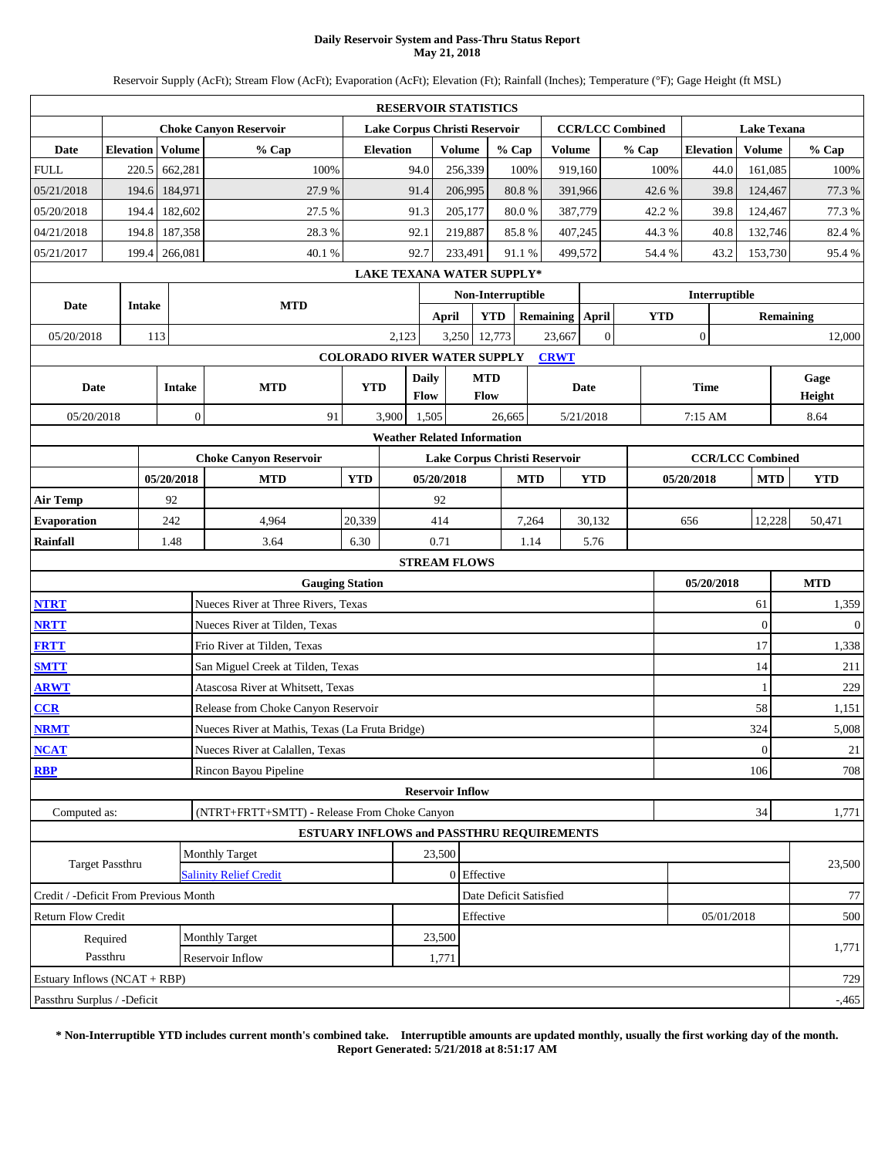### **Daily Reservoir System and Pass-Thru Status Report May 21, 2018**

Reservoir Supply (AcFt); Stream Flow (AcFt); Evaporation (AcFt); Elevation (Ft); Rainfall (Inches); Temperature (°F); Gage Height (ft MSL)

|                                                                                                                                                                                                                                                 |                        |               |                |                                                  |                                    |                  | <b>RESERVOIR STATISTICS</b>      |               |                        |       |                 |                |                         |            |                  |                    |                  |              |
|-------------------------------------------------------------------------------------------------------------------------------------------------------------------------------------------------------------------------------------------------|------------------------|---------------|----------------|--------------------------------------------------|------------------------------------|------------------|----------------------------------|---------------|------------------------|-------|-----------------|----------------|-------------------------|------------|------------------|--------------------|------------------|--------------|
|                                                                                                                                                                                                                                                 |                        |               |                | <b>Choke Canyon Reservoir</b>                    |                                    |                  | Lake Corpus Christi Reservoir    |               |                        |       |                 |                | <b>CCR/LCC Combined</b> |            |                  | <b>Lake Texana</b> |                  |              |
| Date                                                                                                                                                                                                                                            | <b>Elevation</b>       |               | Volume         | % Cap                                            |                                    | <b>Elevation</b> |                                  | <b>Volume</b> | % Cap                  |       | Volume          |                | % Cap                   |            | <b>Elevation</b> | <b>Volume</b>      |                  | % Cap        |
| <b>FULL</b>                                                                                                                                                                                                                                     | 220.5                  |               | 662,281        | 100%                                             |                                    | 94.0             |                                  | 256,339       | 100%                   |       | 919,160         |                |                         | 100%       | 44.0             | 161,085            |                  | 100%         |
| 05/21/2018                                                                                                                                                                                                                                      | 194.6                  |               | 184,971        | 27.9%                                            |                                    | 91.4             |                                  | 206,995       | 80.8%                  |       | 391,966         |                |                         | 42.6%      | 39.8             | 124,467            |                  | 77.3 %       |
| 05/20/2018                                                                                                                                                                                                                                      | 194.4                  |               | 182,602        | 27.5 %                                           |                                    | 91.3             |                                  | 205,177       | 80.0%                  |       | 387,779         |                |                         | 42.2%      | 39.8             | 124,467            |                  | 77.3 %       |
| 04/21/2018                                                                                                                                                                                                                                      | 194.8                  |               | 187,358        | 28.3%                                            |                                    | 92.1             |                                  | 219,887       | 85.8%                  |       | 407,245         |                |                         | 44.3%      | 40.8             | 132,746            |                  | 82.4 %       |
| 05/21/2017                                                                                                                                                                                                                                      | 199.4                  |               | 266,081        | 40.1%                                            |                                    | 92.7             |                                  | 233,491       | 91.1%                  |       | 499,572         |                |                         | 54.4 %     | 43.2             | 153,730            |                  | 95.4%        |
|                                                                                                                                                                                                                                                 |                        |               |                |                                                  |                                    |                  | <b>LAKE TEXANA WATER SUPPLY*</b> |               |                        |       |                 |                |                         |            |                  |                    |                  |              |
|                                                                                                                                                                                                                                                 |                        |               |                |                                                  |                                    |                  |                                  |               | Non-Interruptible      |       |                 |                |                         |            | Interruptible    |                    |                  |              |
| <b>Date</b>                                                                                                                                                                                                                                     |                        | <b>Intake</b> |                | <b>MTD</b>                                       |                                    |                  | <b>April</b>                     |               | <b>YTD</b>             |       | Remaining April |                |                         | <b>YTD</b> |                  |                    | <b>Remaining</b> |              |
| 05/20/2018                                                                                                                                                                                                                                      |                        | 113           |                |                                                  |                                    | 2,123            | 3,250                            |               | 12,773                 |       | 23,667          | $\overline{0}$ |                         |            | $\boldsymbol{0}$ |                    |                  | 12,000       |
|                                                                                                                                                                                                                                                 |                        |               |                |                                                  | <b>COLORADO RIVER WATER SUPPLY</b> |                  |                                  |               |                        |       | <b>CRWT</b>     |                |                         |            |                  |                    |                  |              |
| Date                                                                                                                                                                                                                                            |                        |               | <b>Intake</b>  | <b>MTD</b>                                       | <b>YTD</b>                         |                  | <b>Daily</b>                     | <b>MTD</b>    |                        |       |                 | Date           |                         |            | <b>Time</b>      |                    |                  | Gage         |
|                                                                                                                                                                                                                                                 |                        |               |                |                                                  |                                    |                  | Flow                             | Flow          |                        |       |                 |                |                         |            |                  |                    |                  | Height       |
| 05/20/2018                                                                                                                                                                                                                                      |                        |               | $\overline{0}$ | 91                                               |                                    | 3,900            | 1,505                            |               | 26,665                 |       |                 | 5/21/2018      |                         |            | 7:15 AM          |                    |                  | 8.64         |
| <b>Weather Related Information</b><br><b>Choke Canyon Reservoir</b><br>Lake Corpus Christi Reservoir<br><b>CCR/LCC Combined</b><br>05/20/2018<br><b>YTD</b><br>05/20/2018<br><b>YTD</b><br><b>MTD</b><br><b>MTD</b><br>05/20/2018<br><b>MTD</b> |                        |               |                |                                                  |                                    |                  |                                  |               |                        |       |                 |                |                         |            |                  |                    |                  |              |
| 92                                                                                                                                                                                                                                              |                        |               |                |                                                  |                                    |                  |                                  |               |                        |       |                 |                |                         |            |                  |                    |                  |              |
|                                                                                                                                                                                                                                                 |                        |               |                |                                                  |                                    |                  |                                  |               |                        |       |                 |                |                         |            |                  |                    |                  | <b>YTD</b>   |
| <b>Air Temp</b>                                                                                                                                                                                                                                 |                        |               |                |                                                  |                                    |                  | 92                               |               |                        |       |                 |                |                         |            |                  |                    |                  |              |
| <b>Evaporation</b>                                                                                                                                                                                                                              |                        |               | 242            | 4,964                                            | 20,339                             |                  | 414                              |               |                        | 7,264 |                 | 30,132         |                         | 656        |                  | 12,228             |                  | 50,471       |
| Rainfall                                                                                                                                                                                                                                        |                        |               | 1.48           | 3.64                                             | 6.30                               |                  | 0.71                             |               |                        | 1.14  |                 | 5.76           |                         |            |                  |                    |                  |              |
|                                                                                                                                                                                                                                                 |                        |               |                | <b>Gauging Station</b>                           |                                    |                  | <b>STREAM FLOWS</b>              |               |                        |       |                 |                |                         |            | 05/20/2018       |                    |                  | <b>MTD</b>   |
| <b>NTRT</b>                                                                                                                                                                                                                                     |                        |               |                | Nueces River at Three Rivers, Texas              |                                    |                  |                                  |               |                        |       |                 |                |                         |            |                  | 61                 |                  | 1,359        |
| <b>NRTT</b>                                                                                                                                                                                                                                     |                        |               |                | Nueces River at Tilden, Texas                    |                                    |                  |                                  |               |                        |       |                 |                |                         |            |                  | $\overline{0}$     |                  | $\mathbf{0}$ |
| <b>FRTT</b>                                                                                                                                                                                                                                     |                        |               |                | Frio River at Tilden, Texas                      |                                    |                  |                                  |               |                        |       |                 |                |                         |            |                  | 17                 |                  | 1,338        |
| <b>SMTT</b>                                                                                                                                                                                                                                     |                        |               |                | San Miguel Creek at Tilden, Texas                |                                    |                  |                                  |               |                        |       |                 |                |                         |            |                  | 14                 |                  | 211          |
| <b>ARWT</b>                                                                                                                                                                                                                                     |                        |               |                | Atascosa River at Whitsett, Texas                |                                    |                  |                                  |               |                        |       |                 |                |                         |            |                  | 1                  |                  | $229\,$      |
| CCR                                                                                                                                                                                                                                             |                        |               |                | Release from Choke Canyon Reservoir              |                                    |                  |                                  |               |                        |       |                 |                |                         |            |                  | 58                 |                  | 1,151        |
| <b>NRMT</b>                                                                                                                                                                                                                                     |                        |               |                | Nueces River at Mathis, Texas (La Fruta Bridge)  |                                    |                  |                                  |               |                        |       |                 |                |                         |            |                  | 324                |                  | 5,008        |
| <b>NCAT</b>                                                                                                                                                                                                                                     |                        |               |                | Nueces River at Calallen, Texas                  |                                    |                  |                                  |               |                        |       |                 |                |                         |            |                  | $\mathbf{0}$       |                  | 21           |
| <b>RBP</b>                                                                                                                                                                                                                                      |                        |               |                | Rincon Bayou Pipeline                            |                                    |                  |                                  |               |                        |       |                 |                |                         |            |                  | 106                |                  | 708          |
|                                                                                                                                                                                                                                                 |                        |               |                |                                                  |                                    |                  | <b>Reservoir Inflow</b>          |               |                        |       |                 |                |                         |            |                  |                    |                  |              |
| Computed as:                                                                                                                                                                                                                                    |                        |               |                | (NTRT+FRTT+SMTT) - Release From Choke Canyon     |                                    |                  |                                  |               |                        |       |                 |                |                         |            |                  | 34                 |                  | 1,771        |
|                                                                                                                                                                                                                                                 |                        |               |                | <b>ESTUARY INFLOWS and PASSTHRU REQUIREMENTS</b> |                                    |                  |                                  |               |                        |       |                 |                |                         |            |                  |                    |                  |              |
|                                                                                                                                                                                                                                                 |                        |               |                | Monthly Target                                   |                                    |                  | 23,500                           |               |                        |       |                 |                |                         |            |                  |                    |                  |              |
|                                                                                                                                                                                                                                                 | <b>Target Passthru</b> |               |                | <b>Salinity Relief Credit</b>                    |                                    |                  |                                  | 0 Effective   |                        |       |                 |                |                         |            |                  |                    |                  | 23,500       |
| Credit / -Deficit From Previous Month                                                                                                                                                                                                           |                        |               |                |                                                  |                                    |                  |                                  |               | Date Deficit Satisfied |       |                 |                |                         |            |                  |                    |                  | 77           |
| <b>Return Flow Credit</b>                                                                                                                                                                                                                       |                        |               |                |                                                  |                                    |                  |                                  | Effective     |                        |       |                 |                |                         |            | 05/01/2018       |                    |                  | 500          |
|                                                                                                                                                                                                                                                 | Required               |               |                | Monthly Target                                   |                                    |                  | 23,500                           |               |                        |       |                 |                |                         |            |                  |                    |                  |              |
|                                                                                                                                                                                                                                                 | Passthru               |               |                | Reservoir Inflow                                 |                                    |                  | 1,771                            |               |                        |       |                 |                |                         |            |                  |                    |                  | 1,771        |
| Estuary Inflows (NCAT + RBP)                                                                                                                                                                                                                    |                        |               |                |                                                  |                                    |                  |                                  |               |                        |       |                 |                |                         |            |                  |                    |                  | 729          |
| Passthru Surplus / -Deficit                                                                                                                                                                                                                     |                        |               |                |                                                  |                                    |                  |                                  |               |                        |       |                 |                |                         |            |                  |                    |                  | $-0.465$     |

**\* Non-Interruptible YTD includes current month's combined take. Interruptible amounts are updated monthly, usually the first working day of the month. Report Generated: 5/21/2018 at 8:51:17 AM**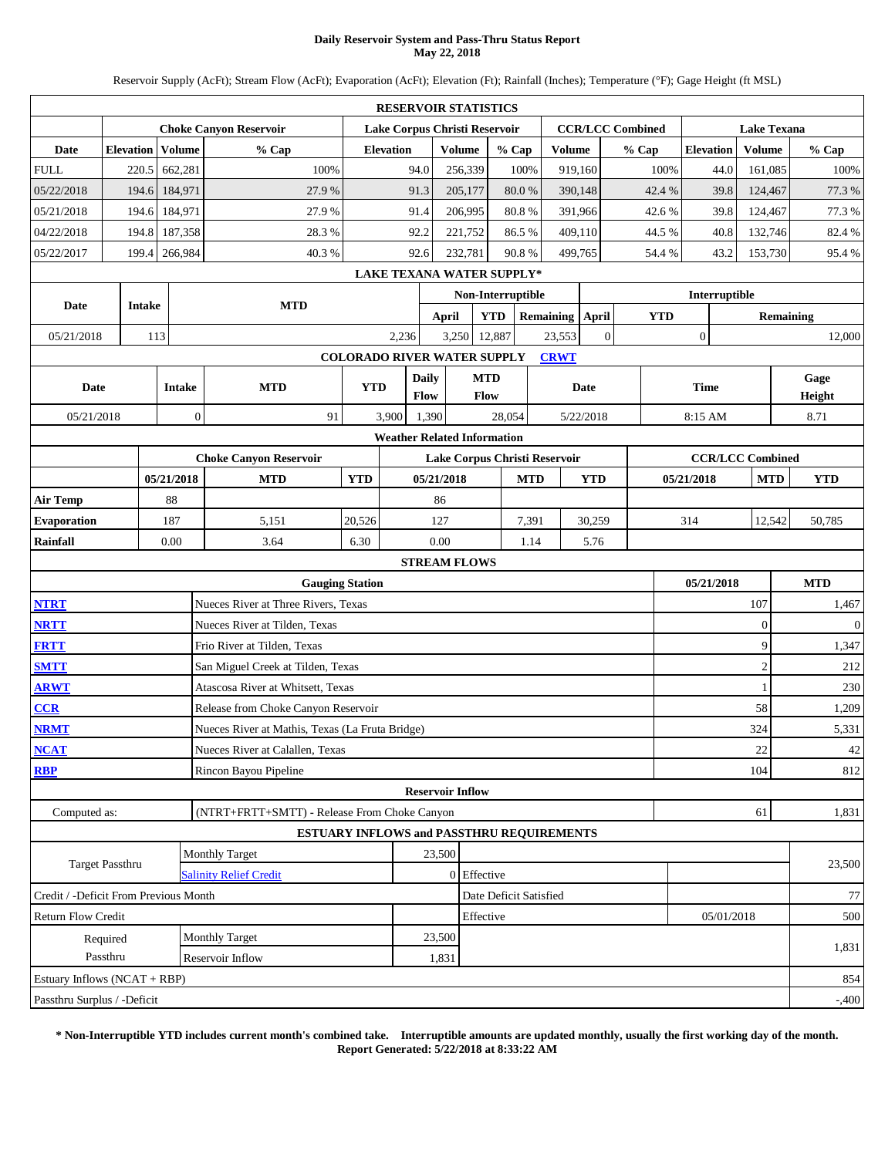### **Daily Reservoir System and Pass-Thru Status Report May 22, 2018**

Reservoir Supply (AcFt); Stream Flow (AcFt); Evaporation (AcFt); Elevation (Ft); Rainfall (Inches); Temperature (°F); Gage Height (ft MSL)

|                                                                                                                                                                                                                                                 |                      |               |                  |                                                  |                                    |                  | <b>RESERVOIR STATISTICS</b>      |                    |                        |       |                 |                |                         |            |                  |               |                    |                  |                |
|-------------------------------------------------------------------------------------------------------------------------------------------------------------------------------------------------------------------------------------------------|----------------------|---------------|------------------|--------------------------------------------------|------------------------------------|------------------|----------------------------------|--------------------|------------------------|-------|-----------------|----------------|-------------------------|------------|------------------|---------------|--------------------|------------------|----------------|
|                                                                                                                                                                                                                                                 |                      |               |                  | <b>Choke Canyon Reservoir</b>                    |                                    |                  | Lake Corpus Christi Reservoir    |                    |                        |       |                 |                | <b>CCR/LCC Combined</b> |            |                  |               | <b>Lake Texana</b> |                  |                |
| Date                                                                                                                                                                                                                                            | <b>Elevation</b>     |               | Volume           | % Cap                                            |                                    | <b>Elevation</b> |                                  | <b>Volume</b>      | % Cap                  |       | <b>Volume</b>   |                | % Cap                   |            | <b>Elevation</b> |               | Volume             |                  | % Cap          |
| <b>FULL</b>                                                                                                                                                                                                                                     |                      | 220.5         | 662,281          | 100%                                             |                                    | 94.0             |                                  | 256,339            |                        | 100%  | 919,160         |                |                         | 100%       |                  | 44.0          | 161,085            |                  | 100%           |
| 05/22/2018                                                                                                                                                                                                                                      |                      | 194.6         | 184,971          | 27.9%                                            |                                    | 91.3             |                                  | 205,177            | 80.0%                  |       | 390,148         |                |                         | 42.4 %     |                  | 39.8          | 124,467            |                  | 77.3 %         |
| 05/21/2018                                                                                                                                                                                                                                      |                      | 194.6         | 184,971          | 27.9%                                            |                                    | 91.4             |                                  | 206,995            | 80.8%                  |       | 391,966         |                |                         | 42.6%      |                  | 39.8          | 124,467            |                  | 77.3%          |
| 04/22/2018                                                                                                                                                                                                                                      |                      | 194.8         | 187,358          | 28.3%                                            |                                    | 92.2             |                                  | 221,752            | 86.5%                  |       | 409,110         |                |                         | 44.5 %     |                  | 40.8          | 132,746            |                  | 82.4 %         |
| 05/22/2017                                                                                                                                                                                                                                      | 199.4                |               | 266,984          | 40.3%                                            |                                    | 92.6             |                                  | 232,781            | 90.8%                  |       | 499,765         |                |                         | 54.4 %     |                  | 43.2          | 153,730            |                  | 95.4%          |
|                                                                                                                                                                                                                                                 |                      |               |                  |                                                  |                                    |                  | <b>LAKE TEXANA WATER SUPPLY*</b> |                    |                        |       |                 |                |                         |            |                  |               |                    |                  |                |
| Date                                                                                                                                                                                                                                            |                      | <b>Intake</b> |                  | <b>MTD</b>                                       |                                    |                  |                                  |                    | Non-Interruptible      |       |                 |                |                         |            |                  | Interruptible |                    |                  |                |
|                                                                                                                                                                                                                                                 |                      |               |                  |                                                  |                                    |                  | April                            |                    | <b>YTD</b>             |       | Remaining April |                |                         | <b>YTD</b> |                  |               |                    | <b>Remaining</b> |                |
| 05/21/2018                                                                                                                                                                                                                                      |                      | 113           |                  |                                                  |                                    | 2,236            | 3,250                            |                    | 12,887                 |       | 23,553          | $\overline{0}$ |                         |            | $\boldsymbol{0}$ |               |                    |                  | 12,000         |
|                                                                                                                                                                                                                                                 |                      |               |                  |                                                  | <b>COLORADO RIVER WATER SUPPLY</b> |                  |                                  |                    |                        |       | <b>CRWT</b>     |                |                         |            |                  |               |                    |                  |                |
| Date                                                                                                                                                                                                                                            |                      |               | <b>Intake</b>    | <b>MTD</b>                                       | <b>YTD</b>                         |                  | <b>Daily</b><br>Flow             | <b>MTD</b><br>Flow |                        |       |                 | Date           |                         |            | <b>Time</b>      |               |                    |                  | Gage<br>Height |
| 05/21/2018                                                                                                                                                                                                                                      |                      |               | $\boldsymbol{0}$ | 91                                               |                                    | 3,900            | 1,390                            |                    | 28,054                 |       |                 | 5/22/2018      |                         |            | 8:15 AM          |               |                    |                  | 8.71           |
|                                                                                                                                                                                                                                                 |                      |               |                  |                                                  |                                    |                  |                                  |                    |                        |       |                 |                |                         |            |                  |               |                    |                  |                |
| <b>Weather Related Information</b><br><b>CCR/LCC Combined</b><br><b>Choke Canyon Reservoir</b><br>Lake Corpus Christi Reservoir<br>05/21/2018<br><b>MTD</b><br><b>YTD</b><br>05/21/2018<br><b>MTD</b><br><b>YTD</b><br>05/21/2018<br><b>MTD</b> |                      |               |                  |                                                  |                                    |                  |                                  |                    |                        |       |                 |                |                         |            |                  |               |                    |                  |                |
|                                                                                                                                                                                                                                                 |                      |               |                  |                                                  |                                    |                  |                                  |                    |                        |       |                 |                |                         |            |                  |               |                    |                  | <b>YTD</b>     |
| <b>Air Temp</b>                                                                                                                                                                                                                                 |                      |               | 88               |                                                  |                                    |                  | 86                               |                    |                        |       |                 |                |                         |            |                  |               |                    |                  |                |
| <b>Evaporation</b>                                                                                                                                                                                                                              |                      |               | 187              | 5,151                                            | 20,526                             |                  | 127                              |                    |                        | 7,391 |                 | 30,259         |                         |            | 314              |               | 12,542             |                  | 50,785         |
| Rainfall                                                                                                                                                                                                                                        |                      |               | 0.00             | 3.64                                             | 6.30                               |                  | 0.00                             |                    |                        | 1.14  |                 | 5.76           |                         |            |                  |               |                    |                  |                |
|                                                                                                                                                                                                                                                 |                      |               |                  |                                                  |                                    |                  | <b>STREAM FLOWS</b>              |                    |                        |       |                 |                |                         |            |                  |               |                    |                  |                |
|                                                                                                                                                                                                                                                 |                      |               |                  | <b>Gauging Station</b>                           |                                    |                  |                                  |                    |                        |       |                 |                |                         |            |                  | 05/21/2018    |                    |                  | <b>MTD</b>     |
| <b>NTRT</b>                                                                                                                                                                                                                                     |                      |               |                  | Nueces River at Three Rivers, Texas              |                                    |                  |                                  |                    |                        |       |                 |                |                         |            |                  |               | 107                |                  | 1,467          |
| <b>NRTT</b>                                                                                                                                                                                                                                     |                      |               |                  | Nueces River at Tilden, Texas                    |                                    |                  |                                  |                    |                        |       |                 |                |                         |            |                  |               | $\mathbf{0}$       |                  | $\mathbf{0}$   |
| <b>FRTT</b>                                                                                                                                                                                                                                     |                      |               |                  | Frio River at Tilden, Texas                      |                                    |                  |                                  |                    |                        |       |                 |                |                         |            |                  |               | 9                  |                  | 1,347          |
| <b>SMTT</b>                                                                                                                                                                                                                                     |                      |               |                  | San Miguel Creek at Tilden, Texas                |                                    |                  |                                  |                    |                        |       |                 |                |                         |            |                  |               | $\mathfrak{2}$     |                  | 212            |
| <b>ARWT</b>                                                                                                                                                                                                                                     |                      |               |                  | Atascosa River at Whitsett, Texas                |                                    |                  |                                  |                    |                        |       |                 |                |                         |            |                  |               |                    |                  | 230            |
| CCR                                                                                                                                                                                                                                             |                      |               |                  | Release from Choke Canyon Reservoir              |                                    |                  |                                  |                    |                        |       |                 |                |                         |            |                  |               | 58                 |                  | 1,209          |
| <b>NRMT</b>                                                                                                                                                                                                                                     |                      |               |                  | Nueces River at Mathis, Texas (La Fruta Bridge)  |                                    |                  |                                  |                    |                        |       |                 |                |                         |            |                  |               | 324                |                  | 5,331          |
| <b>NCAT</b>                                                                                                                                                                                                                                     |                      |               |                  | Nueces River at Calallen, Texas                  |                                    |                  |                                  |                    |                        |       |                 |                |                         |            |                  |               | 22                 |                  | 42             |
| <b>RBP</b>                                                                                                                                                                                                                                      |                      |               |                  | Rincon Bayou Pipeline                            |                                    |                  |                                  |                    |                        |       |                 |                |                         |            |                  |               | 104                |                  | 812            |
|                                                                                                                                                                                                                                                 |                      |               |                  |                                                  |                                    |                  | <b>Reservoir Inflow</b>          |                    |                        |       |                 |                |                         |            |                  |               |                    |                  |                |
| Computed as:                                                                                                                                                                                                                                    |                      |               |                  | (NTRT+FRTT+SMTT) - Release From Choke Canyon     |                                    |                  |                                  |                    |                        |       |                 |                |                         |            |                  |               | 61                 |                  | 1,831          |
|                                                                                                                                                                                                                                                 |                      |               |                  | <b>ESTUARY INFLOWS and PASSTHRU REQUIREMENTS</b> |                                    |                  |                                  |                    |                        |       |                 |                |                         |            |                  |               |                    |                  |                |
|                                                                                                                                                                                                                                                 | Target Passthru      |               |                  | <b>Monthly Target</b>                            |                                    |                  | 23,500                           |                    |                        |       |                 |                |                         |            |                  |               |                    |                  | 23,500         |
| Credit / -Deficit From Previous Month                                                                                                                                                                                                           |                      |               |                  | <b>Salinity Relief Credit</b>                    |                                    |                  |                                  | 0 Effective        | Date Deficit Satisfied |       |                 |                |                         |            |                  |               |                    |                  |                |
|                                                                                                                                                                                                                                                 |                      |               |                  |                                                  |                                    |                  |                                  |                    |                        |       |                 |                |                         |            |                  |               |                    |                  | 77             |
| Return Flow Credit                                                                                                                                                                                                                              |                      |               |                  | <b>Monthly Target</b>                            |                                    |                  | 23,500                           | Effective          |                        |       |                 |                |                         |            |                  | 05/01/2018    |                    |                  | 500            |
|                                                                                                                                                                                                                                                 | Required<br>Passthru |               |                  | Reservoir Inflow                                 |                                    |                  | 1,831                            |                    |                        |       |                 |                |                         |            |                  |               |                    |                  | 1,831          |
| Estuary Inflows (NCAT + RBP)                                                                                                                                                                                                                    |                      |               |                  |                                                  |                                    |                  |                                  |                    |                        |       |                 |                |                         |            |                  |               |                    |                  | 854            |
| Passthru Surplus / -Deficit                                                                                                                                                                                                                     |                      |               |                  |                                                  |                                    |                  |                                  |                    |                        |       |                 |                |                         |            |                  |               |                    |                  | $-0.400$       |
|                                                                                                                                                                                                                                                 |                      |               |                  |                                                  |                                    |                  |                                  |                    |                        |       |                 |                |                         |            |                  |               |                    |                  |                |

**\* Non-Interruptible YTD includes current month's combined take. Interruptible amounts are updated monthly, usually the first working day of the month. Report Generated: 5/22/2018 at 8:33:22 AM**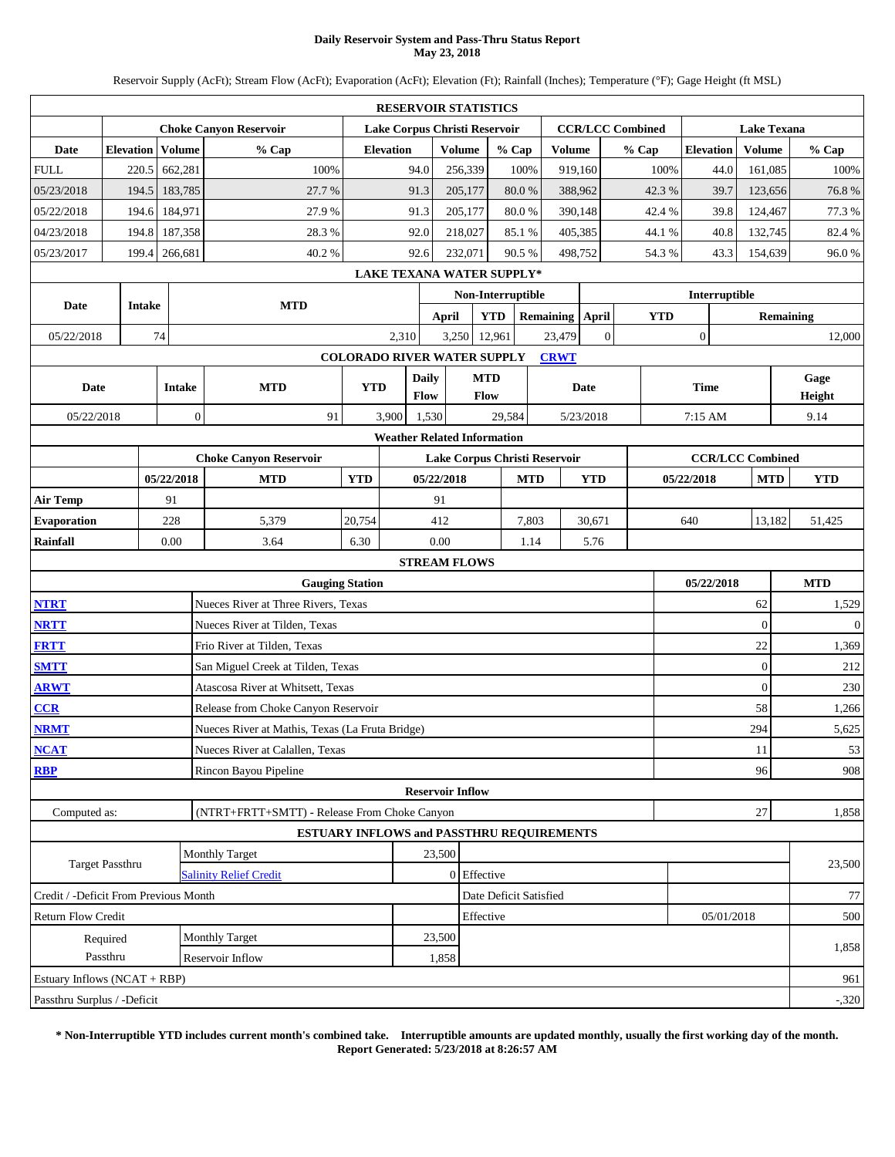### **Daily Reservoir System and Pass-Thru Status Report May 23, 2018**

Reservoir Supply (AcFt); Stream Flow (AcFt); Evaporation (AcFt); Elevation (Ft); Rainfall (Inches); Temperature (°F); Gage Height (ft MSL)

|                                                                                                                                                                                                                                                 |                  |        |               |                                                  |                                    |                  | <b>RESERVOIR STATISTICS</b>   |                    |                           |       |                 |                |                         |                  |                  |                    |  |                  |
|-------------------------------------------------------------------------------------------------------------------------------------------------------------------------------------------------------------------------------------------------|------------------|--------|---------------|--------------------------------------------------|------------------------------------|------------------|-------------------------------|--------------------|---------------------------|-------|-----------------|----------------|-------------------------|------------------|------------------|--------------------|--|------------------|
|                                                                                                                                                                                                                                                 |                  |        |               | <b>Choke Canyon Reservoir</b>                    |                                    |                  | Lake Corpus Christi Reservoir |                    |                           |       |                 |                | <b>CCR/LCC Combined</b> |                  |                  | <b>Lake Texana</b> |  |                  |
| Date                                                                                                                                                                                                                                            | <b>Elevation</b> |        | Volume        | % Cap                                            |                                    | <b>Elevation</b> |                               | <b>Volume</b>      | % Cap                     |       | <b>Volume</b>   |                | % Cap                   |                  | <b>Elevation</b> | Volume             |  | % Cap            |
| <b>FULL</b>                                                                                                                                                                                                                                     | 220.5            |        | 662,281       | 100%                                             |                                    | 94.0             |                               | 256,339            | 100%                      |       | 919,160         |                | 100%                    |                  | 44.0             | 161,085            |  | 100%             |
| 05/23/2018                                                                                                                                                                                                                                      | 194.5            |        | 183,785       | 27.7 %                                           |                                    | 91.3             |                               | 205,177            | $80.0\ \%$                |       | 388,962         |                | 42.3%                   |                  | 39.7             | 123,656            |  | 76.8%            |
| 05/22/2018                                                                                                                                                                                                                                      | 194.6            |        | 184,971       | 27.9%                                            |                                    | 91.3             |                               | 205,177            | 80.0%                     |       | 390,148         |                | 42.4%                   |                  | 39.8             | 124,467            |  | 77.3%            |
| 04/23/2018                                                                                                                                                                                                                                      | 194.8            |        | 187,358       | 28.3%                                            |                                    | 92.0             |                               | 218,027            | 85.1%                     |       | 405,385         |                | 44.1 %                  |                  | 40.8             | 132,745            |  | 82.4%            |
| 05/23/2017                                                                                                                                                                                                                                      | 199.4            |        | 266,681       | 40.2%                                            |                                    | 92.6             |                               | 232,071            | 90.5%                     |       | 498.752         |                | 54.3%                   |                  | 43.3             | 154,639            |  | 96.0%            |
|                                                                                                                                                                                                                                                 |                  |        |               |                                                  |                                    |                  |                               |                    | LAKE TEXANA WATER SUPPLY* |       |                 |                |                         |                  |                  |                    |  |                  |
| Date                                                                                                                                                                                                                                            |                  | Intake |               | <b>MTD</b>                                       |                                    |                  |                               |                    | Non-Interruptible         |       |                 |                |                         |                  | Interruptible    |                    |  |                  |
|                                                                                                                                                                                                                                                 |                  |        |               |                                                  |                                    |                  | <b>April</b>                  |                    | <b>YTD</b>                |       | Remaining April |                | <b>YTD</b>              |                  |                  |                    |  | <b>Remaining</b> |
| 05/22/2018                                                                                                                                                                                                                                      |                  | 74     |               |                                                  |                                    | 2,310            | 3,250                         |                    | 12,961                    |       | 23,479          | $\overline{0}$ |                         | $\boldsymbol{0}$ |                  |                    |  | 12,000           |
|                                                                                                                                                                                                                                                 |                  |        |               |                                                  | <b>COLORADO RIVER WATER SUPPLY</b> |                  |                               |                    |                           |       | <b>CRWT</b>     |                |                         |                  |                  |                    |  |                  |
| Date                                                                                                                                                                                                                                            |                  |        | <b>Intake</b> | <b>MTD</b>                                       | <b>YTD</b>                         |                  | <b>Daily</b><br>Flow          | <b>MTD</b><br>Flow |                           |       |                 | Date           |                         | <b>Time</b>      |                  |                    |  | Gage<br>Height   |
| 05/22/2018                                                                                                                                                                                                                                      |                  |        | $\mathbf{0}$  | 91                                               |                                    | 3,900            | 1,530                         |                    | 29,584                    |       |                 | 5/23/2018      |                         | 7:15 AM          |                  |                    |  | 9.14             |
|                                                                                                                                                                                                                                                 |                  |        |               |                                                  |                                    |                  |                               |                    |                           |       |                 |                |                         |                  |                  |                    |  |                  |
| <b>Weather Related Information</b><br><b>CCR/LCC Combined</b><br><b>Choke Canyon Reservoir</b><br>Lake Corpus Christi Reservoir<br>05/22/2018<br><b>MTD</b><br><b>YTD</b><br>05/22/2018<br><b>MTD</b><br><b>YTD</b><br>05/22/2018<br><b>MTD</b> |                  |        |               |                                                  |                                    |                  |                               |                    |                           |       |                 |                |                         |                  |                  |                    |  |                  |
|                                                                                                                                                                                                                                                 |                  |        |               |                                                  |                                    |                  |                               |                    |                           |       |                 |                | <b>YTD</b>              |                  |                  |                    |  |                  |
| <b>Air Temp</b>                                                                                                                                                                                                                                 |                  |        | 91            |                                                  |                                    |                  | 91                            |                    |                           |       |                 |                |                         |                  |                  |                    |  |                  |
| <b>Evaporation</b>                                                                                                                                                                                                                              |                  |        | 228           | 5,379                                            | 20,754                             |                  | 412                           |                    |                           | 7,803 |                 | 30,671         |                         | 640              |                  | 13,182             |  | 51,425           |
| <b>Rainfall</b>                                                                                                                                                                                                                                 |                  |        | 0.00          | 3.64                                             | 6.30                               |                  | 0.00                          |                    |                           | 1.14  |                 | 5.76           |                         |                  |                  |                    |  |                  |
|                                                                                                                                                                                                                                                 |                  |        |               |                                                  |                                    |                  | <b>STREAM FLOWS</b>           |                    |                           |       |                 |                |                         |                  |                  |                    |  |                  |
|                                                                                                                                                                                                                                                 |                  |        |               | <b>Gauging Station</b>                           |                                    |                  |                               |                    |                           |       |                 |                |                         |                  | 05/22/2018       |                    |  | <b>MTD</b>       |
| <b>NTRT</b>                                                                                                                                                                                                                                     |                  |        |               | Nueces River at Three Rivers, Texas              |                                    |                  |                               |                    |                           |       |                 |                |                         |                  |                  | 62                 |  | 1,529            |
| <b>NRTT</b>                                                                                                                                                                                                                                     |                  |        |               | Nueces River at Tilden, Texas                    |                                    |                  |                               |                    |                           |       |                 |                |                         |                  |                  | $\overline{0}$     |  | $\mathbf{0}$     |
| <b>FRTT</b>                                                                                                                                                                                                                                     |                  |        |               | Frio River at Tilden, Texas                      |                                    |                  |                               |                    |                           |       |                 |                |                         |                  |                  | 22                 |  | 1,369            |
| <b>SMTT</b>                                                                                                                                                                                                                                     |                  |        |               | San Miguel Creek at Tilden, Texas                |                                    |                  |                               |                    |                           |       |                 |                |                         |                  |                  | $\overline{0}$     |  | 212              |
| <b>ARWT</b>                                                                                                                                                                                                                                     |                  |        |               | Atascosa River at Whitsett, Texas                |                                    |                  |                               |                    |                           |       |                 |                |                         |                  |                  | $\overline{0}$     |  | 230              |
| CCR                                                                                                                                                                                                                                             |                  |        |               | Release from Choke Canyon Reservoir              |                                    |                  |                               |                    |                           |       |                 |                |                         |                  |                  | 58                 |  | 1,266            |
| <b>NRMT</b>                                                                                                                                                                                                                                     |                  |        |               | Nueces River at Mathis, Texas (La Fruta Bridge)  |                                    |                  |                               |                    |                           |       |                 |                |                         |                  |                  | 294                |  | 5,625            |
| <b>NCAT</b>                                                                                                                                                                                                                                     |                  |        |               | Nueces River at Calallen, Texas                  |                                    |                  |                               |                    |                           |       |                 |                |                         |                  |                  | 11                 |  | 53               |
| <b>RBP</b>                                                                                                                                                                                                                                      |                  |        |               | Rincon Bayou Pipeline                            |                                    |                  |                               |                    |                           |       |                 |                |                         |                  |                  | 96                 |  | 908              |
|                                                                                                                                                                                                                                                 |                  |        |               |                                                  |                                    |                  | <b>Reservoir Inflow</b>       |                    |                           |       |                 |                |                         |                  |                  |                    |  |                  |
| Computed as:                                                                                                                                                                                                                                    |                  |        |               | (NTRT+FRTT+SMTT) - Release From Choke Canyon     |                                    |                  |                               |                    |                           |       |                 |                |                         |                  |                  | 27                 |  | 1,858            |
|                                                                                                                                                                                                                                                 |                  |        |               | <b>ESTUARY INFLOWS and PASSTHRU REQUIREMENTS</b> |                                    |                  |                               |                    |                           |       |                 |                |                         |                  |                  |                    |  |                  |
|                                                                                                                                                                                                                                                 | Target Passthru  |        |               | <b>Monthly Target</b>                            |                                    |                  | 23,500                        |                    |                           |       |                 |                |                         |                  |                  |                    |  | 23,500           |
|                                                                                                                                                                                                                                                 |                  |        |               | <b>Salinity Relief Credit</b>                    |                                    |                  |                               | 0 Effective        |                           |       |                 |                |                         |                  |                  |                    |  |                  |
| Credit / -Deficit From Previous Month                                                                                                                                                                                                           |                  |        |               |                                                  |                                    |                  |                               |                    | Date Deficit Satisfied    |       |                 |                |                         |                  |                  |                    |  | 77               |
| <b>Return Flow Credit</b>                                                                                                                                                                                                                       |                  |        |               |                                                  |                                    |                  |                               | Effective          |                           |       |                 |                |                         |                  | 05/01/2018       |                    |  | 500              |
|                                                                                                                                                                                                                                                 | Required         |        |               | Monthly Target                                   |                                    |                  | 23,500                        |                    |                           |       |                 |                |                         |                  |                  |                    |  | 1,858            |
|                                                                                                                                                                                                                                                 | Passthru         |        |               | Reservoir Inflow                                 |                                    |                  | 1,858                         |                    |                           |       |                 |                |                         |                  |                  |                    |  |                  |
| Estuary Inflows (NCAT + RBP)                                                                                                                                                                                                                    |                  |        |               |                                                  |                                    |                  |                               |                    |                           |       |                 |                |                         |                  |                  |                    |  | 961              |
| Passthru Surplus / -Deficit                                                                                                                                                                                                                     |                  |        |               |                                                  |                                    |                  |                               |                    |                           |       |                 |                |                         |                  |                  |                    |  | $-320$           |

**\* Non-Interruptible YTD includes current month's combined take. Interruptible amounts are updated monthly, usually the first working day of the month. Report Generated: 5/23/2018 at 8:26:57 AM**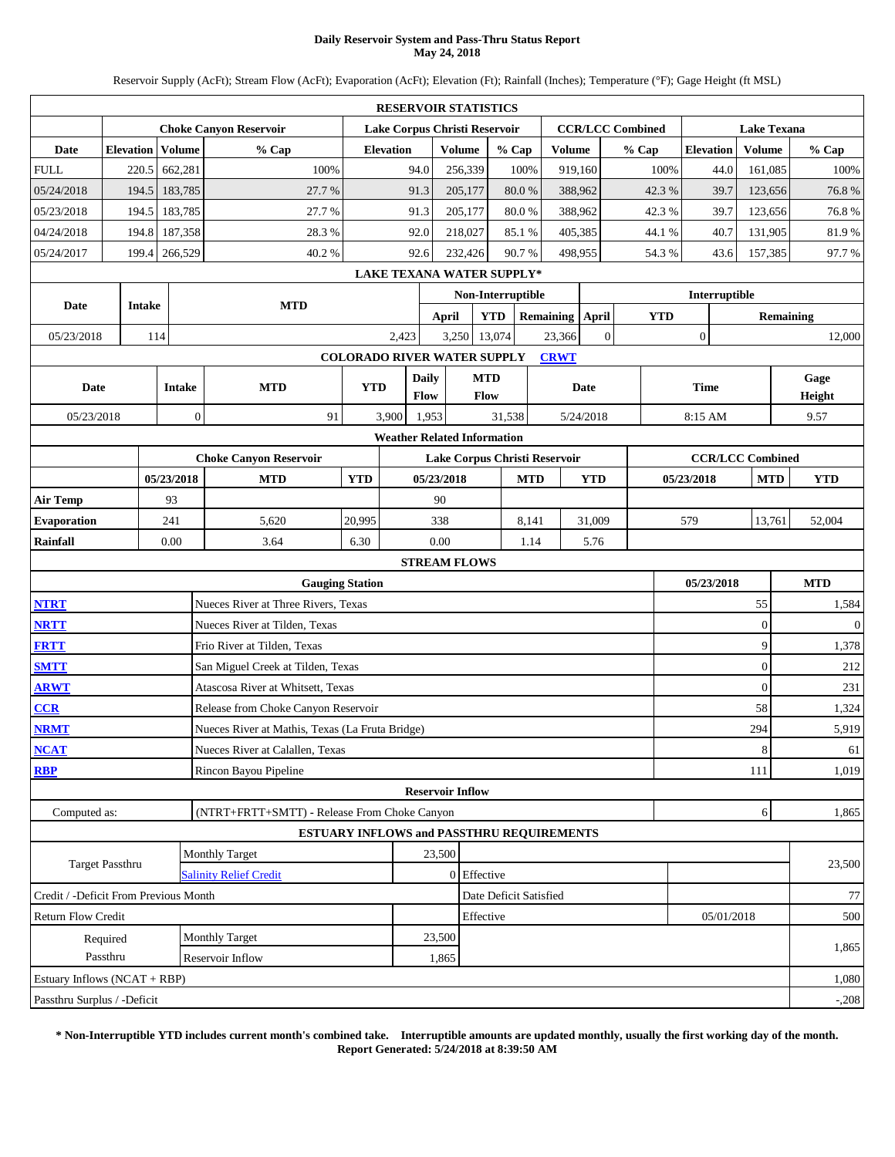### **Daily Reservoir System and Pass-Thru Status Report May 24, 2018**

Reservoir Supply (AcFt); Stream Flow (AcFt); Evaporation (AcFt); Elevation (Ft); Rainfall (Inches); Temperature (°F); Gage Height (ft MSL)

|                                                                                                                                                                                                                                                 |                  |        |               |                                                 |                                    | <b>RESERVOIR STATISTICS</b>      |                         |               |                        |       |                 |                |                         |                  |               |                    |  |                  |
|-------------------------------------------------------------------------------------------------------------------------------------------------------------------------------------------------------------------------------------------------|------------------|--------|---------------|-------------------------------------------------|------------------------------------|----------------------------------|-------------------------|---------------|------------------------|-------|-----------------|----------------|-------------------------|------------------|---------------|--------------------|--|------------------|
|                                                                                                                                                                                                                                                 |                  |        |               | <b>Choke Canyon Reservoir</b>                   |                                    | Lake Corpus Christi Reservoir    |                         |               |                        |       |                 |                | <b>CCR/LCC Combined</b> |                  |               | <b>Lake Texana</b> |  |                  |
| Date                                                                                                                                                                                                                                            | <b>Elevation</b> |        | <b>Volume</b> | % Cap                                           |                                    | <b>Elevation</b>                 |                         | <b>Volume</b> | % Cap                  |       | <b>Volume</b>   |                | % Cap                   | <b>Elevation</b> |               | Volume             |  | % Cap            |
| <b>FULL</b>                                                                                                                                                                                                                                     |                  | 220.5  | 662,281       | 100%                                            |                                    | 94.0                             |                         | 256,339       |                        | 100%  | 919,160         |                | 100%                    |                  | 44.0          | 161,085            |  | 100%             |
| 05/24/2018                                                                                                                                                                                                                                      |                  | 194.5  | 183,785       | 27.7 %                                          |                                    | 91.3                             |                         | 205,177       | 80.0%                  |       | 388,962         |                | 42.3%                   |                  | 39.7          | 123,656            |  | 76.8%            |
| 05/23/2018                                                                                                                                                                                                                                      |                  | 194.5  | 183,785       | 27.7%                                           |                                    | 91.3                             |                         | 205,177       | 80.0%                  |       | 388,962         |                | 42.3%                   |                  | 39.7          | 123,656            |  | 76.8%            |
| 04/24/2018                                                                                                                                                                                                                                      |                  | 194.8  | 187,358       | 28.3 %                                          |                                    | 92.0                             |                         | 218,027       | 85.1%                  |       | 405,385         |                | 44.1 %                  |                  | 40.7          | 131,905            |  | 81.9%            |
| 05/24/2017                                                                                                                                                                                                                                      |                  | 199.4  | 266,529       | 40.2%                                           |                                    | 92.6                             |                         | 232,426       | 90.7%                  |       | 498,955         |                | 54.3%                   |                  | 43.6          | 157,385            |  | 97.7%            |
|                                                                                                                                                                                                                                                 |                  |        |               |                                                 |                                    | <b>LAKE TEXANA WATER SUPPLY*</b> |                         |               |                        |       |                 |                |                         |                  |               |                    |  |                  |
| Date                                                                                                                                                                                                                                            |                  | Intake |               | <b>MTD</b>                                      |                                    |                                  |                         |               | Non-Interruptible      |       |                 |                |                         |                  | Interruptible |                    |  |                  |
|                                                                                                                                                                                                                                                 |                  |        |               |                                                 |                                    |                                  | April                   |               | <b>YTD</b>             |       | Remaining April |                | <b>YTD</b>              |                  |               |                    |  | <b>Remaining</b> |
| 05/23/2018                                                                                                                                                                                                                                      |                  | 114    |               |                                                 |                                    | 2,423                            |                         | 3,250         | 13,074                 |       | 23,366          | $\overline{0}$ |                         | $\mathbf{0}$     |               |                    |  | 12,000           |
|                                                                                                                                                                                                                                                 |                  |        |               |                                                 | <b>COLORADO RIVER WATER SUPPLY</b> |                                  |                         |               |                        |       | <b>CRWT</b>     |                |                         |                  |               |                    |  |                  |
| Date                                                                                                                                                                                                                                            |                  |        | <b>Intake</b> | <b>MTD</b>                                      | <b>YTD</b>                         |                                  | <b>Daily</b>            | <b>MTD</b>    |                        |       |                 | Date           |                         | <b>Time</b>      |               |                    |  | Gage             |
|                                                                                                                                                                                                                                                 |                  |        |               |                                                 |                                    |                                  | Flow                    | Flow          |                        |       |                 |                |                         |                  |               |                    |  | Height           |
| 05/23/2018                                                                                                                                                                                                                                      |                  |        |               | $\boldsymbol{0}$<br>91                          |                                    | 3,900                            | 1,953                   |               | 31,538                 |       |                 | 5/24/2018      |                         | 8:15 AM          |               |                    |  | 9.57             |
| <b>Weather Related Information</b><br><b>CCR/LCC Combined</b><br><b>Choke Canyon Reservoir</b><br>Lake Corpus Christi Reservoir<br><b>YTD</b><br>05/23/2018<br><b>MTD</b><br>05/23/2018<br><b>MTD</b><br><b>YTD</b><br>05/23/2018<br><b>MTD</b> |                  |        |               |                                                 |                                    |                                  |                         |               |                        |       |                 |                |                         |                  |               |                    |  |                  |
|                                                                                                                                                                                                                                                 |                  |        |               |                                                 |                                    |                                  |                         |               |                        |       |                 |                |                         |                  | <b>YTD</b>    |                    |  |                  |
| <b>Air Temp</b><br>93<br>90                                                                                                                                                                                                                     |                  |        |               |                                                 |                                    |                                  |                         |               |                        |       |                 |                |                         |                  |               |                    |  |                  |
| <b>Evaporation</b>                                                                                                                                                                                                                              |                  |        | 241           | 5,620                                           | 20,995                             |                                  | 338                     |               |                        | 8,141 |                 | 31,009         |                         | 579              |               | 13,761             |  | 52,004           |
| Rainfall                                                                                                                                                                                                                                        |                  |        | 0.00          | 3.64                                            | 6.30                               |                                  | 0.00                    |               |                        | 1.14  |                 | 5.76           |                         |                  |               |                    |  |                  |
|                                                                                                                                                                                                                                                 |                  |        |               |                                                 |                                    |                                  | <b>STREAM FLOWS</b>     |               |                        |       |                 |                |                         |                  |               |                    |  |                  |
|                                                                                                                                                                                                                                                 |                  |        |               |                                                 | <b>Gauging Station</b>             |                                  |                         |               |                        |       |                 |                |                         | 05/23/2018       |               |                    |  | <b>MTD</b>       |
| <b>NTRT</b>                                                                                                                                                                                                                                     |                  |        |               | Nueces River at Three Rivers, Texas             |                                    |                                  |                         |               |                        |       |                 |                |                         |                  |               | 55                 |  | 1,584            |
| <b>NRTT</b>                                                                                                                                                                                                                                     |                  |        |               | Nueces River at Tilden, Texas                   |                                    |                                  |                         |               |                        |       |                 |                |                         |                  |               | $\overline{0}$     |  | $\boldsymbol{0}$ |
| <b>FRTT</b>                                                                                                                                                                                                                                     |                  |        |               | Frio River at Tilden, Texas                     |                                    |                                  |                         |               |                        |       |                 |                |                         |                  |               | 9                  |  | 1,378            |
| <b>SMTT</b>                                                                                                                                                                                                                                     |                  |        |               | San Miguel Creek at Tilden, Texas               |                                    |                                  |                         |               |                        |       |                 |                |                         |                  |               | $\boldsymbol{0}$   |  | 212              |
| <b>ARWT</b>                                                                                                                                                                                                                                     |                  |        |               | Atascosa River at Whitsett, Texas               |                                    |                                  |                         |               |                        |       |                 |                |                         |                  |               | $\overline{0}$     |  | 231              |
| CCR                                                                                                                                                                                                                                             |                  |        |               | Release from Choke Canyon Reservoir             |                                    |                                  |                         |               |                        |       |                 |                |                         |                  |               | 58                 |  | 1,324            |
| <b>NRMT</b>                                                                                                                                                                                                                                     |                  |        |               | Nueces River at Mathis, Texas (La Fruta Bridge) |                                    |                                  |                         |               |                        |       |                 |                |                         |                  |               | 294                |  | 5,919            |
| <b>NCAT</b>                                                                                                                                                                                                                                     |                  |        |               | Nueces River at Calallen, Texas                 |                                    |                                  |                         |               |                        |       |                 |                |                         |                  |               | 8 <sub>l</sub>     |  | 61               |
| <b>RBP</b>                                                                                                                                                                                                                                      |                  |        |               | Rincon Bayou Pipeline                           |                                    |                                  |                         |               |                        |       |                 |                |                         |                  |               | 111                |  | 1,019            |
|                                                                                                                                                                                                                                                 |                  |        |               |                                                 |                                    |                                  | <b>Reservoir Inflow</b> |               |                        |       |                 |                |                         |                  |               |                    |  |                  |
| Computed as:                                                                                                                                                                                                                                    |                  |        |               | (NTRT+FRTT+SMTT) - Release From Choke Canyon    |                                    |                                  |                         |               |                        |       |                 |                |                         |                  |               | 6                  |  | 1,865            |
|                                                                                                                                                                                                                                                 |                  |        |               | ESTUARY INFLOWS and PASSTHRU REQUIREMENTS       |                                    |                                  |                         |               |                        |       |                 |                |                         |                  |               |                    |  |                  |
|                                                                                                                                                                                                                                                 | Target Passthru  |        |               | <b>Monthly Target</b>                           |                                    |                                  | 23,500                  |               |                        |       |                 |                |                         |                  |               |                    |  | 23,500           |
|                                                                                                                                                                                                                                                 |                  |        |               | <b>Salinity Relief Credit</b>                   |                                    |                                  |                         | 0 Effective   |                        |       |                 |                |                         |                  |               |                    |  |                  |
| Credit / -Deficit From Previous Month                                                                                                                                                                                                           |                  |        |               |                                                 |                                    |                                  |                         |               | Date Deficit Satisfied |       |                 |                |                         |                  |               |                    |  | 77               |
| Return Flow Credit                                                                                                                                                                                                                              |                  |        |               |                                                 |                                    |                                  |                         | Effective     |                        |       |                 |                |                         |                  | 05/01/2018    |                    |  | 500              |
|                                                                                                                                                                                                                                                 | Required         |        |               | <b>Monthly Target</b>                           |                                    |                                  | 23,500                  |               |                        |       |                 |                |                         |                  |               |                    |  | 1,865            |
|                                                                                                                                                                                                                                                 | Passthru         |        |               | Reservoir Inflow                                |                                    |                                  | 1,865                   |               |                        |       |                 |                |                         |                  |               |                    |  |                  |
| Estuary Inflows (NCAT + RBP)                                                                                                                                                                                                                    |                  |        |               |                                                 |                                    |                                  |                         |               |                        |       |                 |                |                         |                  |               |                    |  | 1,080            |
| Passthru Surplus / -Deficit                                                                                                                                                                                                                     |                  |        |               |                                                 |                                    |                                  |                         |               |                        |       |                 |                |                         |                  |               |                    |  | $-.208$          |

**\* Non-Interruptible YTD includes current month's combined take. Interruptible amounts are updated monthly, usually the first working day of the month. Report Generated: 5/24/2018 at 8:39:50 AM**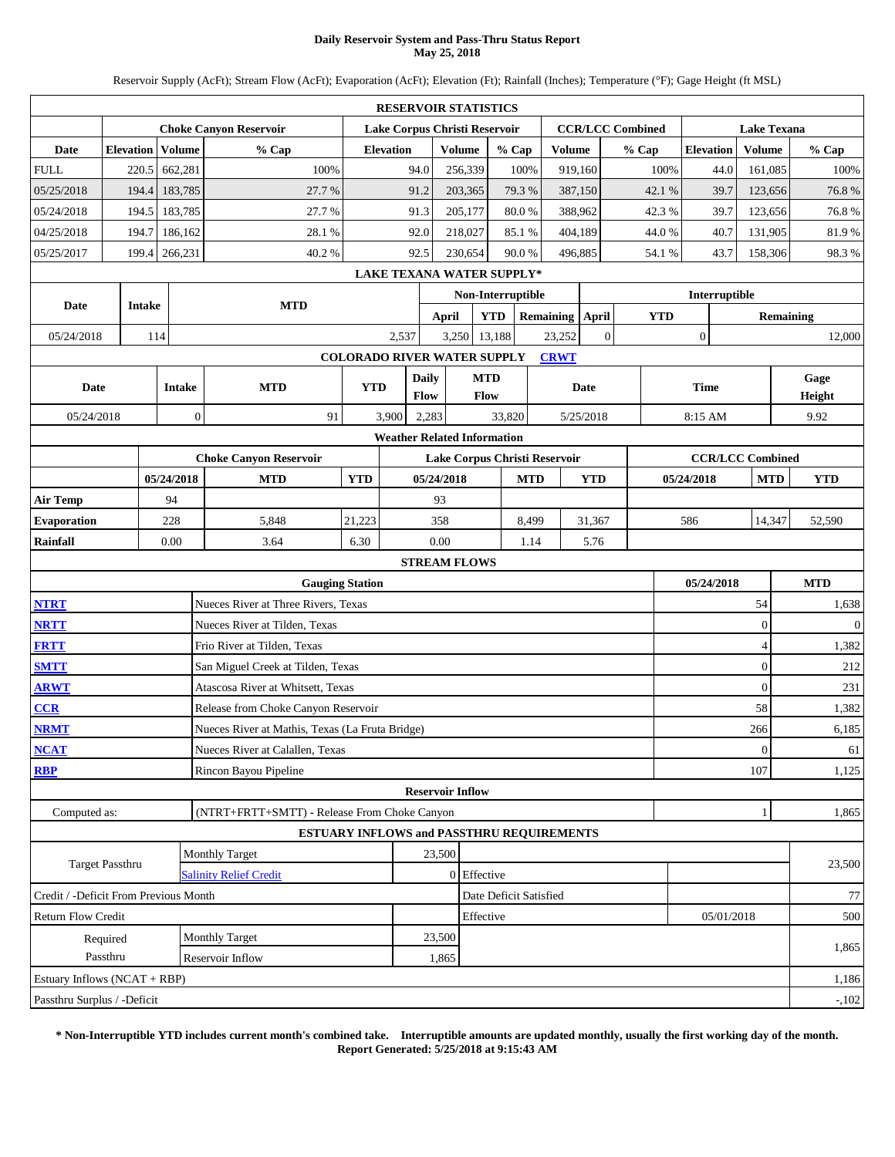### **Daily Reservoir System and Pass-Thru Status Report May 25, 2018**

Reservoir Supply (AcFt); Stream Flow (AcFt); Evaporation (AcFt); Elevation (Ft); Rainfall (Inches); Temperature (°F); Gage Height (ft MSL)

|                                                                                                                                                                                                                                                 |                      |        |               |                                                 |                                    |                  | <b>RESERVOIR STATISTICS</b> |               |                                  |       |                 |                |                         |            |                  |               |                    |  |                  |
|-------------------------------------------------------------------------------------------------------------------------------------------------------------------------------------------------------------------------------------------------|----------------------|--------|---------------|-------------------------------------------------|------------------------------------|------------------|-----------------------------|---------------|----------------------------------|-------|-----------------|----------------|-------------------------|------------|------------------|---------------|--------------------|--|------------------|
|                                                                                                                                                                                                                                                 |                      |        |               | <b>Choke Canyon Reservoir</b>                   |                                    |                  |                             |               | Lake Corpus Christi Reservoir    |       |                 |                | <b>CCR/LCC Combined</b> |            |                  |               | <b>Lake Texana</b> |  |                  |
| Date                                                                                                                                                                                                                                            | <b>Elevation</b>     |        | Volume        | % Cap                                           |                                    | <b>Elevation</b> |                             | <b>Volume</b> | % Cap                            |       | <b>Volume</b>   |                | % Cap                   |            | <b>Elevation</b> |               | Volume             |  | % Cap            |
| <b>FULL</b>                                                                                                                                                                                                                                     |                      | 220.5  | 662,281       | 100%                                            |                                    | 94.0             |                             | 256,339       |                                  | 100%  | 919,160         |                |                         | 100%       |                  | 44.0          | 161,085            |  | 100%             |
| 05/25/2018                                                                                                                                                                                                                                      |                      | 194.4  | 183,785       | 27.7 %                                          |                                    | 91.2             |                             | 203,365       | 79.3%                            |       | 387,150         |                |                         | 42.1 %     |                  | 39.7          | 123,656            |  | 76.8%            |
| 05/24/2018                                                                                                                                                                                                                                      |                      | 194.5  | 183,785       | 27.7%                                           |                                    | 91.3             |                             | 205,177       | 80.0%                            |       | 388,962         |                |                         | 42.3%      |                  | 39.7          | 123,656            |  | 76.8%            |
| 04/25/2018                                                                                                                                                                                                                                      |                      | 194.7  | 186,162       | 28.1%                                           |                                    | 92.0             |                             | 218,027       | 85.1%                            |       | 404,189         |                |                         | 44.0%      |                  | 40.7          | 131,905            |  | 81.9%            |
| 05/25/2017                                                                                                                                                                                                                                      |                      | 199.4  | 266,231       | 40.2%                                           |                                    | 92.5             |                             | 230,654       | 90.0%                            |       | 496,885         |                |                         | 54.1 %     |                  | 43.7          | 158,306            |  | 98.3%            |
|                                                                                                                                                                                                                                                 |                      |        |               |                                                 |                                    |                  |                             |               | <b>LAKE TEXANA WATER SUPPLY*</b> |       |                 |                |                         |            |                  |               |                    |  |                  |
| Date                                                                                                                                                                                                                                            |                      | Intake |               | <b>MTD</b>                                      |                                    |                  |                             |               | Non-Interruptible                |       |                 |                |                         |            |                  | Interruptible |                    |  |                  |
|                                                                                                                                                                                                                                                 |                      |        |               |                                                 |                                    |                  | <b>April</b>                |               | <b>YTD</b>                       |       | Remaining April |                |                         | <b>YTD</b> |                  |               |                    |  | <b>Remaining</b> |
| 05/24/2018                                                                                                                                                                                                                                      |                      | 114    |               |                                                 |                                    | 2,537            |                             | 3,250         | 13,188                           |       | 23,252          | $\overline{0}$ |                         |            | $\boldsymbol{0}$ |               |                    |  | 12,000           |
|                                                                                                                                                                                                                                                 |                      |        |               |                                                 | <b>COLORADO RIVER WATER SUPPLY</b> |                  |                             |               |                                  |       | <b>CRWT</b>     |                |                         |            |                  |               |                    |  |                  |
| Date                                                                                                                                                                                                                                            |                      |        | <b>Intake</b> | <b>MTD</b>                                      | <b>YTD</b>                         |                  | Daily<br>Flow               |               | <b>MTD</b><br>Flow               |       |                 | Date           |                         |            | <b>Time</b>      |               |                    |  | Gage<br>Height   |
| 05/24/2018                                                                                                                                                                                                                                      |                      |        | $\mathbf{0}$  | 91                                              |                                    | 3,900            | 2,283                       |               | 33,820                           |       |                 | 5/25/2018      |                         |            | 8:15 AM          |               |                    |  | 9.92             |
|                                                                                                                                                                                                                                                 |                      |        |               |                                                 |                                    |                  |                             |               |                                  |       |                 |                |                         |            |                  |               |                    |  |                  |
| <b>Weather Related Information</b><br><b>CCR/LCC Combined</b><br><b>Choke Canyon Reservoir</b><br>Lake Corpus Christi Reservoir<br>05/24/2018<br><b>MTD</b><br><b>YTD</b><br>05/24/2018<br><b>MTD</b><br><b>YTD</b><br>05/24/2018<br><b>MTD</b> |                      |        |               |                                                 |                                    |                  |                             |               |                                  |       |                 |                |                         |            |                  |               |                    |  |                  |
|                                                                                                                                                                                                                                                 |                      |        |               |                                                 |                                    |                  |                             |               |                                  |       |                 |                |                         |            | <b>YTD</b>       |               |                    |  |                  |
| 94<br>93<br><b>Air Temp</b>                                                                                                                                                                                                                     |                      |        |               |                                                 |                                    |                  |                             |               |                                  |       |                 |                |                         |            |                  |               |                    |  |                  |
| <b>Evaporation</b>                                                                                                                                                                                                                              |                      |        | 228           | 5,848                                           | 21,223                             |                  | 358                         |               |                                  | 8,499 |                 | 31,367         |                         |            | 586              |               | 14,347             |  | 52,590           |
| Rainfall                                                                                                                                                                                                                                        |                      |        | 0.00          | 3.64                                            | 6.30                               |                  | 0.00                        |               |                                  | 1.14  |                 | 5.76           |                         |            |                  |               |                    |  |                  |
|                                                                                                                                                                                                                                                 |                      |        |               |                                                 |                                    |                  | <b>STREAM FLOWS</b>         |               |                                  |       |                 |                |                         |            |                  |               |                    |  |                  |
|                                                                                                                                                                                                                                                 |                      |        |               | <b>Gauging Station</b>                          |                                    |                  |                             |               |                                  |       |                 |                |                         |            |                  | 05/24/2018    |                    |  | <b>MTD</b>       |
| <b>NTRT</b>                                                                                                                                                                                                                                     |                      |        |               | Nueces River at Three Rivers, Texas             |                                    |                  |                             |               |                                  |       |                 |                |                         |            |                  |               | 54                 |  | 1,638            |
| <b>NRTT</b>                                                                                                                                                                                                                                     |                      |        |               | Nueces River at Tilden, Texas                   |                                    |                  |                             |               |                                  |       |                 |                |                         |            |                  |               | $\overline{0}$     |  | $\mathbf{0}$     |
| <b>FRTT</b>                                                                                                                                                                                                                                     |                      |        |               | Frio River at Tilden, Texas                     |                                    |                  |                             |               |                                  |       |                 |                |                         |            |                  |               | $\overline{4}$     |  | 1,382            |
| <b>SMTT</b>                                                                                                                                                                                                                                     |                      |        |               | San Miguel Creek at Tilden, Texas               |                                    |                  |                             |               |                                  |       |                 |                |                         |            |                  |               | $\overline{0}$     |  | 212              |
| <b>ARWT</b>                                                                                                                                                                                                                                     |                      |        |               | Atascosa River at Whitsett, Texas               |                                    |                  |                             |               |                                  |       |                 |                |                         |            |                  |               | $\overline{0}$     |  | 231              |
| CCR                                                                                                                                                                                                                                             |                      |        |               | Release from Choke Canyon Reservoir             |                                    |                  |                             |               |                                  |       |                 |                |                         |            |                  |               | 58                 |  | 1,382            |
| <b>NRMT</b>                                                                                                                                                                                                                                     |                      |        |               | Nueces River at Mathis, Texas (La Fruta Bridge) |                                    |                  |                             |               |                                  |       |                 |                |                         |            |                  |               | 266                |  | 6,185            |
| <b>NCAT</b>                                                                                                                                                                                                                                     |                      |        |               | Nueces River at Calallen, Texas                 |                                    |                  |                             |               |                                  |       |                 |                |                         |            |                  |               | $\mathbf{0}$       |  | 61               |
| <b>RBP</b>                                                                                                                                                                                                                                      |                      |        |               | Rincon Bayou Pipeline                           |                                    |                  |                             |               |                                  |       |                 |                |                         |            |                  |               | 107                |  | 1,125            |
|                                                                                                                                                                                                                                                 |                      |        |               |                                                 |                                    |                  | <b>Reservoir Inflow</b>     |               |                                  |       |                 |                |                         |            |                  |               |                    |  |                  |
| Computed as:                                                                                                                                                                                                                                    |                      |        |               | (NTRT+FRTT+SMTT) - Release From Choke Canyon    |                                    |                  |                             |               |                                  |       |                 |                |                         |            |                  |               | $\mathbf{1}$       |  | 1,865            |
|                                                                                                                                                                                                                                                 |                      |        |               | ESTUARY INFLOWS and PASSTHRU REQUIREMENTS       |                                    |                  |                             |               |                                  |       |                 |                |                         |            |                  |               |                    |  |                  |
|                                                                                                                                                                                                                                                 | Target Passthru      |        |               | <b>Monthly Target</b>                           |                                    |                  | 23,500                      |               |                                  |       |                 |                |                         |            |                  |               |                    |  | 23,500           |
|                                                                                                                                                                                                                                                 |                      |        |               | <b>Salinity Relief Credit</b>                   |                                    |                  |                             | 0 Effective   |                                  |       |                 |                |                         |            |                  |               |                    |  |                  |
| Credit / -Deficit From Previous Month                                                                                                                                                                                                           |                      |        |               |                                                 |                                    |                  |                             |               | Date Deficit Satisfied           |       |                 |                |                         |            |                  |               |                    |  | 77               |
| <b>Return Flow Credit</b>                                                                                                                                                                                                                       |                      |        |               |                                                 |                                    |                  |                             | Effective     |                                  |       |                 |                |                         |            |                  | 05/01/2018    |                    |  | 500              |
|                                                                                                                                                                                                                                                 | Required<br>Passthru |        |               | Monthly Target                                  |                                    |                  | 23,500                      |               |                                  |       |                 |                |                         |            |                  |               |                    |  | 1,865            |
|                                                                                                                                                                                                                                                 |                      |        |               | Reservoir Inflow                                |                                    |                  | 1,865                       |               |                                  |       |                 |                |                         |            |                  |               |                    |  |                  |
| Estuary Inflows (NCAT + RBP)                                                                                                                                                                                                                    |                      |        |               |                                                 |                                    |                  |                             |               |                                  |       |                 |                |                         |            |                  |               |                    |  | 1,186            |
| Passthru Surplus / -Deficit                                                                                                                                                                                                                     |                      |        |               |                                                 |                                    |                  |                             |               |                                  |       |                 |                |                         |            |                  |               |                    |  | $-102$           |

**\* Non-Interruptible YTD includes current month's combined take. Interruptible amounts are updated monthly, usually the first working day of the month. Report Generated: 5/25/2018 at 9:15:43 AM**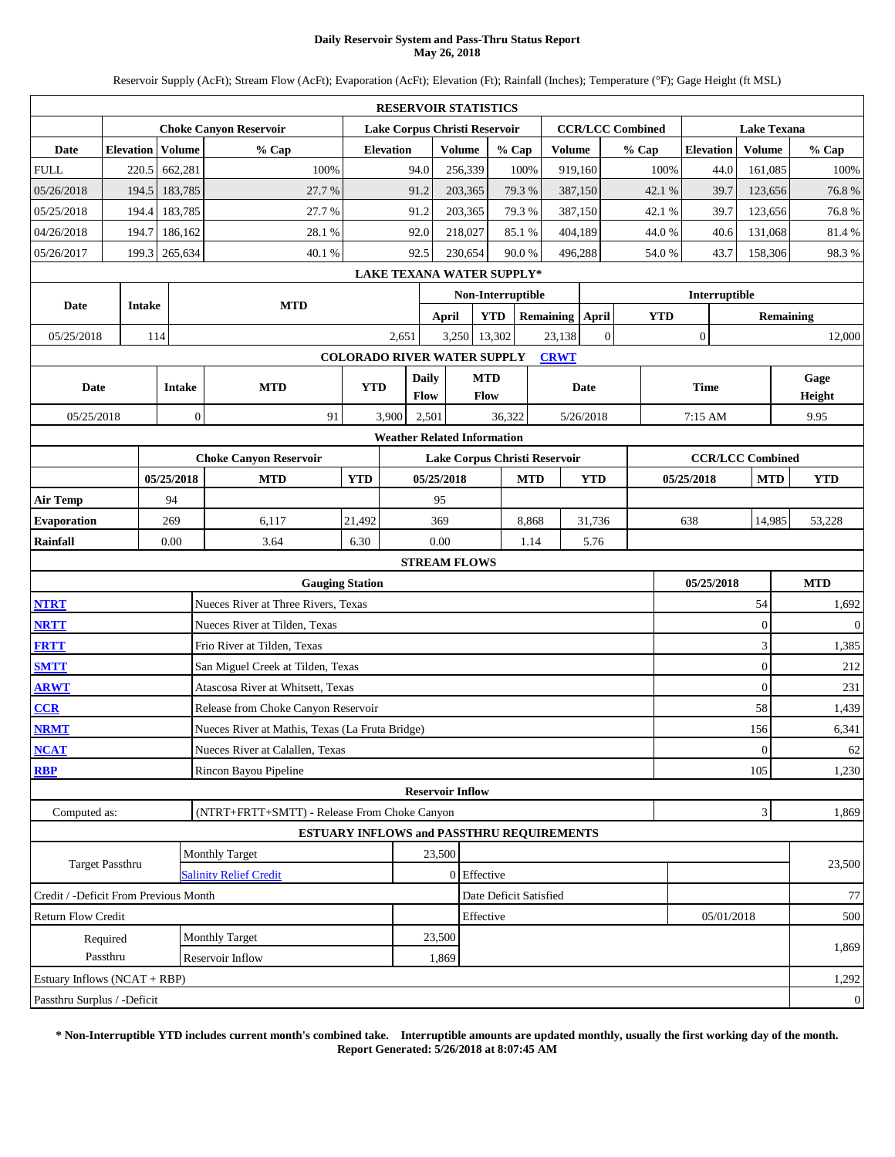### **Daily Reservoir System and Pass-Thru Status Report May 26, 2018**

Reservoir Supply (AcFt); Stream Flow (AcFt); Evaporation (AcFt); Elevation (Ft); Rainfall (Inches); Temperature (°F); Gage Height (ft MSL)

|                                                                                                                                                                                                                                                 |                      |        |               |                                                 |                                    |                  | <b>RESERVOIR STATISTICS</b>      |                    |                        |       |                 |                |                         |            |                  |               |                             |                  |
|-------------------------------------------------------------------------------------------------------------------------------------------------------------------------------------------------------------------------------------------------|----------------------|--------|---------------|-------------------------------------------------|------------------------------------|------------------|----------------------------------|--------------------|------------------------|-------|-----------------|----------------|-------------------------|------------|------------------|---------------|-----------------------------|------------------|
|                                                                                                                                                                                                                                                 |                      |        |               | <b>Choke Canyon Reservoir</b>                   |                                    |                  | Lake Corpus Christi Reservoir    |                    |                        |       |                 |                | <b>CCR/LCC Combined</b> |            |                  |               | <b>Lake Texana</b>          |                  |
| Date                                                                                                                                                                                                                                            | <b>Elevation</b>     |        | Volume        | % Cap                                           |                                    | <b>Elevation</b> |                                  | <b>Volume</b>      | % Cap                  |       | <b>Volume</b>   |                | % Cap                   |            | <b>Elevation</b> |               | Volume                      | % Cap            |
| <b>FULL</b>                                                                                                                                                                                                                                     | 220.5                |        | 662,281       | 100%                                            |                                    | 94.0             |                                  | 256,339            | 100%                   |       | 919,160         |                |                         | 100%       |                  | 44.0          | 161,085                     | 100%             |
| 05/26/2018                                                                                                                                                                                                                                      | 194.5                |        | 183,785       | 27.7 %                                          |                                    | 91.2             |                                  | 203,365            | 79.3%                  |       | 387,150         |                |                         | 42.1 %     |                  | 39.7          | 123,656                     | 76.8%            |
| 05/25/2018                                                                                                                                                                                                                                      | 194.4                |        | 183,785       | 27.7%                                           |                                    | 91.2             |                                  | 203,365            | 79.3%                  |       | 387,150         |                |                         | 42.1 %     |                  | 39.7          | 123,656                     | 76.8%            |
| 04/26/2018                                                                                                                                                                                                                                      | 194.7                |        | 186,162       | 28.1%                                           |                                    | 92.0             |                                  | 218,027            | 85.1%                  |       | 404,189         |                |                         | 44.0%      |                  | 40.6          | 131,068                     | 81.4%            |
| 05/26/2017                                                                                                                                                                                                                                      | 199.3                |        | 265,634       | 40.1%                                           |                                    | 92.5             |                                  | 230,654            | 90.0%                  |       | 496,288         |                |                         | 54.0%      |                  | 43.7          | 158,306                     | 98.3%            |
|                                                                                                                                                                                                                                                 |                      |        |               |                                                 |                                    |                  | <b>LAKE TEXANA WATER SUPPLY*</b> |                    |                        |       |                 |                |                         |            |                  |               |                             |                  |
| Date                                                                                                                                                                                                                                            |                      | Intake |               | <b>MTD</b>                                      |                                    |                  |                                  |                    | Non-Interruptible      |       |                 |                |                         |            |                  | Interruptible |                             |                  |
|                                                                                                                                                                                                                                                 |                      |        |               |                                                 |                                    |                  | <b>April</b>                     |                    | <b>YTD</b>             |       | Remaining April |                |                         | <b>YTD</b> |                  |               | <b>Remaining</b>            |                  |
| 05/25/2018                                                                                                                                                                                                                                      |                      | 114    |               |                                                 |                                    | 2,651            | 3,250                            |                    | 13,302                 |       | 23,138          | $\overline{0}$ |                         |            | $\boldsymbol{0}$ |               |                             | 12,000           |
|                                                                                                                                                                                                                                                 |                      |        |               |                                                 | <b>COLORADO RIVER WATER SUPPLY</b> |                  |                                  |                    |                        |       | <b>CRWT</b>     |                |                         |            |                  |               |                             |                  |
| Date                                                                                                                                                                                                                                            |                      |        | <b>Intake</b> | <b>MTD</b>                                      | <b>YTD</b>                         |                  | <b>Daily</b><br>Flow             | <b>MTD</b><br>Flow |                        |       |                 | Date           |                         |            | <b>Time</b>      |               |                             | Gage<br>Height   |
| 05/25/2018                                                                                                                                                                                                                                      |                      |        | $\mathbf{0}$  | 91                                              |                                    | 3,900            | 2,501                            |                    | 36,322                 |       |                 | 5/26/2018      |                         |            | 7:15 AM          |               |                             | 9.95             |
|                                                                                                                                                                                                                                                 |                      |        |               |                                                 |                                    |                  |                                  |                    |                        |       |                 |                |                         |            |                  |               |                             |                  |
| <b>Weather Related Information</b><br><b>CCR/LCC Combined</b><br><b>Choke Canyon Reservoir</b><br>Lake Corpus Christi Reservoir<br>05/25/2018<br><b>MTD</b><br><b>YTD</b><br>05/25/2018<br><b>MTD</b><br><b>YTD</b><br>05/25/2018<br><b>MTD</b> |                      |        |               |                                                 |                                    |                  |                                  |                    |                        |       |                 |                |                         |            |                  |               |                             |                  |
| 94                                                                                                                                                                                                                                              |                      |        |               |                                                 |                                    |                  |                                  |                    |                        |       |                 |                |                         |            |                  |               |                             | <b>YTD</b>       |
| <b>Air Temp</b>                                                                                                                                                                                                                                 |                      |        |               |                                                 |                                    |                  | 95                               |                    |                        |       |                 |                |                         |            |                  |               |                             |                  |
| <b>Evaporation</b>                                                                                                                                                                                                                              |                      |        | 269           | 6,117                                           | 21,492                             |                  | 369                              |                    |                        | 8,868 |                 | 31,736         |                         |            | 638              |               | 14,985                      | 53,228           |
| Rainfall                                                                                                                                                                                                                                        |                      |        | 0.00          | 3.64                                            | 6.30                               |                  | 0.00                             |                    |                        | 1.14  |                 | 5.76           |                         |            |                  |               |                             |                  |
|                                                                                                                                                                                                                                                 |                      |        |               |                                                 |                                    |                  | <b>STREAM FLOWS</b>              |                    |                        |       |                 |                |                         |            |                  |               |                             |                  |
|                                                                                                                                                                                                                                                 |                      |        |               | <b>Gauging Station</b>                          |                                    |                  |                                  |                    |                        |       |                 |                |                         |            | 05/25/2018       |               |                             | <b>MTD</b>       |
| <b>NTRT</b>                                                                                                                                                                                                                                     |                      |        |               | Nueces River at Three Rivers, Texas             |                                    |                  |                                  |                    |                        |       |                 |                |                         |            |                  |               | 54                          | 1,692            |
| <b>NRTT</b>                                                                                                                                                                                                                                     |                      |        |               | Nueces River at Tilden, Texas                   |                                    |                  |                                  |                    |                        |       |                 |                |                         |            |                  |               | $\overline{0}$              | $\mathbf{0}$     |
| <b>FRTT</b>                                                                                                                                                                                                                                     |                      |        |               | Frio River at Tilden, Texas                     |                                    |                  |                                  |                    |                        |       |                 |                |                         |            |                  |               | 3                           | 1,385            |
| <b>SMTT</b>                                                                                                                                                                                                                                     |                      |        |               | San Miguel Creek at Tilden, Texas               |                                    |                  |                                  |                    |                        |       |                 |                |                         |            |                  |               | $\overline{0}$              | 212              |
| <b>ARWT</b>                                                                                                                                                                                                                                     |                      |        |               | Atascosa River at Whitsett, Texas               |                                    |                  |                                  |                    |                        |       |                 |                |                         |            |                  |               | $\overline{0}$              | 231              |
| CCR                                                                                                                                                                                                                                             |                      |        |               | Release from Choke Canyon Reservoir             |                                    |                  |                                  |                    |                        |       |                 |                |                         |            |                  |               | 58                          | 1,439            |
| <b>NRMT</b>                                                                                                                                                                                                                                     |                      |        |               | Nueces River at Mathis, Texas (La Fruta Bridge) |                                    |                  |                                  |                    |                        |       |                 |                |                         |            |                  |               | 156                         | 6,341            |
| <b>NCAT</b>                                                                                                                                                                                                                                     |                      |        |               | Nueces River at Calallen, Texas                 |                                    |                  |                                  |                    |                        |       |                 |                |                         |            |                  |               | $\mathbf{0}$                | 62               |
| <b>RBP</b>                                                                                                                                                                                                                                      |                      |        |               | Rincon Bayou Pipeline                           |                                    |                  |                                  |                    |                        |       |                 |                |                         |            |                  |               | 105                         | 1,230            |
|                                                                                                                                                                                                                                                 |                      |        |               |                                                 |                                    |                  | <b>Reservoir Inflow</b>          |                    |                        |       |                 |                |                         |            |                  |               |                             |                  |
| Computed as:                                                                                                                                                                                                                                    |                      |        |               | (NTRT+FRTT+SMTT) - Release From Choke Canyon    |                                    |                  |                                  |                    |                        |       |                 |                |                         |            |                  |               | $\ensuremath{\mathfrak{Z}}$ | 1,869            |
|                                                                                                                                                                                                                                                 |                      |        |               | ESTUARY INFLOWS and PASSTHRU REQUIREMENTS       |                                    |                  |                                  |                    |                        |       |                 |                |                         |            |                  |               |                             |                  |
|                                                                                                                                                                                                                                                 | Target Passthru      |        |               | <b>Monthly Target</b>                           |                                    |                  | 23,500                           |                    |                        |       |                 |                |                         |            |                  |               |                             | 23,500           |
|                                                                                                                                                                                                                                                 |                      |        |               | <b>Salinity Relief Credit</b>                   |                                    |                  |                                  | 0 Effective        |                        |       |                 |                |                         |            |                  |               |                             |                  |
| Credit / -Deficit From Previous Month<br><b>Return Flow Credit</b>                                                                                                                                                                              |                      |        |               |                                                 |                                    |                  |                                  | Effective          | Date Deficit Satisfied |       |                 |                |                         |            |                  | 05/01/2018    |                             | 77<br>500        |
|                                                                                                                                                                                                                                                 |                      |        |               | Monthly Target                                  |                                    |                  | 23,500                           |                    |                        |       |                 |                |                         |            |                  |               |                             |                  |
|                                                                                                                                                                                                                                                 | Required<br>Passthru |        |               | Reservoir Inflow                                |                                    |                  | 1,869                            |                    |                        |       |                 |                |                         |            |                  |               |                             | 1,869            |
| Estuary Inflows (NCAT + RBP)                                                                                                                                                                                                                    |                      |        |               |                                                 |                                    |                  |                                  |                    |                        |       |                 |                |                         |            |                  |               |                             | 1,292            |
| Passthru Surplus / -Deficit                                                                                                                                                                                                                     |                      |        |               |                                                 |                                    |                  |                                  |                    |                        |       |                 |                |                         |            |                  |               |                             | $\boldsymbol{0}$ |
|                                                                                                                                                                                                                                                 |                      |        |               |                                                 |                                    |                  |                                  |                    |                        |       |                 |                |                         |            |                  |               |                             |                  |

**\* Non-Interruptible YTD includes current month's combined take. Interruptible amounts are updated monthly, usually the first working day of the month. Report Generated: 5/26/2018 at 8:07:45 AM**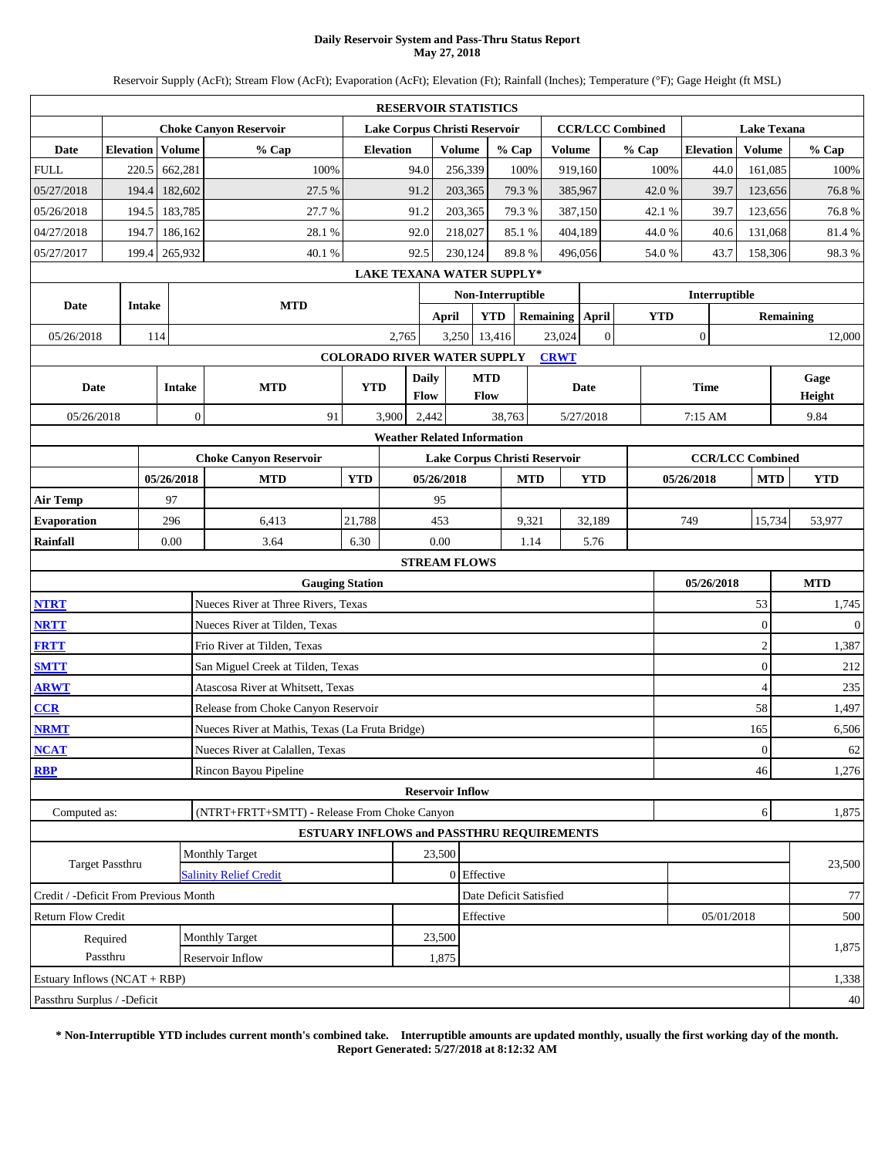### **Daily Reservoir System and Pass-Thru Status Report May 27, 2018**

Reservoir Supply (AcFt); Stream Flow (AcFt); Evaporation (AcFt); Elevation (Ft); Rainfall (Inches); Temperature (°F); Gage Height (ft MSL)

|                                                                                                                                                                                                                                                 |                  |        |               |                                                 |                                    |                  | <b>RESERVOIR STATISTICS</b>   |                    |                        |       |                 |                |                         |            |                  |               |                    |  |                  |
|-------------------------------------------------------------------------------------------------------------------------------------------------------------------------------------------------------------------------------------------------|------------------|--------|---------------|-------------------------------------------------|------------------------------------|------------------|-------------------------------|--------------------|------------------------|-------|-----------------|----------------|-------------------------|------------|------------------|---------------|--------------------|--|------------------|
|                                                                                                                                                                                                                                                 |                  |        |               | <b>Choke Canyon Reservoir</b>                   |                                    |                  | Lake Corpus Christi Reservoir |                    |                        |       |                 |                | <b>CCR/LCC Combined</b> |            |                  |               | <b>Lake Texana</b> |  |                  |
| Date                                                                                                                                                                                                                                            | <b>Elevation</b> |        | Volume        | % Cap                                           |                                    | <b>Elevation</b> |                               | <b>Volume</b>      | % Cap                  |       | <b>Volume</b>   |                | % Cap                   |            | <b>Elevation</b> |               | Volume             |  | % Cap            |
| <b>FULL</b>                                                                                                                                                                                                                                     | 220.5            |        | 662,281       | 100%                                            |                                    | 94.0             |                               | 256,339            | 100%                   |       | 919,160         |                |                         | 100%       |                  | 44.0          | 161,085            |  | 100%             |
| 05/27/2018                                                                                                                                                                                                                                      | 194.4            |        | 182,602       | 27.5 %                                          |                                    | 91.2             |                               | 203,365            | 79.3%                  |       | 385,967         |                |                         | 42.0%      |                  | 39.7          | 123,656            |  | 76.8%            |
| 05/26/2018                                                                                                                                                                                                                                      | 194.5            |        | 183,785       | 27.7 %                                          |                                    | 91.2             |                               | 203,365            | 79.3%                  |       | 387,150         |                |                         | 42.1 %     |                  | 39.7          | 123,656            |  | 76.8%            |
| 04/27/2018                                                                                                                                                                                                                                      | 194.7            |        | 186,162       | 28.1%                                           |                                    | 92.0             |                               | 218,027            | 85.1%                  |       | 404,189         |                |                         | 44.0%      |                  | 40.6          | 131,068            |  | 81.4%            |
| 05/27/2017                                                                                                                                                                                                                                      | 199.4            |        | 265,932       | 40.1%                                           |                                    | 92.5             |                               | 230,124            | 89.8%                  |       | 496.056         |                |                         | 54.0%      |                  | 43.7          | 158,306            |  | 98.3%            |
|                                                                                                                                                                                                                                                 |                  |        |               |                                                 |                                    |                  | LAKE TEXANA WATER SUPPLY*     |                    |                        |       |                 |                |                         |            |                  |               |                    |  |                  |
| Date                                                                                                                                                                                                                                            |                  | Intake |               | <b>MTD</b>                                      |                                    |                  |                               |                    | Non-Interruptible      |       |                 |                |                         |            |                  | Interruptible |                    |  |                  |
|                                                                                                                                                                                                                                                 |                  |        |               |                                                 |                                    |                  | <b>April</b>                  |                    | <b>YTD</b>             |       | Remaining April |                |                         | <b>YTD</b> |                  |               |                    |  | <b>Remaining</b> |
| 05/26/2018                                                                                                                                                                                                                                      |                  | 114    |               |                                                 |                                    | 2,765            | 3,250                         |                    | 13,416                 |       | 23,024          | $\overline{0}$ |                         |            | $\boldsymbol{0}$ |               |                    |  | 12,000           |
|                                                                                                                                                                                                                                                 |                  |        |               |                                                 | <b>COLORADO RIVER WATER SUPPLY</b> |                  |                               |                    |                        |       | <b>CRWT</b>     |                |                         |            |                  |               |                    |  |                  |
| Date                                                                                                                                                                                                                                            |                  |        | <b>Intake</b> | <b>MTD</b>                                      | <b>YTD</b>                         |                  | <b>Daily</b><br>Flow          | <b>MTD</b><br>Flow |                        |       |                 | Date           |                         |            | <b>Time</b>      |               |                    |  | Gage<br>Height   |
| 05/26/2018                                                                                                                                                                                                                                      |                  |        | $\mathbf{0}$  | 91                                              |                                    | 3,900            | 2,442                         |                    | 38,763                 |       |                 | 5/27/2018      |                         |            | 7:15 AM          |               |                    |  | 9.84             |
|                                                                                                                                                                                                                                                 |                  |        |               |                                                 |                                    |                  |                               |                    |                        |       |                 |                |                         |            |                  |               |                    |  |                  |
| <b>Weather Related Information</b><br><b>CCR/LCC Combined</b><br><b>Choke Canyon Reservoir</b><br>Lake Corpus Christi Reservoir<br>05/26/2018<br><b>MTD</b><br><b>YTD</b><br>05/26/2018<br><b>MTD</b><br><b>YTD</b><br>05/26/2018<br><b>MTD</b> |                  |        |               |                                                 |                                    |                  |                               |                    |                        |       |                 |                |                         |            |                  |               |                    |  |                  |
| 97                                                                                                                                                                                                                                              |                  |        |               |                                                 |                                    |                  |                               |                    |                        |       |                 |                |                         |            |                  | <b>YTD</b>    |                    |  |                  |
| <b>Air Temp</b>                                                                                                                                                                                                                                 |                  |        |               |                                                 |                                    |                  | 95                            |                    |                        |       |                 |                |                         |            |                  |               |                    |  |                  |
| <b>Evaporation</b>                                                                                                                                                                                                                              |                  |        | 296           | 6,413                                           | 21,788                             |                  | 453                           |                    |                        | 9,321 |                 | 32,189         |                         |            | 749              |               | 15,734             |  | 53,977           |
| Rainfall                                                                                                                                                                                                                                        |                  |        | 0.00          | 3.64                                            | 6.30                               |                  | 0.00                          |                    |                        | 1.14  |                 | 5.76           |                         |            |                  |               |                    |  |                  |
|                                                                                                                                                                                                                                                 |                  |        |               |                                                 |                                    |                  | <b>STREAM FLOWS</b>           |                    |                        |       |                 |                |                         |            |                  |               |                    |  |                  |
|                                                                                                                                                                                                                                                 |                  |        |               | <b>Gauging Station</b>                          |                                    |                  |                               |                    |                        |       |                 |                |                         |            |                  | 05/26/2018    |                    |  | <b>MTD</b>       |
| <b>NTRT</b>                                                                                                                                                                                                                                     |                  |        |               | Nueces River at Three Rivers, Texas             |                                    |                  |                               |                    |                        |       |                 |                |                         |            |                  |               | 53                 |  | 1,745            |
| <b>NRTT</b>                                                                                                                                                                                                                                     |                  |        |               | Nueces River at Tilden, Texas                   |                                    |                  |                               |                    |                        |       |                 |                |                         |            |                  |               | $\theta$           |  | $\mathbf{0}$     |
| <b>FRTT</b>                                                                                                                                                                                                                                     |                  |        |               | Frio River at Tilden, Texas                     |                                    |                  |                               |                    |                        |       |                 |                |                         |            |                  |               | 2                  |  | 1,387            |
| <b>SMTT</b>                                                                                                                                                                                                                                     |                  |        |               | San Miguel Creek at Tilden, Texas               |                                    |                  |                               |                    |                        |       |                 |                |                         |            |                  |               | $\overline{0}$     |  | 212              |
| <b>ARWT</b>                                                                                                                                                                                                                                     |                  |        |               | Atascosa River at Whitsett, Texas               |                                    |                  |                               |                    |                        |       |                 |                |                         |            |                  |               | $\overline{4}$     |  | 235              |
| CCR                                                                                                                                                                                                                                             |                  |        |               | Release from Choke Canyon Reservoir             |                                    |                  |                               |                    |                        |       |                 |                |                         |            |                  |               | 58                 |  | 1,497            |
| <b>NRMT</b>                                                                                                                                                                                                                                     |                  |        |               | Nueces River at Mathis, Texas (La Fruta Bridge) |                                    |                  |                               |                    |                        |       |                 |                |                         |            |                  |               | 165                |  | 6,506            |
| <b>NCAT</b>                                                                                                                                                                                                                                     |                  |        |               | Nueces River at Calallen, Texas                 |                                    |                  |                               |                    |                        |       |                 |                |                         |            |                  |               | $\vert 0 \vert$    |  | 62               |
| <b>RBP</b>                                                                                                                                                                                                                                      |                  |        |               | Rincon Bayou Pipeline                           |                                    |                  |                               |                    |                        |       |                 |                |                         |            |                  |               | 46                 |  | 1,276            |
|                                                                                                                                                                                                                                                 |                  |        |               |                                                 |                                    |                  | <b>Reservoir Inflow</b>       |                    |                        |       |                 |                |                         |            |                  |               |                    |  |                  |
| Computed as:                                                                                                                                                                                                                                    |                  |        |               | (NTRT+FRTT+SMTT) - Release From Choke Canyon    |                                    |                  |                               |                    |                        |       |                 |                |                         |            |                  |               | 6                  |  | 1,875            |
|                                                                                                                                                                                                                                                 |                  |        |               | ESTUARY INFLOWS and PASSTHRU REQUIREMENTS       |                                    |                  |                               |                    |                        |       |                 |                |                         |            |                  |               |                    |  |                  |
|                                                                                                                                                                                                                                                 | Target Passthru  |        |               | <b>Monthly Target</b>                           |                                    |                  | 23,500                        |                    |                        |       |                 |                |                         |            |                  |               |                    |  | 23,500           |
|                                                                                                                                                                                                                                                 |                  |        |               | <b>Salinity Relief Credit</b>                   |                                    |                  |                               | 0 Effective        |                        |       |                 |                |                         |            |                  |               |                    |  |                  |
| Credit / -Deficit From Previous Month                                                                                                                                                                                                           |                  |        |               |                                                 |                                    |                  |                               |                    | Date Deficit Satisfied |       |                 |                |                         |            |                  |               |                    |  | 77               |
| <b>Return Flow Credit</b>                                                                                                                                                                                                                       |                  |        |               |                                                 |                                    |                  |                               | Effective          |                        |       |                 |                |                         |            |                  | 05/01/2018    |                    |  | 500              |
|                                                                                                                                                                                                                                                 | Required         |        |               | Monthly Target                                  |                                    |                  | 23,500                        |                    |                        |       |                 |                |                         |            |                  |               |                    |  | 1,875            |
|                                                                                                                                                                                                                                                 | Passthru         |        |               | Reservoir Inflow                                |                                    |                  | 1,875                         |                    |                        |       |                 |                |                         |            |                  |               |                    |  |                  |
| Estuary Inflows (NCAT + RBP)                                                                                                                                                                                                                    |                  |        |               |                                                 |                                    |                  |                               |                    |                        |       |                 |                |                         |            |                  |               |                    |  | 1,338            |
| Passthru Surplus / -Deficit                                                                                                                                                                                                                     |                  |        |               |                                                 |                                    |                  |                               |                    |                        |       |                 |                |                         |            |                  |               |                    |  | $40\,$           |

**\* Non-Interruptible YTD includes current month's combined take. Interruptible amounts are updated monthly, usually the first working day of the month. Report Generated: 5/27/2018 at 8:12:32 AM**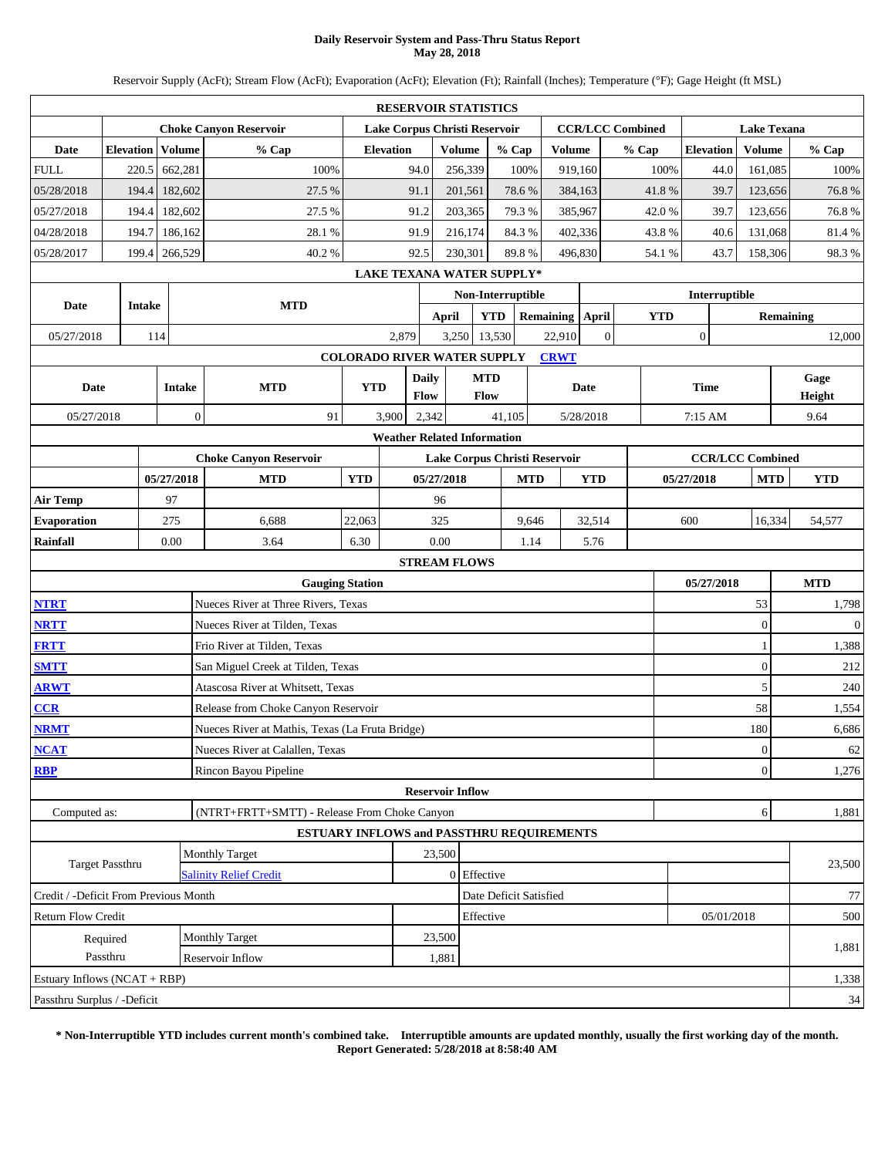### **Daily Reservoir System and Pass-Thru Status Report May 28, 2018**

Reservoir Supply (AcFt); Stream Flow (AcFt); Evaporation (AcFt); Elevation (Ft); Rainfall (Inches); Temperature (°F); Gage Height (ft MSL)

|                                       |                                                                        |               |              |                                                 |                                    |                  | <b>RESERVOIR STATISTICS</b>        |                           |                               |                 |               |                |                         |            |                  |             |                         |                    |              |  |
|---------------------------------------|------------------------------------------------------------------------|---------------|--------------|-------------------------------------------------|------------------------------------|------------------|------------------------------------|---------------------------|-------------------------------|-----------------|---------------|----------------|-------------------------|------------|------------------|-------------|-------------------------|--------------------|--------------|--|
|                                       | <b>Choke Canyon Reservoir</b><br>Lake Corpus Christi Reservoir         |               |              |                                                 |                                    |                  |                                    |                           |                               |                 |               |                | <b>CCR/LCC Combined</b> |            |                  |             |                         | <b>Lake Texana</b> |              |  |
| Date                                  | <b>Elevation</b>                                                       |               | Volume       | % Cap                                           |                                    | <b>Elevation</b> |                                    | <b>Volume</b>             | % Cap                         |                 | <b>Volume</b> |                | % Cap                   |            | <b>Elevation</b> |             | Volume                  |                    | % Cap        |  |
| <b>FULL</b>                           | 220.5                                                                  |               | 662,281      | 100%                                            |                                    | 94.0             |                                    | 256,339                   | 100%                          |                 | 919,160       |                |                         | 100%       |                  | 44.0        | 161,085                 |                    | 100%         |  |
| 05/28/2018                            | 194.4                                                                  |               | 182,602      | 27.5 %                                          |                                    | 91.1             |                                    | 201,561                   | 78.6%                         |                 | 384,163       |                |                         | 41.8%      |                  | 39.7        | 123,656                 |                    | 76.8%        |  |
| 05/27/2018                            | 194.4                                                                  |               | 182,602      | 27.5 %                                          |                                    | 91.2             |                                    | 203,365                   | 79.3%                         |                 | 385,967       |                |                         | 42.0%      |                  | 39.7        | 123,656                 |                    | 76.8%        |  |
| 04/28/2018                            | 194.7                                                                  |               | 186,162      | 28.1%                                           |                                    | 91.9             |                                    | 216,174                   | 84.3 %                        |                 | 402,336       |                |                         | 43.8%      |                  | 40.6        | 131,068                 |                    | 81.4%        |  |
| 05/28/2017                            | 199.4                                                                  |               | 266,529      | 40.2%                                           |                                    | 92.5             |                                    | 230.301                   | 89.8%                         |                 | 496,830       |                |                         | 54.1 %     |                  | 43.7        | 158,306                 |                    | 98.3%        |  |
|                                       | <b>LAKE TEXANA WATER SUPPLY*</b><br>Non-Interruptible<br>Interruptible |               |              |                                                 |                                    |                  |                                    |                           |                               |                 |               |                |                         |            |                  |             |                         |                    |              |  |
| Date                                  |                                                                        | Intake        |              | <b>MTD</b>                                      |                                    |                  |                                    |                           |                               |                 |               |                |                         |            |                  |             |                         |                    |              |  |
|                                       |                                                                        |               |              |                                                 |                                    | <b>April</b>     |                                    | <b>YTD</b>                |                               | Remaining April |               |                | <b>YTD</b>              |            |                  |             | <b>Remaining</b>        |                    |              |  |
| 05/27/2018                            |                                                                        | 114           |              |                                                 |                                    | 2,879            | 3,250                              |                           | 13,530                        |                 | 22,910        | $\overline{0}$ |                         |            | $\boldsymbol{0}$ |             |                         | 12,000             |              |  |
|                                       |                                                                        |               |              |                                                 | <b>COLORADO RIVER WATER SUPPLY</b> |                  |                                    |                           |                               |                 | <b>CRWT</b>   |                |                         |            |                  |             |                         |                    |              |  |
| Date                                  |                                                                        | <b>Intake</b> |              | <b>MTD</b>                                      | <b>YTD</b>                         |                  | <b>Daily</b><br>Flow               | <b>MTD</b><br><b>Flow</b> |                               |                 |               | Date           |                         |            |                  | <b>Time</b> |                         | Gage<br>Height     |              |  |
| 05/27/2018                            |                                                                        |               | $\mathbf{0}$ | 91                                              |                                    | 3,900            | 2,342                              |                           | 41,105                        |                 |               | 5/28/2018      |                         |            | 7:15 AM          |             |                         |                    | 9.64         |  |
|                                       |                                                                        |               |              |                                                 |                                    |                  | <b>Weather Related Information</b> |                           |                               |                 |               |                |                         |            |                  |             |                         |                    |              |  |
|                                       |                                                                        |               |              | <b>Choke Canyon Reservoir</b>                   |                                    |                  |                                    |                           | Lake Corpus Christi Reservoir |                 |               |                |                         |            |                  |             | <b>CCR/LCC Combined</b> |                    |              |  |
|                                       |                                                                        |               | 05/27/2018   | <b>MTD</b>                                      | <b>YTD</b>                         |                  | 05/27/2018                         |                           |                               | <b>MTD</b>      |               | <b>YTD</b>     |                         | 05/27/2018 |                  |             | <b>MTD</b>              |                    | <b>YTD</b>   |  |
| <b>Air Temp</b>                       |                                                                        |               | 97           |                                                 |                                    |                  | 96                                 |                           |                               |                 |               |                |                         |            |                  |             |                         |                    |              |  |
| <b>Evaporation</b>                    | 275<br>6,688<br>22,063<br>325<br>9,646<br>32,514<br>600<br>16,334      |               |              |                                                 |                                    |                  |                                    |                           |                               |                 | 54,577        |                |                         |            |                  |             |                         |                    |              |  |
| Rainfall                              | 0.00<br>3.64<br>6.30                                                   |               |              |                                                 |                                    |                  |                                    |                           |                               | 1.14<br>5.76    |               |                |                         |            |                  |             |                         |                    |              |  |
|                                       |                                                                        |               |              |                                                 |                                    |                  | <b>STREAM FLOWS</b>                |                           |                               |                 |               |                |                         |            |                  |             |                         |                    |              |  |
|                                       |                                                                        |               |              | <b>Gauging Station</b>                          |                                    |                  |                                    |                           |                               |                 |               |                |                         | 05/27/2018 |                  |             | <b>MTD</b>              |                    |              |  |
| <b>NTRT</b>                           |                                                                        |               |              | Nueces River at Three Rivers, Texas             |                                    |                  |                                    |                           |                               |                 |               |                |                         |            |                  |             | 53                      |                    | 1,798        |  |
| <b>NRTT</b>                           |                                                                        |               |              | Nueces River at Tilden, Texas                   |                                    |                  |                                    |                           |                               |                 |               |                |                         |            |                  |             | $\theta$                |                    | $\mathbf{0}$ |  |
| <b>FRTT</b>                           |                                                                        |               |              | Frio River at Tilden, Texas                     |                                    |                  |                                    |                           |                               |                 |               |                |                         |            |                  |             | 1                       |                    | 1,388        |  |
| <b>SMTT</b>                           |                                                                        |               |              | San Miguel Creek at Tilden, Texas               |                                    |                  |                                    |                           |                               |                 |               |                |                         |            |                  |             | $\overline{0}$          |                    | 212          |  |
| <b>ARWT</b>                           |                                                                        |               |              | Atascosa River at Whitsett, Texas               |                                    |                  |                                    |                           |                               |                 |               |                |                         |            |                  |             | 5                       |                    | $240\,$      |  |
| CCR                                   |                                                                        |               |              | Release from Choke Canyon Reservoir             |                                    |                  |                                    |                           |                               |                 |               |                |                         |            |                  |             | 58                      |                    | 1,554        |  |
| <b>NRMT</b>                           |                                                                        |               |              | Nueces River at Mathis, Texas (La Fruta Bridge) |                                    |                  |                                    |                           |                               |                 |               |                |                         |            |                  |             | 180                     |                    | 6,686        |  |
| <b>NCAT</b>                           |                                                                        |               |              | Nueces River at Calallen, Texas                 |                                    |                  |                                    |                           |                               |                 |               |                |                         |            |                  |             | $\mathbf{0}$            |                    | 62           |  |
| <b>RBP</b>                            |                                                                        |               |              | Rincon Bayou Pipeline                           |                                    |                  |                                    |                           |                               |                 |               |                |                         |            |                  |             | $\overline{0}$          |                    | 1,276        |  |
|                                       |                                                                        |               |              |                                                 |                                    |                  | <b>Reservoir Inflow</b>            |                           |                               |                 |               |                |                         |            |                  |             |                         |                    |              |  |
| Computed as:                          |                                                                        |               |              | (NTRT+FRTT+SMTT) - Release From Choke Canyon    |                                    |                  |                                    |                           |                               |                 |               |                |                         |            |                  |             | 6                       |                    | 1,881        |  |
|                                       |                                                                        |               |              | ESTUARY INFLOWS and PASSTHRU REQUIREMENTS       |                                    |                  |                                    |                           |                               |                 |               |                |                         |            |                  |             |                         |                    |              |  |
|                                       | Target Passthru                                                        |               |              | <b>Monthly Target</b>                           |                                    |                  | 23,500                             |                           |                               |                 |               |                |                         |            |                  |             |                         |                    | 23,500       |  |
|                                       |                                                                        |               |              | <b>Salinity Relief Credit</b>                   |                                    |                  |                                    | 0 Effective               |                               |                 |               |                |                         |            |                  |             |                         |                    |              |  |
| Credit / -Deficit From Previous Month |                                                                        |               |              |                                                 |                                    |                  |                                    |                           | Date Deficit Satisfied        |                 |               |                |                         |            |                  |             |                         |                    | 77           |  |
| <b>Return Flow Credit</b>             |                                                                        |               |              |                                                 |                                    |                  |                                    | Effective                 |                               |                 |               |                |                         |            |                  | 05/01/2018  |                         |                    | 500          |  |
|                                       | Required                                                               |               |              | Monthly Target                                  |                                    |                  | 23,500                             |                           |                               |                 |               |                |                         |            |                  |             |                         |                    | 1,881        |  |
|                                       | Passthru                                                               |               |              | Reservoir Inflow                                |                                    |                  | 1,881                              |                           |                               |                 |               |                |                         |            |                  |             |                         |                    |              |  |
| Estuary Inflows (NCAT + RBP)          |                                                                        |               |              |                                                 |                                    |                  |                                    |                           |                               |                 |               |                |                         |            |                  |             |                         |                    | 1,338        |  |
| Passthru Surplus / -Deficit           |                                                                        |               |              |                                                 |                                    |                  |                                    |                           |                               |                 |               |                |                         |            |                  |             |                         |                    | $34\,$       |  |

**\* Non-Interruptible YTD includes current month's combined take. Interruptible amounts are updated monthly, usually the first working day of the month. Report Generated: 5/28/2018 at 8:58:40 AM**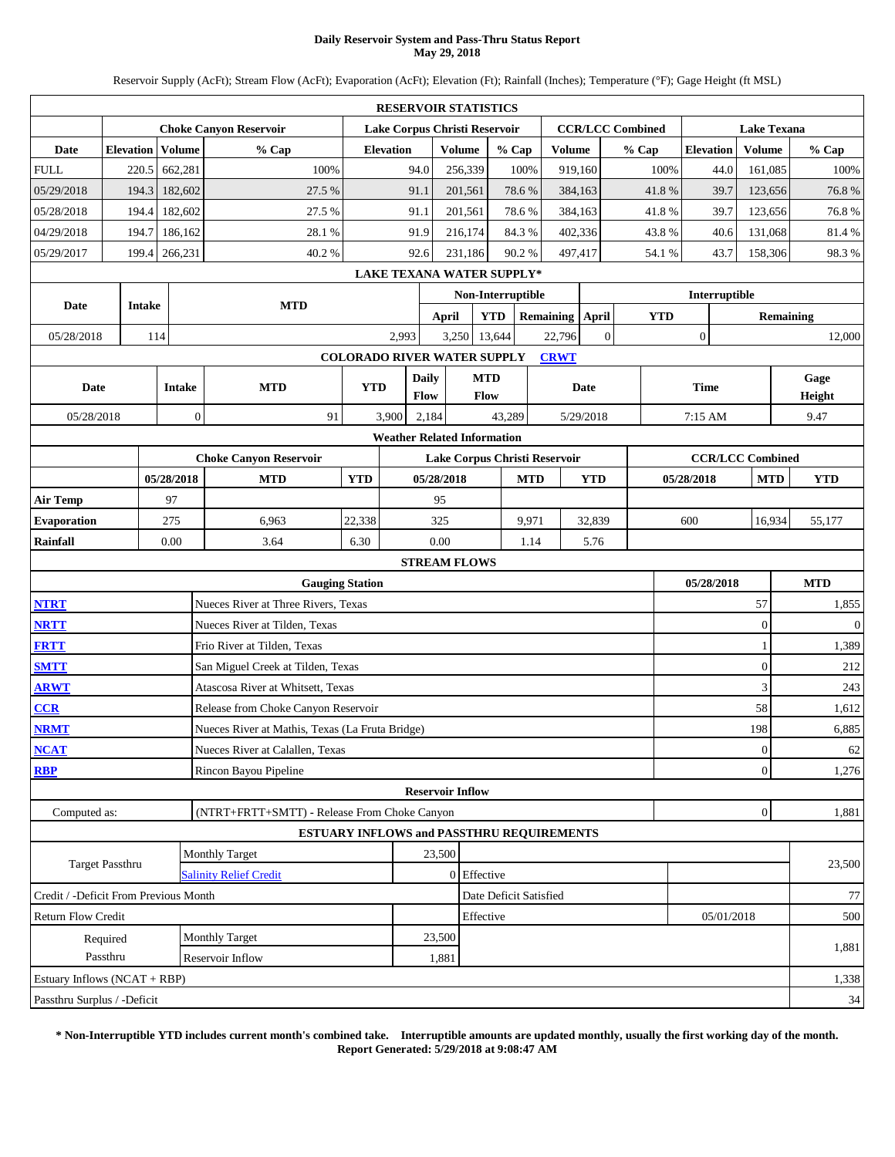### **Daily Reservoir System and Pass-Thru Status Report May 29, 2018**

Reservoir Supply (AcFt); Stream Flow (AcFt); Evaporation (AcFt); Elevation (Ft); Rainfall (Inches); Temperature (°F); Gage Height (ft MSL)

|                                       |                                                                                    |        |               |                                                 |                                    |       | <b>RESERVOIR STATISTICS</b>        |               |                           |        |                               |                         |                |               |                  |                    |                         |                  |              |  |
|---------------------------------------|------------------------------------------------------------------------------------|--------|---------------|-------------------------------------------------|------------------------------------|-------|------------------------------------|---------------|---------------------------|--------|-------------------------------|-------------------------|----------------|---------------|------------------|--------------------|-------------------------|------------------|--------------|--|
|                                       | <b>Choke Canyon Reservoir</b><br>Lake Corpus Christi Reservoir<br><b>Elevation</b> |        |               |                                                 |                                    |       |                                    |               |                           |        |                               | <b>CCR/LCC Combined</b> |                |               |                  | <b>Lake Texana</b> |                         |                  |              |  |
| Date                                  | <b>Elevation</b>                                                                   |        | Volume        | % Cap                                           |                                    |       |                                    | <b>Volume</b> | % Cap                     |        | <b>Volume</b>                 |                         | % Cap          |               | <b>Elevation</b> |                    | Volume                  |                  | % Cap        |  |
| <b>FULL</b>                           | 220.5                                                                              |        | 662,281       | 100%                                            |                                    | 94.0  |                                    | 256,339       |                           | 100%   | 919,160                       |                         |                | 100%          |                  | 44.0               | 161,085                 |                  | 100%         |  |
| 05/29/2018                            | 194.3                                                                              |        | 182,602       | 27.5 %                                          |                                    | 91.1  |                                    | 201,561       | 78.6%                     |        | 384,163                       |                         |                | 41.8%         |                  | 39.7               | 123,656                 |                  | 76.8%        |  |
| 05/28/2018                            | 194.4                                                                              |        | 182,602       | 27.5 %                                          |                                    | 91.1  |                                    | 201,561       | 78.6%                     |        | 384,163                       |                         |                | 41.8%         |                  | 39.7               | 123,656                 |                  | 76.8%        |  |
| 04/29/2018                            | 194.7                                                                              |        | 186,162       | 28.1%                                           |                                    | 91.9  |                                    | 216,174       | 84.3 %                    |        | 402,336                       |                         |                | 43.8%         |                  | 40.6               | 131,068                 |                  | 81.4%        |  |
| 05/29/2017                            | 199.4                                                                              |        | 266,231       | 40.2%                                           |                                    | 92.6  |                                    | 231,186       | 90.2%                     |        | 497,417                       |                         |                | 54.1 %        |                  | 43.7               | 158,306                 |                  | 98.3%        |  |
|                                       | LAKE TEXANA WATER SUPPLY*<br>Non-Interruptible                                     |        |               |                                                 |                                    |       |                                    |               |                           |        |                               |                         |                |               |                  |                    |                         |                  |              |  |
| Date                                  |                                                                                    | Intake |               | <b>MTD</b>                                      |                                    |       |                                    |               |                           |        |                               |                         |                | Interruptible |                  |                    |                         |                  |              |  |
|                                       |                                                                                    |        |               |                                                 |                                    |       | <b>April</b>                       |               | <b>YTD</b>                |        |                               | Remaining April         |                | <b>YTD</b>    |                  |                    |                         | <b>Remaining</b> |              |  |
| 05/28/2018                            |                                                                                    | 114    |               |                                                 |                                    | 2,993 |                                    | 3,250         | 13,644                    |        | 22,796                        |                         | $\overline{0}$ |               | $\boldsymbol{0}$ |                    |                         | 12,000           |              |  |
|                                       |                                                                                    |        |               |                                                 | <b>COLORADO RIVER WATER SUPPLY</b> |       |                                    |               |                           |        | <b>CRWT</b>                   |                         |                |               |                  |                    |                         |                  |              |  |
| Date                                  |                                                                                    |        | <b>Intake</b> | <b>MTD</b>                                      | <b>YTD</b>                         |       | <b>Daily</b><br>Flow               |               | <b>MTD</b><br><b>Flow</b> |        |                               | Date                    |                |               | <b>Time</b>      |                    |                         | Gage<br>Height   |              |  |
| 05/28/2018                            |                                                                                    |        | $\mathbf{0}$  | 91                                              |                                    | 3,900 | 2,184                              |               | 43,289                    |        |                               | 5/29/2018               |                |               | 7:15 AM          |                    |                         |                  | 9.47         |  |
|                                       |                                                                                    |        |               |                                                 |                                    |       | <b>Weather Related Information</b> |               |                           |        |                               |                         |                |               |                  |                    |                         |                  |              |  |
|                                       |                                                                                    |        |               | <b>Choke Canyon Reservoir</b>                   |                                    |       |                                    |               |                           |        | Lake Corpus Christi Reservoir |                         |                |               |                  |                    | <b>CCR/LCC Combined</b> |                  |              |  |
|                                       |                                                                                    |        | 05/28/2018    | <b>MTD</b>                                      | <b>YTD</b>                         |       | 05/28/2018                         |               | <b>MTD</b>                |        |                               | <b>YTD</b>              |                |               | 05/28/2018       |                    | <b>MTD</b>              |                  | <b>YTD</b>   |  |
| <b>Air Temp</b>                       |                                                                                    |        | 97            |                                                 |                                    |       | 95                                 |               |                           |        |                               |                         |                |               |                  |                    |                         |                  |              |  |
| <b>Evaporation</b>                    | 22,338<br>275<br>6,963<br>325<br>9,971<br>32,839<br>600                            |        |               |                                                 |                                    |       |                                    |               |                           | 16,934 |                               | 55,177                  |                |               |                  |                    |                         |                  |              |  |
| Rainfall                              | 0.00<br>3.64<br>6.30                                                               |        |               |                                                 |                                    |       |                                    |               |                           | 1.14   |                               | 5.76                    |                |               |                  |                    |                         |                  |              |  |
|                                       |                                                                                    |        |               |                                                 |                                    |       | <b>STREAM FLOWS</b>                |               |                           |        |                               |                         |                |               |                  |                    |                         |                  |              |  |
|                                       |                                                                                    |        |               | <b>Gauging Station</b>                          |                                    |       |                                    |               |                           |        |                               |                         |                | 05/28/2018    |                  |                    | <b>MTD</b>              |                  |              |  |
| <b>NTRT</b>                           |                                                                                    |        |               | Nueces River at Three Rivers, Texas             |                                    |       |                                    |               |                           |        |                               |                         |                |               |                  |                    | 57                      |                  | 1,855        |  |
| <b>NRTT</b>                           |                                                                                    |        |               | Nueces River at Tilden, Texas                   |                                    |       |                                    |               |                           |        |                               |                         |                |               |                  |                    | $\theta$                |                  | $\mathbf{0}$ |  |
| <b>FRTT</b>                           |                                                                                    |        |               | Frio River at Tilden, Texas                     |                                    |       |                                    |               |                           |        |                               |                         |                |               |                  |                    | 1                       |                  | 1,389        |  |
| <b>SMTT</b>                           |                                                                                    |        |               | San Miguel Creek at Tilden, Texas               |                                    |       |                                    |               |                           |        |                               |                         |                |               |                  |                    | $\overline{0}$          |                  | 212          |  |
| <b>ARWT</b>                           |                                                                                    |        |               | Atascosa River at Whitsett, Texas               |                                    |       |                                    |               |                           |        |                               |                         |                |               |                  |                    | 3                       |                  | 243          |  |
| CCR                                   |                                                                                    |        |               | Release from Choke Canyon Reservoir             |                                    |       |                                    |               |                           |        |                               |                         |                |               |                  |                    | 58                      |                  | 1,612        |  |
| <b>NRMT</b>                           |                                                                                    |        |               | Nueces River at Mathis, Texas (La Fruta Bridge) |                                    |       |                                    |               |                           |        |                               |                         |                |               |                  |                    | 198                     |                  | 6,885        |  |
| <b>NCAT</b>                           |                                                                                    |        |               | Nueces River at Calallen, Texas                 |                                    |       |                                    |               |                           |        |                               |                         |                |               |                  |                    | $\mathbf{0}$            |                  | 62           |  |
| <b>RBP</b>                            |                                                                                    |        |               | Rincon Bayou Pipeline                           |                                    |       |                                    |               |                           |        |                               |                         |                |               |                  |                    | $\overline{0}$          |                  | 1,276        |  |
|                                       |                                                                                    |        |               |                                                 |                                    |       | <b>Reservoir Inflow</b>            |               |                           |        |                               |                         |                |               |                  |                    |                         |                  |              |  |
| Computed as:                          |                                                                                    |        |               | (NTRT+FRTT+SMTT) - Release From Choke Canyon    |                                    |       |                                    |               |                           |        |                               |                         |                |               |                  |                    | $\mathbf{0}$            |                  | 1,881        |  |
|                                       |                                                                                    |        |               | ESTUARY INFLOWS and PASSTHRU REQUIREMENTS       |                                    |       |                                    |               |                           |        |                               |                         |                |               |                  |                    |                         |                  |              |  |
|                                       | Target Passthru                                                                    |        |               | <b>Monthly Target</b>                           |                                    |       | 23,500                             |               |                           |        |                               |                         |                |               |                  |                    |                         |                  | 23,500       |  |
|                                       |                                                                                    |        |               | <b>Salinity Relief Credit</b>                   |                                    |       |                                    | 0 Effective   |                           |        |                               |                         |                |               |                  |                    |                         |                  |              |  |
| Credit / -Deficit From Previous Month |                                                                                    |        |               |                                                 |                                    |       |                                    |               | Date Deficit Satisfied    |        |                               |                         |                |               |                  |                    |                         |                  | 77           |  |
| <b>Return Flow Credit</b>             |                                                                                    |        |               |                                                 |                                    |       |                                    | Effective     |                           |        |                               |                         |                |               |                  | 05/01/2018         |                         |                  | 500          |  |
|                                       | Required<br>Passthru                                                               |        |               | Monthly Target<br>Reservoir Inflow              |                                    |       | 23,500<br>1,881                    |               |                           |        |                               |                         |                |               |                  |                    |                         |                  | 1,881        |  |
| Estuary Inflows (NCAT + RBP)          |                                                                                    |        |               |                                                 |                                    |       |                                    |               |                           |        |                               |                         |                |               |                  |                    |                         |                  | 1,338        |  |
| Passthru Surplus / -Deficit           |                                                                                    |        |               |                                                 |                                    |       |                                    |               |                           |        |                               |                         |                |               |                  |                    |                         |                  | $34\,$       |  |
|                                       |                                                                                    |        |               |                                                 |                                    |       |                                    |               |                           |        |                               |                         |                |               |                  |                    |                         |                  |              |  |

**\* Non-Interruptible YTD includes current month's combined take. Interruptible amounts are updated monthly, usually the first working day of the month. Report Generated: 5/29/2018 at 9:08:47 AM**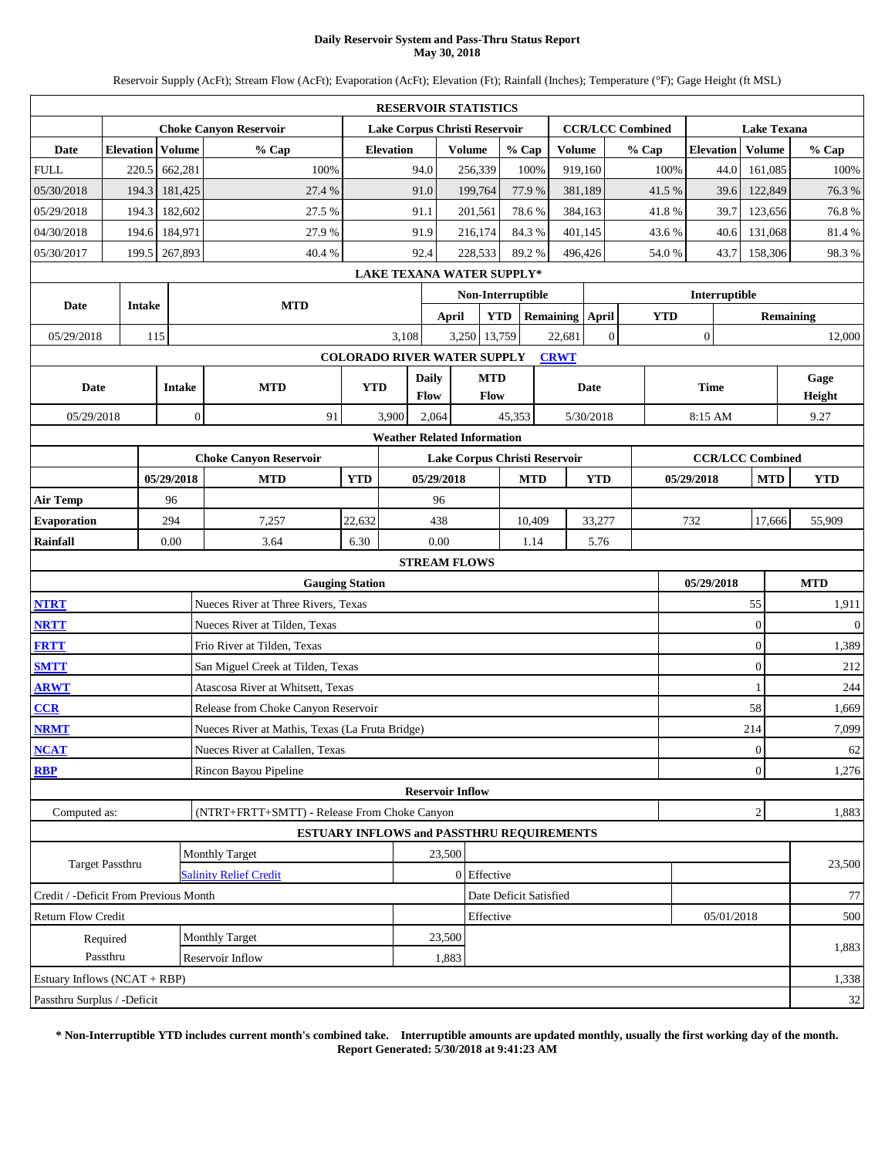### **Daily Reservoir System and Pass-Thru Status Report May 30, 2018**

Reservoir Supply (AcFt); Stream Flow (AcFt); Evaporation (AcFt); Elevation (Ft); Rainfall (Inches); Temperature (°F); Gage Height (ft MSL)

|                                       |                                                                |            |                  |                                                 |            |                   |                         | <b>RESERVOIR STATISTICS</b>        |            |                  |                         |                  |             |                         |  |                  |                  |  |  |
|---------------------------------------|----------------------------------------------------------------|------------|------------------|-------------------------------------------------|------------|-------------------|-------------------------|------------------------------------|------------|------------------|-------------------------|------------------|-------------|-------------------------|--|------------------|------------------|--|--|
|                                       | <b>Choke Canyon Reservoir</b><br>Lake Corpus Christi Reservoir |            |                  |                                                 |            |                   |                         |                                    |            |                  | <b>CCR/LCC Combined</b> |                  |             | <b>Lake Texana</b>      |  |                  |                  |  |  |
| Date                                  | <b>Elevation</b>                                               |            | Volume           | % Cap                                           |            | <b>Elevation</b>  |                         | Volume                             | % Cap      |                  | <b>Volume</b>           | % Cap            |             | <b>Elevation</b>        |  | <b>Volume</b>    | % Cap            |  |  |
| <b>FULL</b>                           | 220.5                                                          |            | 662,281          | 100%                                            |            |                   | 94.0                    | 256,339                            | 100%       |                  | 919,160                 |                  | 100%        | 44.0                    |  | 161,085          | 100%             |  |  |
| 05/30/2018                            | 194.3                                                          |            | 181,425          | 27.4 %                                          |            |                   | 91.0                    | 199,764                            | 77.9%      |                  | 381,189                 |                  | 41.5%       | 39.6                    |  | 122,849          | 76.3%            |  |  |
| 05/29/2018                            | 194.3                                                          |            | 182,602          | 27.5 %                                          |            |                   | 91.1                    | 201,561                            | 78.6%      |                  | 384,163                 |                  | 41.8%       | 39.7                    |  | 123,656          | 76.8%            |  |  |
| 04/30/2018                            | 194.6                                                          |            | 184,971          | 27.9%                                           |            |                   | 91.9                    | 216,174                            | 84.3%      |                  | 401,145                 |                  | 43.6%       | 40.6                    |  | 131,068          | 81.4%            |  |  |
| 05/30/2017                            | 199.5                                                          |            | 267,893          | 40.4 %                                          |            |                   | 92.4                    | 228,533                            | 89.2%      |                  | 496,426                 |                  | 54.0 %      | 43.7                    |  | 158,306          | 98.3%            |  |  |
|                                       |                                                                |            |                  |                                                 |            |                   |                         | <b>LAKE TEXANA WATER SUPPLY*</b>   |            |                  |                         |                  |             |                         |  |                  |                  |  |  |
| Date                                  | Intake                                                         |            |                  | <b>MTD</b>                                      |            | Non-Interruptible |                         |                                    |            |                  |                         | Interruptible    |             |                         |  |                  |                  |  |  |
|                                       |                                                                |            |                  |                                                 |            |                   | <b>April</b>            | <b>YTD</b>                         |            | <b>Remaining</b> | April                   |                  | <b>YTD</b>  |                         |  |                  | <b>Remaining</b> |  |  |
| 05/29/2018                            |                                                                | 115        |                  |                                                 |            | 3,108             |                         | 3,250 13,759                       |            | 22,681           |                         | $\boldsymbol{0}$ |             | $\boldsymbol{0}$        |  |                  | 12,000           |  |  |
|                                       |                                                                |            |                  |                                                 |            |                   |                         | <b>COLORADO RIVER WATER SUPPLY</b> |            | <b>CRWT</b>      |                         |                  |             |                         |  |                  |                  |  |  |
| Date                                  |                                                                |            | <b>Intake</b>    | <b>MTD</b>                                      | <b>YTD</b> |                   | Daily<br><b>Flow</b>    | <b>MTD</b><br>Flow                 |            |                  | Date                    |                  | <b>Time</b> |                         |  |                  | Gage<br>Height   |  |  |
| 05/29/2018                            |                                                                |            | $\boldsymbol{0}$ | 91                                              |            | 3,900             | 2,064                   |                                    | 45,353     |                  | 5/30/2018               |                  |             | 8:15 AM                 |  |                  | 9.27             |  |  |
|                                       |                                                                |            |                  |                                                 |            |                   |                         | <b>Weather Related Information</b> |            |                  |                         |                  |             |                         |  |                  |                  |  |  |
|                                       |                                                                |            |                  | <b>Choke Canyon Reservoir</b>                   |            |                   |                         | Lake Corpus Christi Reservoir      |            |                  |                         |                  |             | <b>CCR/LCC Combined</b> |  |                  |                  |  |  |
|                                       |                                                                | 05/29/2018 |                  | <b>MTD</b>                                      | <b>YTD</b> |                   | 05/29/2018              |                                    | <b>MTD</b> |                  | <b>YTD</b>              |                  | 05/29/2018  |                         |  | <b>MTD</b>       | <b>YTD</b>       |  |  |
| <b>Air Temp</b>                       |                                                                | 96         |                  |                                                 |            |                   | 96                      |                                    |            |                  |                         |                  |             |                         |  |                  |                  |  |  |
| <b>Evaporation</b>                    |                                                                | 294        |                  | 7,257                                           | 22,632     |                   | 438                     |                                    | 10,409     |                  | 33,277                  | 17,666           | 55,909      |                         |  |                  |                  |  |  |
| Rainfall                              | 0.00<br>3.64<br>6.30<br>0.00<br>1.14<br>5.76                   |            |                  |                                                 |            |                   |                         |                                    |            |                  |                         |                  |             |                         |  |                  |                  |  |  |
|                                       |                                                                |            |                  |                                                 |            |                   |                         | <b>STREAM FLOWS</b>                |            |                  |                         |                  |             |                         |  |                  |                  |  |  |
|                                       |                                                                |            |                  | <b>Gauging Station</b>                          |            |                   |                         |                                    |            |                  | 05/29/2018              |                  |             | <b>MTD</b>              |  |                  |                  |  |  |
| <b>NTRT</b>                           |                                                                |            |                  | Nueces River at Three Rivers, Texas             |            |                   |                         |                                    |            |                  |                         |                  |             |                         |  | 55               | 1,911            |  |  |
| <b>NRTT</b>                           |                                                                |            |                  | Nueces River at Tilden, Texas                   |            |                   |                         |                                    |            |                  |                         |                  |             |                         |  | $\mathbf{0}$     | $\mathbf{0}$     |  |  |
| <b>FRTT</b>                           |                                                                |            |                  | Frio River at Tilden, Texas                     |            |                   |                         |                                    |            |                  |                         |                  |             |                         |  | $\boldsymbol{0}$ | 1,389            |  |  |
| <b>SMTT</b>                           |                                                                |            |                  | San Miguel Creek at Tilden, Texas               |            |                   |                         |                                    |            |                  |                         |                  |             |                         |  | $\overline{0}$   | 212              |  |  |
| <b>ARWT</b>                           |                                                                |            |                  | Atascosa River at Whitsett, Texas               |            |                   |                         |                                    |            |                  |                         |                  |             |                         |  | $\mathbf{1}$     | 244              |  |  |
| CCR                                   |                                                                |            |                  | Release from Choke Canyon Reservoir             |            |                   |                         |                                    |            |                  |                         |                  |             |                         |  | 58               | 1,669            |  |  |
| <b>NRMT</b>                           |                                                                |            |                  | Nueces River at Mathis, Texas (La Fruta Bridge) |            |                   |                         |                                    |            |                  |                         |                  |             |                         |  | 214              | 7,099            |  |  |
| <b>NCAT</b>                           |                                                                |            |                  | Nueces River at Calallen, Texas                 |            |                   |                         |                                    |            |                  |                         |                  |             |                         |  | $\vert 0 \vert$  | 62               |  |  |
| <b>RBP</b>                            |                                                                |            |                  | Rincon Bayou Pipeline                           |            |                   |                         |                                    |            |                  |                         |                  |             |                         |  | $\mathbf{0}$     | 1,276            |  |  |
|                                       |                                                                |            |                  |                                                 |            |                   | <b>Reservoir Inflow</b> |                                    |            |                  |                         |                  |             |                         |  |                  |                  |  |  |
| Computed as:                          |                                                                |            |                  | (NTRT+FRTT+SMTT) - Release From Choke Canyon    |            |                   |                         |                                    |            |                  |                         |                  |             |                         |  | $\overline{c}$   | 1,883            |  |  |
|                                       |                                                                |            |                  | ESTUARY INFLOWS and PASSTHRU REQUIREMENTS       |            |                   |                         |                                    |            |                  |                         |                  |             |                         |  |                  |                  |  |  |
|                                       | Target Passthru                                                |            |                  | <b>Monthly Target</b>                           |            |                   | 23,500                  |                                    |            |                  |                         |                  |             |                         |  |                  | 23,500           |  |  |
|                                       |                                                                |            |                  | <b>Salinity Relief Credit</b>                   |            |                   |                         | 0 Effective                        |            |                  |                         |                  |             |                         |  |                  |                  |  |  |
| Credit / -Deficit From Previous Month |                                                                |            |                  |                                                 |            |                   |                         | Date Deficit Satisfied             |            |                  |                         |                  |             |                         |  |                  | 77               |  |  |
| <b>Return Flow Credit</b>             |                                                                |            |                  |                                                 |            |                   |                         | Effective                          |            |                  |                         |                  |             | 05/01/2018              |  |                  | 500              |  |  |
|                                       | Required<br>Passthru                                           |            |                  | Monthly Target<br>Reservoir Inflow              |            |                   | 23,500                  |                                    |            |                  |                         |                  |             |                         |  |                  | 1,883            |  |  |
| Estuary Inflows (NCAT + RBP)          |                                                                |            |                  |                                                 |            |                   | 1,883                   |                                    |            |                  |                         |                  |             |                         |  |                  | 1,338            |  |  |
| Passthru Surplus / -Deficit           |                                                                |            |                  |                                                 |            |                   |                         |                                    |            |                  |                         |                  |             |                         |  |                  | $32\,$           |  |  |
|                                       |                                                                |            |                  |                                                 |            |                   |                         |                                    |            |                  |                         |                  |             |                         |  |                  |                  |  |  |

**\* Non-Interruptible YTD includes current month's combined take. Interruptible amounts are updated monthly, usually the first working day of the month. Report Generated: 5/30/2018 at 9:41:23 AM**